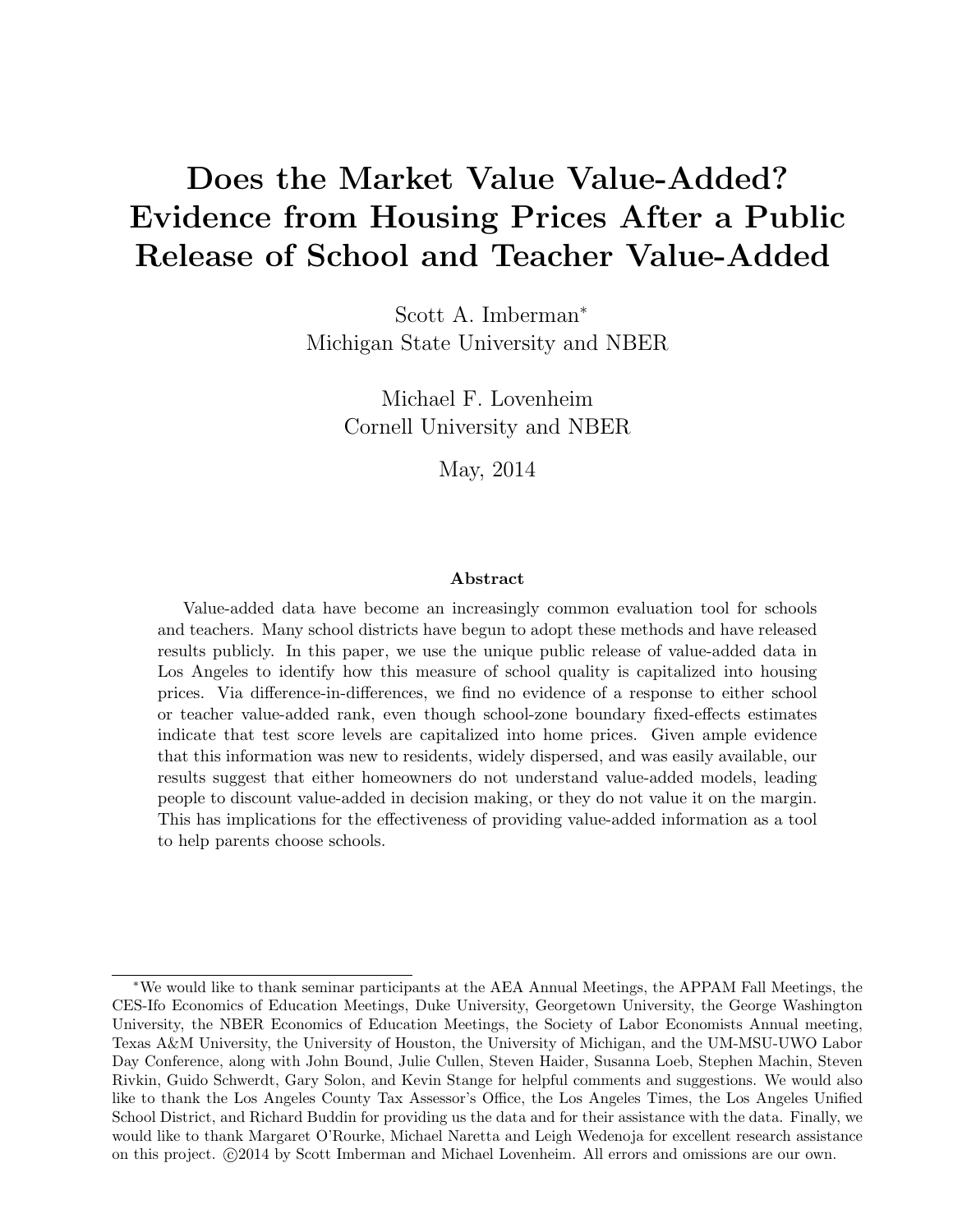# **Does the Market Value Value-Added? Evidence from Housing Prices After a Public Release of School and Teacher Value-Added**

Scott A. Imberman*<sup>∗</sup>* Michigan State University and NBER

> Michael F. Lovenheim Cornell University and NBER

> > May, 2014

#### **Abstract**

Value-added data have become an increasingly common evaluation tool for schools and teachers. Many school districts have begun to adopt these methods and have released results publicly. In this paper, we use the unique public release of value-added data in Los Angeles to identify how this measure of school quality is capitalized into housing prices. Via difference-in-differences, we find no evidence of a response to either school or teacher value-added rank, even though school-zone boundary fixed-effects estimates indicate that test score levels are capitalized into home prices. Given ample evidence that this information was new to residents, widely dispersed, and was easily available, our results suggest that either homeowners do not understand value-added models, leading people to discount value-added in decision making, or they do not value it on the margin. This has implications for the effectiveness of providing value-added information as a tool to help parents choose schools.

*<sup>∗</sup>*We would like to thank seminar participants at the AEA Annual Meetings, the APPAM Fall Meetings, the CES-Ifo Economics of Education Meetings, Duke University, Georgetown University, the George Washington University, the NBER Economics of Education Meetings, the Society of Labor Economists Annual meeting, Texas A&M University, the University of Houston, the University of Michigan, and the UM-MSU-UWO Labor Day Conference, along with John Bound, Julie Cullen, Steven Haider, Susanna Loeb, Stephen Machin, Steven Rivkin, Guido Schwerdt, Gary Solon, and Kevin Stange for helpful comments and suggestions. We would also like to thank the Los Angeles County Tax Assessor's Office, the Los Angeles Times, the Los Angeles Unified School District, and Richard Buddin for providing us the data and for their assistance with the data. Finally, we would like to thank Margaret O'Rourke, Michael Naretta and Leigh Wedenoja for excellent research assistance on this project.  $\odot$ 2014 by Scott Imberman and Michael Lovenheim. All errors and omissions are our own.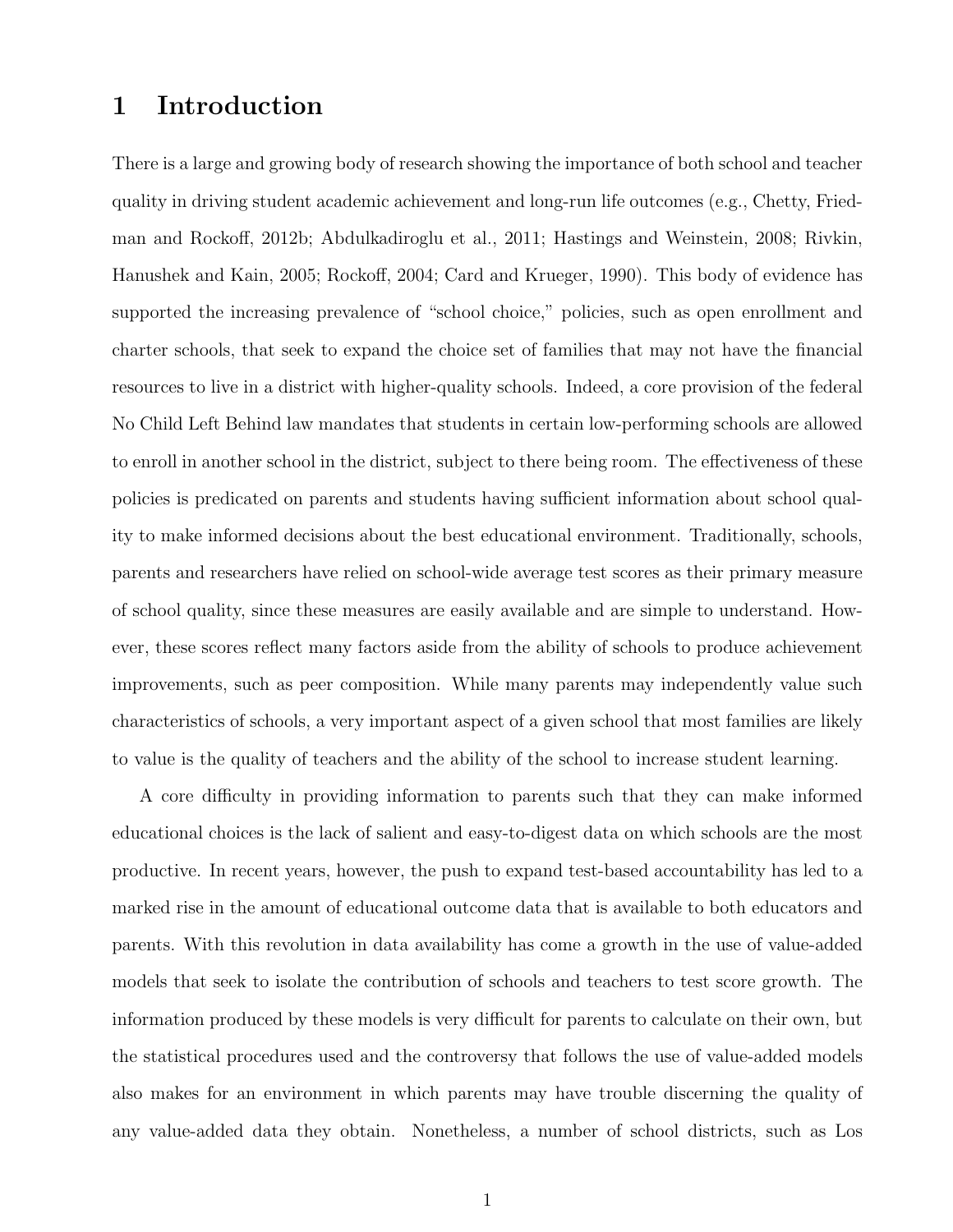### **1 Introduction**

There is a large and growing body of research showing the importance of both school and teacher quality in driving student academic achievement and long-run life outcomes (e.g., Chetty, Friedman and Rockoff, 2012b; Abdulkadiroglu et al., 2011; Hastings and Weinstein, 2008; Rivkin, Hanushek and Kain, 2005; Rockoff, 2004; Card and Krueger, 1990). This body of evidence has supported the increasing prevalence of "school choice," policies, such as open enrollment and charter schools, that seek to expand the choice set of families that may not have the financial resources to live in a district with higher-quality schools. Indeed, a core provision of the federal No Child Left Behind law mandates that students in certain low-performing schools are allowed to enroll in another school in the district, subject to there being room. The effectiveness of these policies is predicated on parents and students having sufficient information about school quality to make informed decisions about the best educational environment. Traditionally, schools, parents and researchers have relied on school-wide average test scores as their primary measure of school quality, since these measures are easily available and are simple to understand. However, these scores reflect many factors aside from the ability of schools to produce achievement improvements, such as peer composition. While many parents may independently value such characteristics of schools, a very important aspect of a given school that most families are likely to value is the quality of teachers and the ability of the school to increase student learning.

A core difficulty in providing information to parents such that they can make informed educational choices is the lack of salient and easy-to-digest data on which schools are the most productive. In recent years, however, the push to expand test-based accountability has led to a marked rise in the amount of educational outcome data that is available to both educators and parents. With this revolution in data availability has come a growth in the use of value-added models that seek to isolate the contribution of schools and teachers to test score growth. The information produced by these models is very difficult for parents to calculate on their own, but the statistical procedures used and the controversy that follows the use of value-added models also makes for an environment in which parents may have trouble discerning the quality of any value-added data they obtain. Nonetheless, a number of school districts, such as Los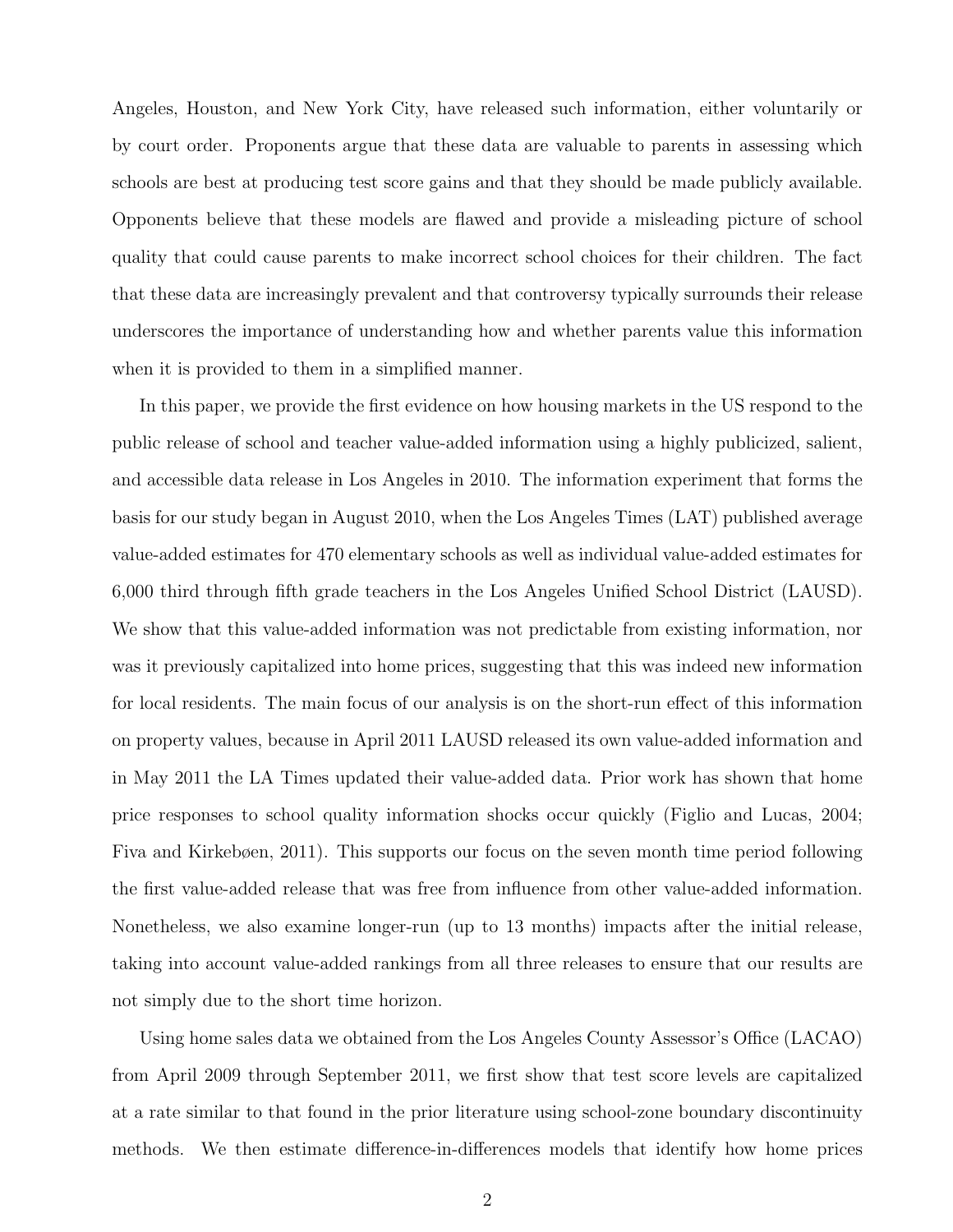Angeles, Houston, and New York City, have released such information, either voluntarily or by court order. Proponents argue that these data are valuable to parents in assessing which schools are best at producing test score gains and that they should be made publicly available. Opponents believe that these models are flawed and provide a misleading picture of school quality that could cause parents to make incorrect school choices for their children. The fact that these data are increasingly prevalent and that controversy typically surrounds their release underscores the importance of understanding how and whether parents value this information when it is provided to them in a simplified manner.

In this paper, we provide the first evidence on how housing markets in the US respond to the public release of school and teacher value-added information using a highly publicized, salient, and accessible data release in Los Angeles in 2010. The information experiment that forms the basis for our study began in August 2010, when the Los Angeles Times (LAT) published average value-added estimates for 470 elementary schools as well as individual value-added estimates for 6,000 third through fifth grade teachers in the Los Angeles Unified School District (LAUSD). We show that this value-added information was not predictable from existing information, nor was it previously capitalized into home prices, suggesting that this was indeed new information for local residents. The main focus of our analysis is on the short-run effect of this information on property values, because in April 2011 LAUSD released its own value-added information and in May 2011 the LA Times updated their value-added data. Prior work has shown that home price responses to school quality information shocks occur quickly (Figlio and Lucas, 2004; Fiva and Kirkebøen, 2011). This supports our focus on the seven month time period following the first value-added release that was free from influence from other value-added information. Nonetheless, we also examine longer-run (up to 13 months) impacts after the initial release, taking into account value-added rankings from all three releases to ensure that our results are not simply due to the short time horizon.

Using home sales data we obtained from the Los Angeles County Assessor's Office (LACAO) from April 2009 through September 2011, we first show that test score levels are capitalized at a rate similar to that found in the prior literature using school-zone boundary discontinuity methods. We then estimate difference-in-differences models that identify how home prices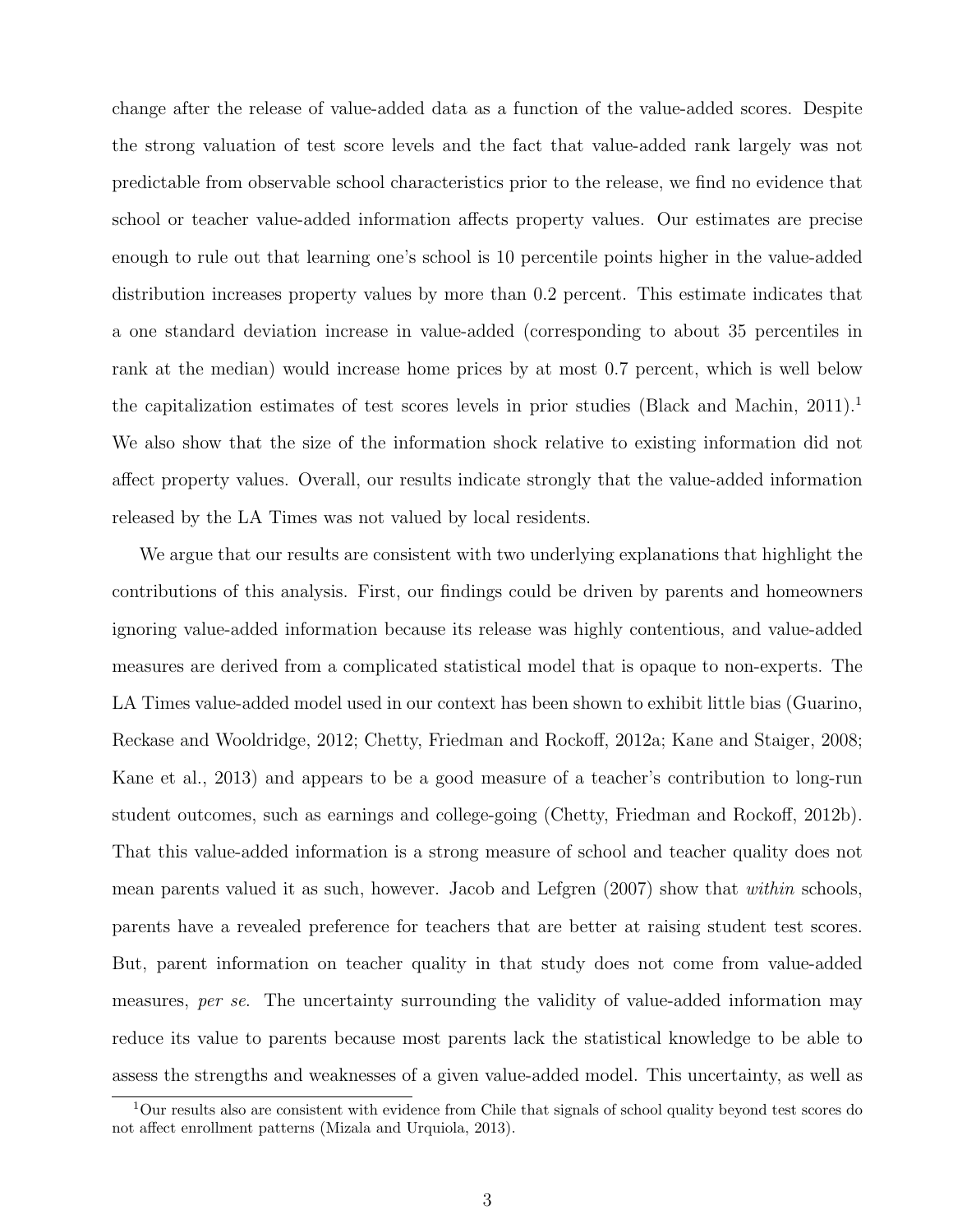change after the release of value-added data as a function of the value-added scores. Despite the strong valuation of test score levels and the fact that value-added rank largely was not predictable from observable school characteristics prior to the release, we find no evidence that school or teacher value-added information affects property values. Our estimates are precise enough to rule out that learning one's school is 10 percentile points higher in the value-added distribution increases property values by more than 0.2 percent. This estimate indicates that a one standard deviation increase in value-added (corresponding to about 35 percentiles in rank at the median) would increase home prices by at most 0.7 percent, which is well below the capitalization estimates of test scores levels in prior studies (Black and Machin,  $2011$ ).<sup>1</sup> We also show that the size of the information shock relative to existing information did not affect property values. Overall, our results indicate strongly that the value-added information released by the LA Times was not valued by local residents.

We argue that our results are consistent with two underlying explanations that highlight the contributions of this analysis. First, our findings could be driven by parents and homeowners ignoring value-added information because its release was highly contentious, and value-added measures are derived from a complicated statistical model that is opaque to non-experts. The LA Times value-added model used in our context has been shown to exhibit little bias (Guarino, Reckase and Wooldridge, 2012; Chetty, Friedman and Rockoff, 2012a; Kane and Staiger, 2008; Kane et al., 2013) and appears to be a good measure of a teacher's contribution to long-run student outcomes, such as earnings and college-going (Chetty, Friedman and Rockoff, 2012b). That this value-added information is a strong measure of school and teacher quality does not mean parents valued it as such, however. Jacob and Lefgren (2007) show that *within* schools, parents have a revealed preference for teachers that are better at raising student test scores. But, parent information on teacher quality in that study does not come from value-added measures, *per se*. The uncertainty surrounding the validity of value-added information may reduce its value to parents because most parents lack the statistical knowledge to be able to assess the strengths and weaknesses of a given value-added model. This uncertainty, as well as

<sup>1</sup>Our results also are consistent with evidence from Chile that signals of school quality beyond test scores do not affect enrollment patterns (Mizala and Urquiola, 2013).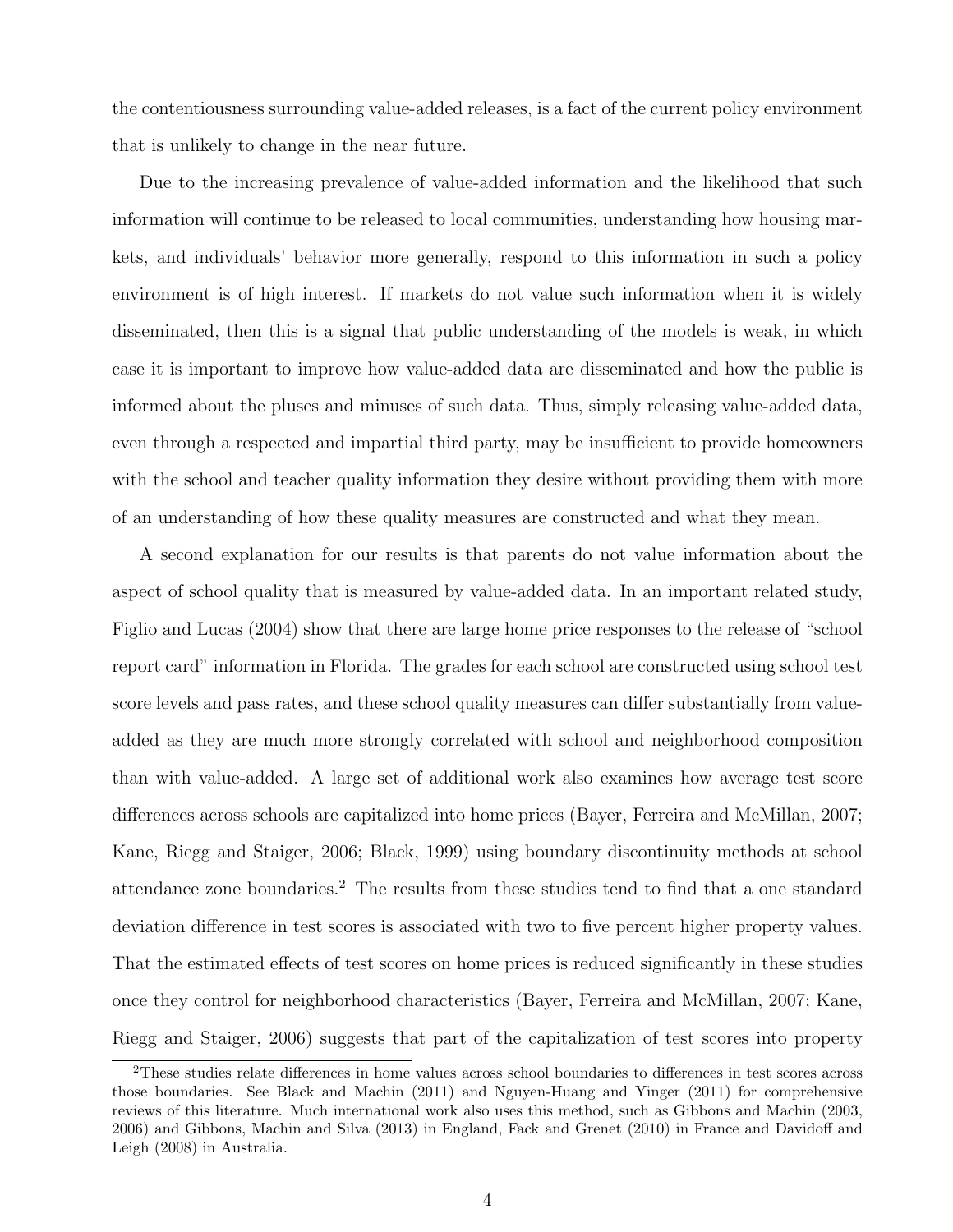the contentiousness surrounding value-added releases, is a fact of the current policy environment that is unlikely to change in the near future.

Due to the increasing prevalence of value-added information and the likelihood that such information will continue to be released to local communities, understanding how housing markets, and individuals' behavior more generally, respond to this information in such a policy environment is of high interest. If markets do not value such information when it is widely disseminated, then this is a signal that public understanding of the models is weak, in which case it is important to improve how value-added data are disseminated and how the public is informed about the pluses and minuses of such data. Thus, simply releasing value-added data, even through a respected and impartial third party, may be insufficient to provide homeowners with the school and teacher quality information they desire without providing them with more of an understanding of how these quality measures are constructed and what they mean.

A second explanation for our results is that parents do not value information about the aspect of school quality that is measured by value-added data. In an important related study, Figlio and Lucas (2004) show that there are large home price responses to the release of "school report card" information in Florida. The grades for each school are constructed using school test score levels and pass rates, and these school quality measures can differ substantially from valueadded as they are much more strongly correlated with school and neighborhood composition than with value-added. A large set of additional work also examines how average test score differences across schools are capitalized into home prices (Bayer, Ferreira and McMillan, 2007; Kane, Riegg and Staiger, 2006; Black, 1999) using boundary discontinuity methods at school attendance zone boundaries.<sup>2</sup> The results from these studies tend to find that a one standard deviation difference in test scores is associated with two to five percent higher property values. That the estimated effects of test scores on home prices is reduced significantly in these studies once they control for neighborhood characteristics (Bayer, Ferreira and McMillan, 2007; Kane, Riegg and Staiger, 2006) suggests that part of the capitalization of test scores into property

<sup>2</sup>These studies relate differences in home values across school boundaries to differences in test scores across those boundaries. See Black and Machin (2011) and Nguyen-Huang and Yinger (2011) for comprehensive reviews of this literature. Much international work also uses this method, such as Gibbons and Machin (2003, 2006) and Gibbons, Machin and Silva (2013) in England, Fack and Grenet (2010) in France and Davidoff and Leigh (2008) in Australia.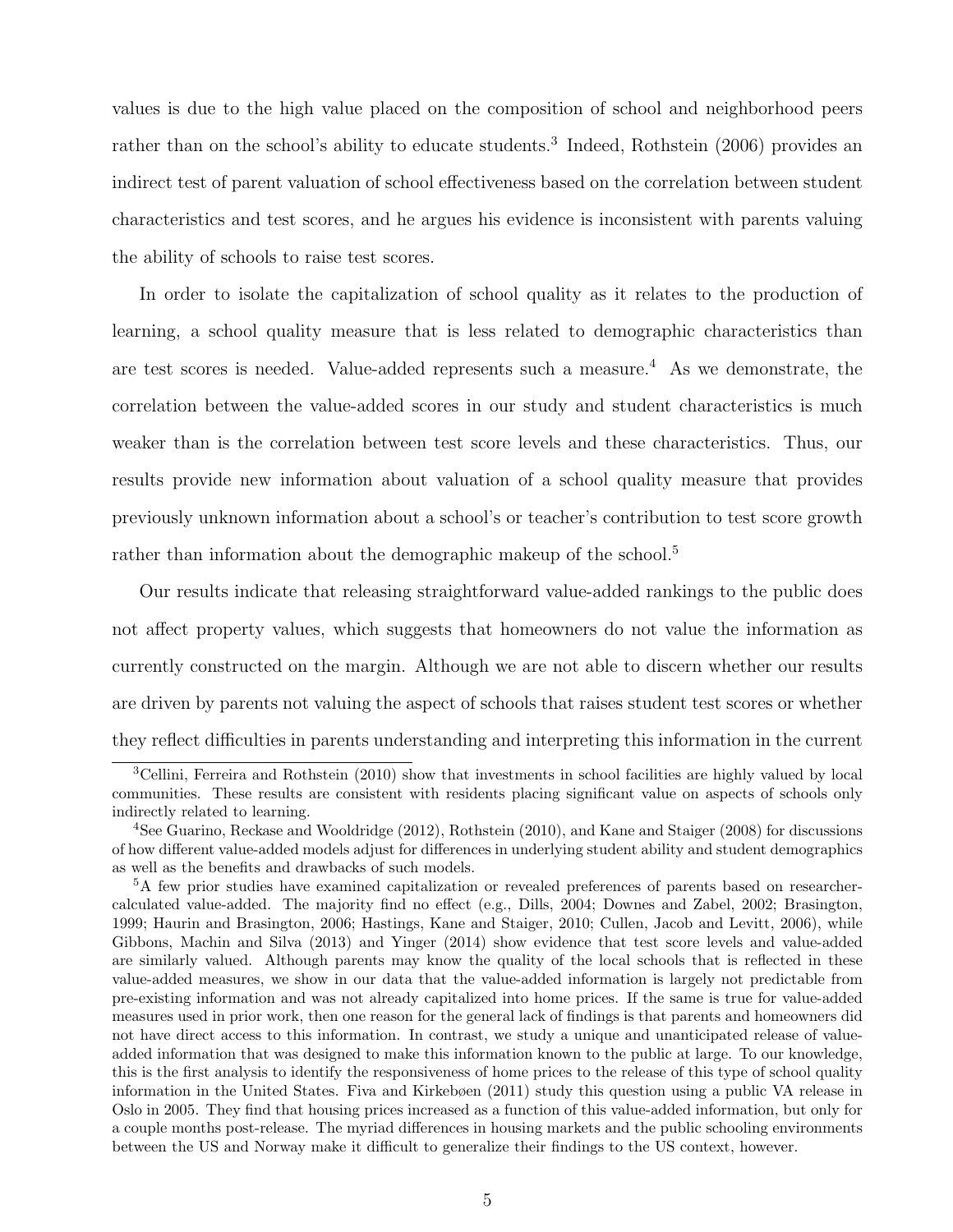values is due to the high value placed on the composition of school and neighborhood peers rather than on the school's ability to educate students.<sup>3</sup> Indeed, Rothstein (2006) provides an indirect test of parent valuation of school effectiveness based on the correlation between student characteristics and test scores, and he argues his evidence is inconsistent with parents valuing the ability of schools to raise test scores.

In order to isolate the capitalization of school quality as it relates to the production of learning, a school quality measure that is less related to demographic characteristics than are test scores is needed. Value-added represents such a measure.<sup>4</sup> As we demonstrate, the correlation between the value-added scores in our study and student characteristics is much weaker than is the correlation between test score levels and these characteristics. Thus, our results provide new information about valuation of a school quality measure that provides previously unknown information about a school's or teacher's contribution to test score growth rather than information about the demographic makeup of the school.<sup>5</sup>

Our results indicate that releasing straightforward value-added rankings to the public does not affect property values, which suggests that homeowners do not value the information as currently constructed on the margin. Although we are not able to discern whether our results are driven by parents not valuing the aspect of schools that raises student test scores or whether they reflect difficulties in parents understanding and interpreting this information in the current

<sup>3</sup>Cellini, Ferreira and Rothstein (2010) show that investments in school facilities are highly valued by local communities. These results are consistent with residents placing significant value on aspects of schools only indirectly related to learning.

<sup>4</sup>See Guarino, Reckase and Wooldridge (2012), Rothstein (2010), and Kane and Staiger (2008) for discussions of how different value-added models adjust for differences in underlying student ability and student demographics as well as the benefits and drawbacks of such models.

<sup>5</sup>A few prior studies have examined capitalization or revealed preferences of parents based on researchercalculated value-added. The majority find no effect (e.g., Dills, 2004; Downes and Zabel, 2002; Brasington, 1999; Haurin and Brasington, 2006; Hastings, Kane and Staiger, 2010; Cullen, Jacob and Levitt, 2006), while Gibbons, Machin and Silva (2013) and Yinger (2014) show evidence that test score levels and value-added are similarly valued. Although parents may know the quality of the local schools that is reflected in these value-added measures, we show in our data that the value-added information is largely not predictable from pre-existing information and was not already capitalized into home prices. If the same is true for value-added measures used in prior work, then one reason for the general lack of findings is that parents and homeowners did not have direct access to this information. In contrast, we study a unique and unanticipated release of valueadded information that was designed to make this information known to the public at large. To our knowledge, this is the first analysis to identify the responsiveness of home prices to the release of this type of school quality information in the United States. Fiva and Kirkebøen (2011) study this question using a public VA release in Oslo in 2005. They find that housing prices increased as a function of this value-added information, but only for a couple months post-release. The myriad differences in housing markets and the public schooling environments between the US and Norway make it difficult to generalize their findings to the US context, however.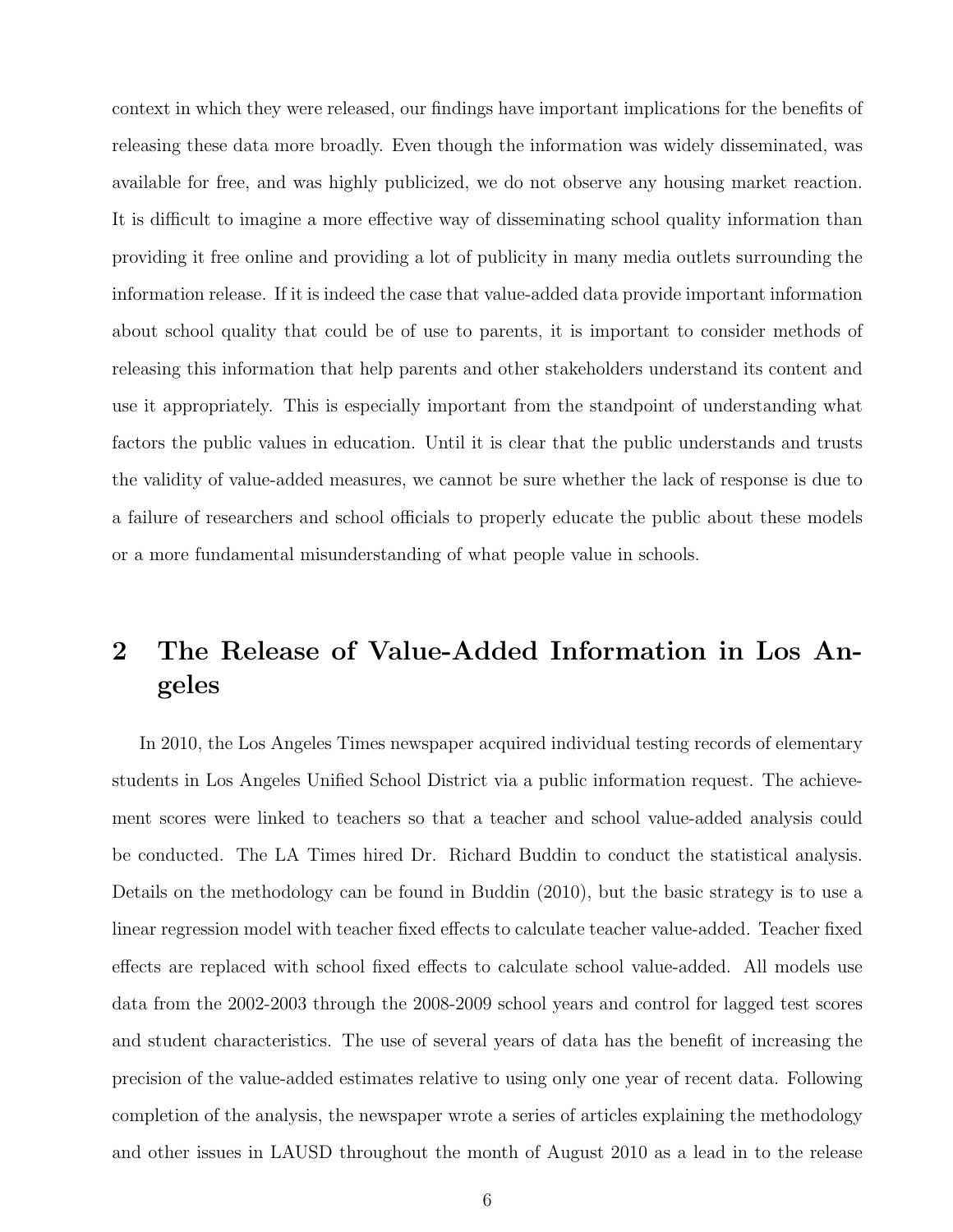context in which they were released, our findings have important implications for the benefits of releasing these data more broadly. Even though the information was widely disseminated, was available for free, and was highly publicized, we do not observe any housing market reaction. It is difficult to imagine a more effective way of disseminating school quality information than providing it free online and providing a lot of publicity in many media outlets surrounding the information release. If it is indeed the case that value-added data provide important information about school quality that could be of use to parents, it is important to consider methods of releasing this information that help parents and other stakeholders understand its content and use it appropriately. This is especially important from the standpoint of understanding what factors the public values in education. Until it is clear that the public understands and trusts the validity of value-added measures, we cannot be sure whether the lack of response is due to a failure of researchers and school officials to properly educate the public about these models or a more fundamental misunderstanding of what people value in schools.

# **2 The Release of Value-Added Information in Los Angeles**

In 2010, the Los Angeles Times newspaper acquired individual testing records of elementary students in Los Angeles Unified School District via a public information request. The achievement scores were linked to teachers so that a teacher and school value-added analysis could be conducted. The LA Times hired Dr. Richard Buddin to conduct the statistical analysis. Details on the methodology can be found in Buddin (2010), but the basic strategy is to use a linear regression model with teacher fixed effects to calculate teacher value-added. Teacher fixed effects are replaced with school fixed effects to calculate school value-added. All models use data from the 2002-2003 through the 2008-2009 school years and control for lagged test scores and student characteristics. The use of several years of data has the benefit of increasing the precision of the value-added estimates relative to using only one year of recent data. Following completion of the analysis, the newspaper wrote a series of articles explaining the methodology and other issues in LAUSD throughout the month of August 2010 as a lead in to the release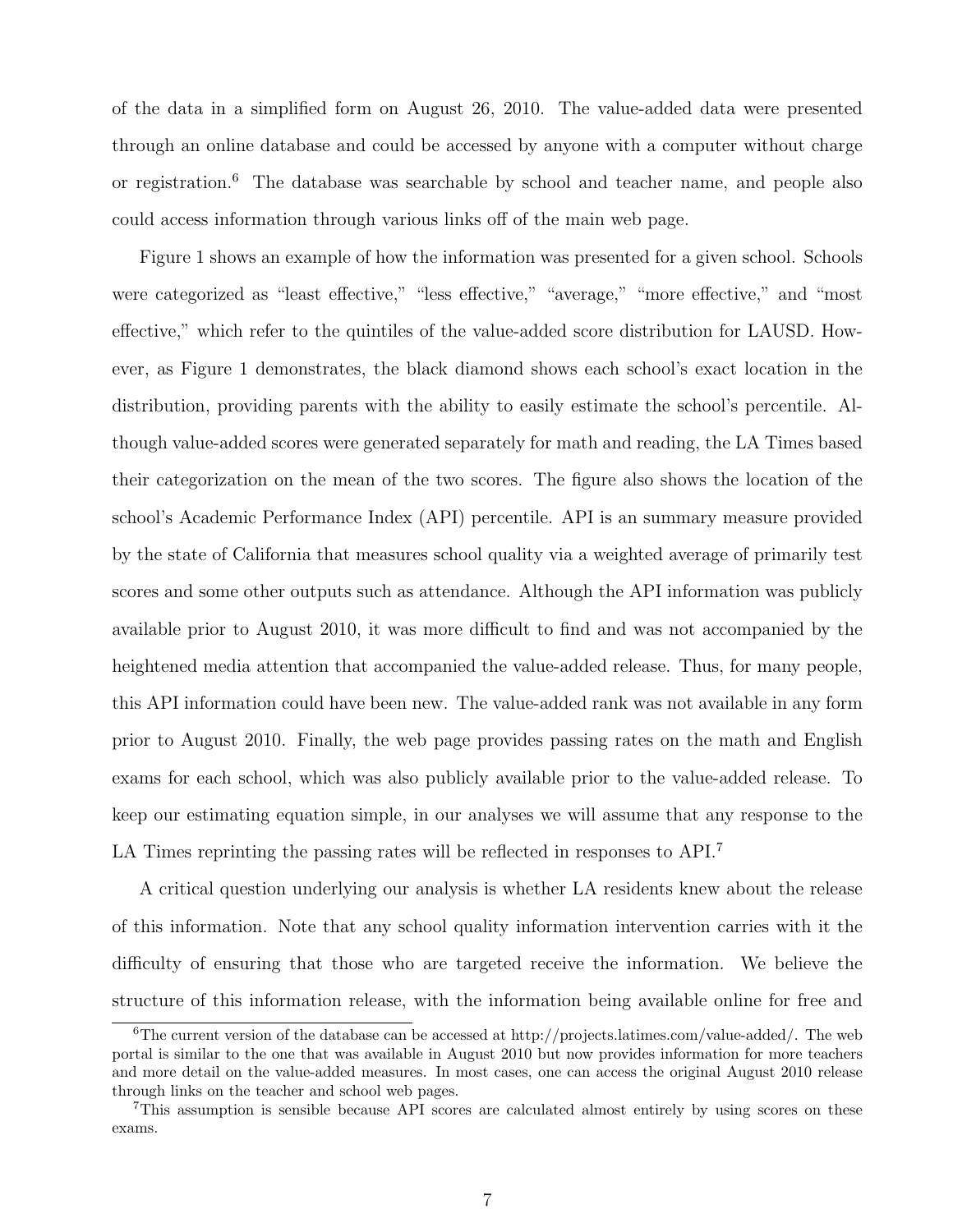of the data in a simplified form on August 26, 2010. The value-added data were presented through an online database and could be accessed by anyone with a computer without charge or registration.<sup>6</sup> The database was searchable by school and teacher name, and people also could access information through various links off of the main web page.

Figure 1 shows an example of how the information was presented for a given school. Schools were categorized as "least effective," "less effective," "average," "more effective," and "most effective," which refer to the quintiles of the value-added score distribution for LAUSD. However, as Figure 1 demonstrates, the black diamond shows each school's exact location in the distribution, providing parents with the ability to easily estimate the school's percentile. Although value-added scores were generated separately for math and reading, the LA Times based their categorization on the mean of the two scores. The figure also shows the location of the school's Academic Performance Index (API) percentile. API is an summary measure provided by the state of California that measures school quality via a weighted average of primarily test scores and some other outputs such as attendance. Although the API information was publicly available prior to August 2010, it was more difficult to find and was not accompanied by the heightened media attention that accompanied the value-added release. Thus, for many people, this API information could have been new. The value-added rank was not available in any form prior to August 2010. Finally, the web page provides passing rates on the math and English exams for each school, which was also publicly available prior to the value-added release. To keep our estimating equation simple, in our analyses we will assume that any response to the LA Times reprinting the passing rates will be reflected in responses to API.<sup>7</sup>

A critical question underlying our analysis is whether LA residents knew about the release of this information. Note that any school quality information intervention carries with it the difficulty of ensuring that those who are targeted receive the information. We believe the structure of this information release, with the information being available online for free and

<sup>&</sup>lt;sup>6</sup>The current version of the database can be accessed at http://projects.latimes.com/value-added/. The web portal is similar to the one that was available in August 2010 but now provides information for more teachers and more detail on the value-added measures. In most cases, one can access the original August 2010 release through links on the teacher and school web pages.

<sup>7</sup>This assumption is sensible because API scores are calculated almost entirely by using scores on these exams.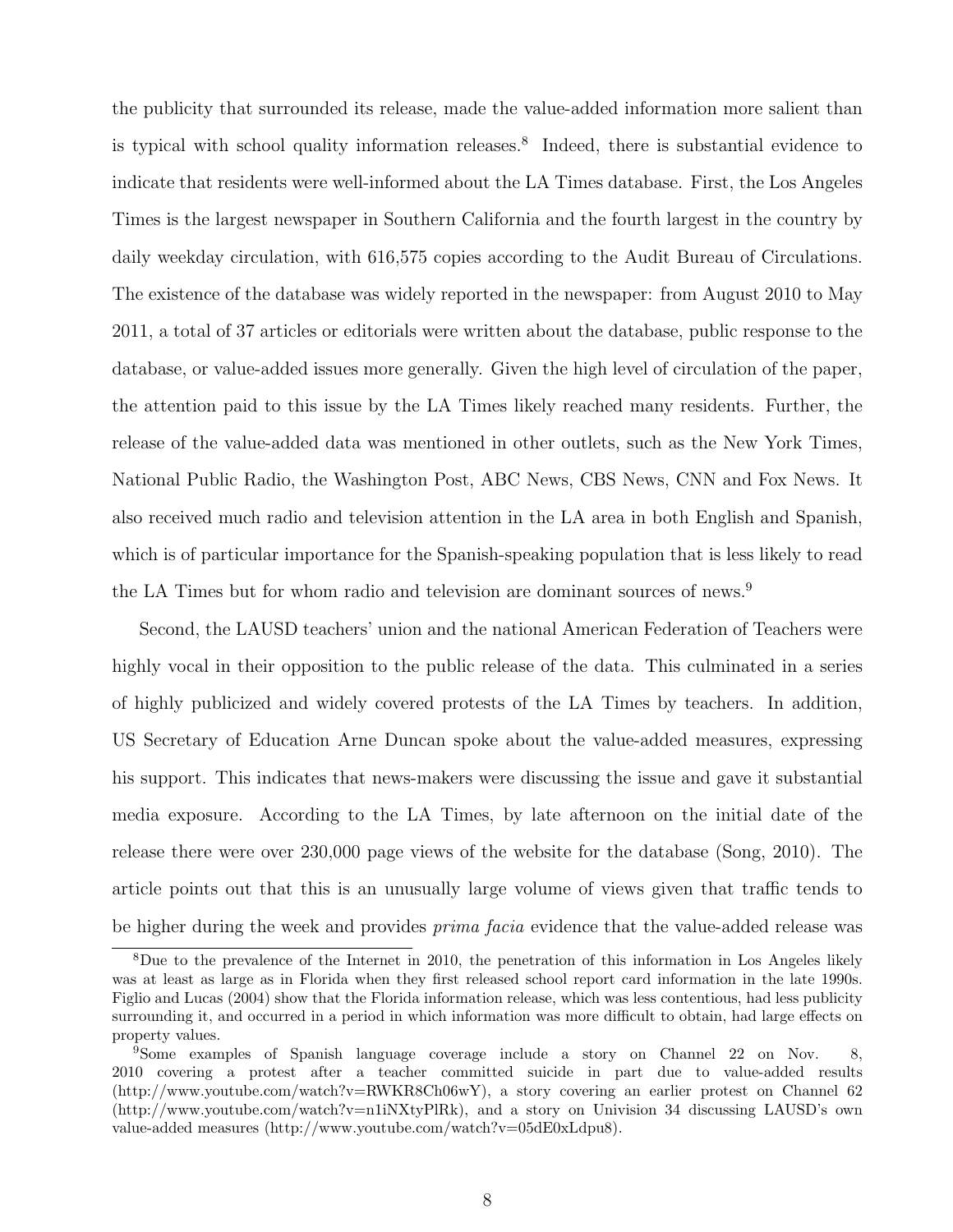the publicity that surrounded its release, made the value-added information more salient than is typical with school quality information releases.<sup>8</sup> Indeed, there is substantial evidence to indicate that residents were well-informed about the LA Times database. First, the Los Angeles Times is the largest newspaper in Southern California and the fourth largest in the country by daily weekday circulation, with 616,575 copies according to the Audit Bureau of Circulations. The existence of the database was widely reported in the newspaper: from August 2010 to May 2011, a total of 37 articles or editorials were written about the database, public response to the database, or value-added issues more generally. Given the high level of circulation of the paper, the attention paid to this issue by the LA Times likely reached many residents. Further, the release of the value-added data was mentioned in other outlets, such as the New York Times, National Public Radio, the Washington Post, ABC News, CBS News, CNN and Fox News. It also received much radio and television attention in the LA area in both English and Spanish, which is of particular importance for the Spanish-speaking population that is less likely to read the LA Times but for whom radio and television are dominant sources of news.<sup>9</sup>

Second, the LAUSD teachers' union and the national American Federation of Teachers were highly vocal in their opposition to the public release of the data. This culminated in a series of highly publicized and widely covered protests of the LA Times by teachers. In addition, US Secretary of Education Arne Duncan spoke about the value-added measures, expressing his support. This indicates that news-makers were discussing the issue and gave it substantial media exposure. According to the LA Times, by late afternoon on the initial date of the release there were over 230,000 page views of the website for the database (Song, 2010). The article points out that this is an unusually large volume of views given that traffic tends to be higher during the week and provides *prima facia* evidence that the value-added release was

<sup>8</sup>Due to the prevalence of the Internet in 2010, the penetration of this information in Los Angeles likely was at least as large as in Florida when they first released school report card information in the late 1990s. Figlio and Lucas (2004) show that the Florida information release, which was less contentious, had less publicity surrounding it, and occurred in a period in which information was more difficult to obtain, had large effects on property values.

<sup>9</sup>Some examples of Spanish language coverage include a story on Channel 22 on Nov. 8, 2010 covering a protest after a teacher committed suicide in part due to value-added results (http://www.youtube.com/watch?v=RWKR8Ch06wY), a story covering an earlier protest on Channel 62 (http://www.youtube.com/watch?v=n1iNXtyPlRk), and a story on Univision 34 discussing LAUSD's own value-added measures (http://www.youtube.com/watch?v=05dE0xLdpu8).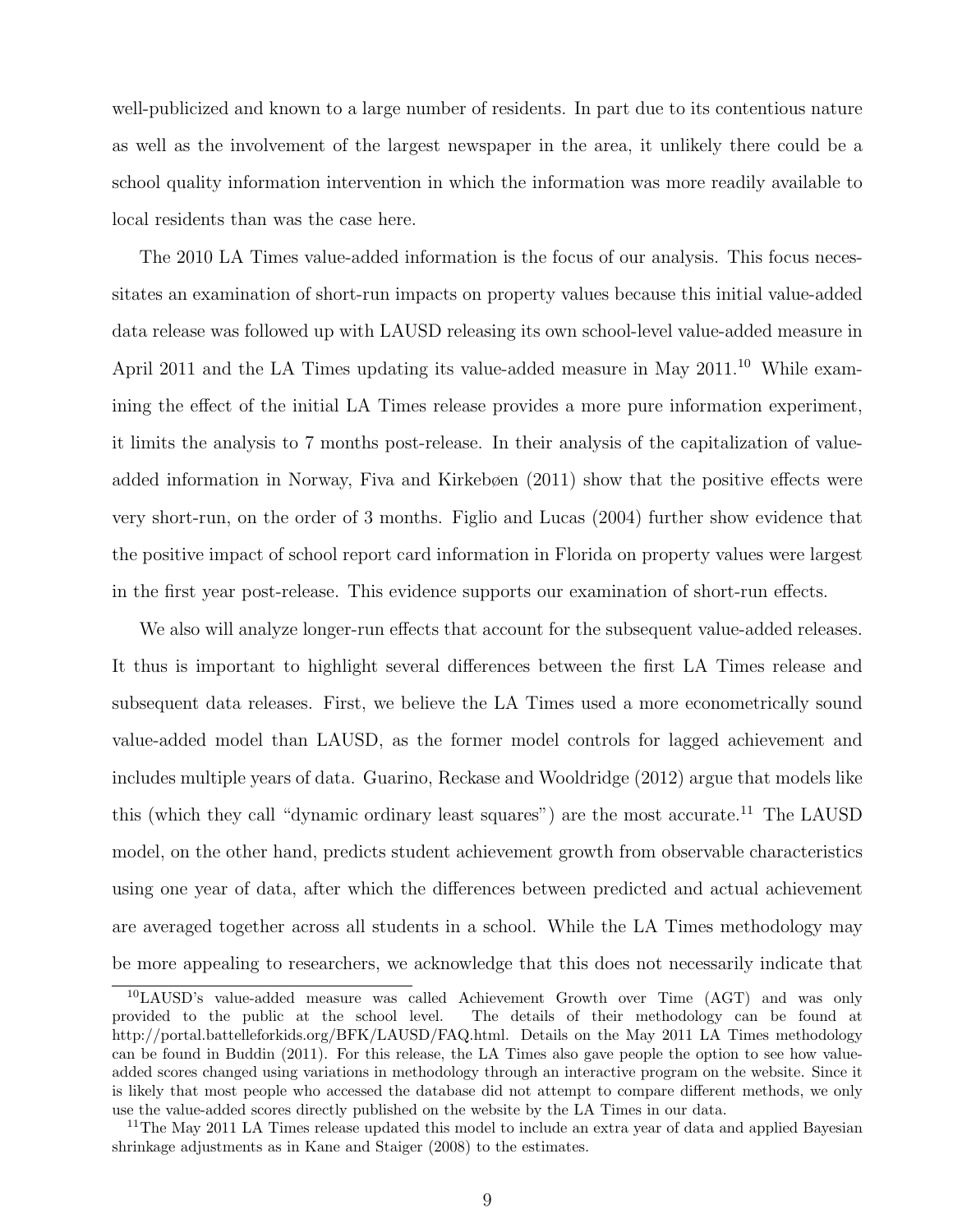well-publicized and known to a large number of residents. In part due to its contentious nature as well as the involvement of the largest newspaper in the area, it unlikely there could be a school quality information intervention in which the information was more readily available to local residents than was the case here.

The 2010 LA Times value-added information is the focus of our analysis. This focus necessitates an examination of short-run impacts on property values because this initial value-added data release was followed up with LAUSD releasing its own school-level value-added measure in April 2011 and the LA Times updating its value-added measure in May 2011.<sup>10</sup> While examining the effect of the initial LA Times release provides a more pure information experiment, it limits the analysis to 7 months post-release. In their analysis of the capitalization of valueadded information in Norway, Fiva and Kirkebøen (2011) show that the positive effects were very short-run, on the order of 3 months. Figlio and Lucas (2004) further show evidence that the positive impact of school report card information in Florida on property values were largest in the first year post-release. This evidence supports our examination of short-run effects.

We also will analyze longer-run effects that account for the subsequent value-added releases. It thus is important to highlight several differences between the first LA Times release and subsequent data releases. First, we believe the LA Times used a more econometrically sound value-added model than LAUSD, as the former model controls for lagged achievement and includes multiple years of data. Guarino, Reckase and Wooldridge (2012) argue that models like this (which they call "dynamic ordinary least squares") are the most accurate.<sup>11</sup> The LAUSD model, on the other hand, predicts student achievement growth from observable characteristics using one year of data, after which the differences between predicted and actual achievement are averaged together across all students in a school. While the LA Times methodology may be more appealing to researchers, we acknowledge that this does not necessarily indicate that

<sup>10</sup>LAUSD's value-added measure was called Achievement Growth over Time (AGT) and was only provided to the public at the school level. The details of their methodology can be found at http://portal.battelleforkids.org/BFK/LAUSD/FAQ.html. Details on the May 2011 LA Times methodology can be found in Buddin (2011). For this release, the LA Times also gave people the option to see how valueadded scores changed using variations in methodology through an interactive program on the website. Since it is likely that most people who accessed the database did not attempt to compare different methods, we only use the value-added scores directly published on the website by the LA Times in our data.

<sup>&</sup>lt;sup>11</sup>The May 2011 LA Times release updated this model to include an extra year of data and applied Bayesian shrinkage adjustments as in Kane and Staiger (2008) to the estimates.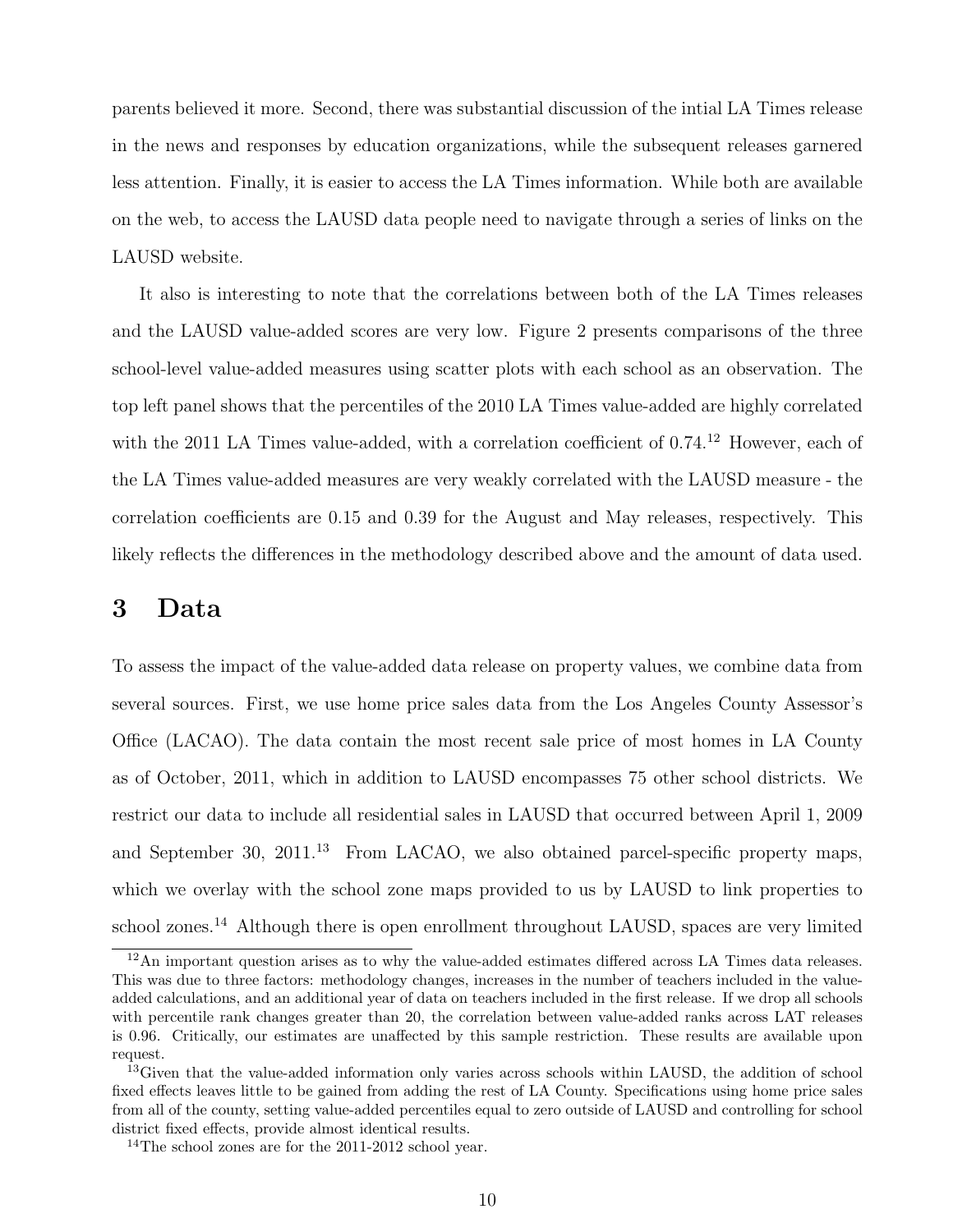parents believed it more. Second, there was substantial discussion of the intial LA Times release in the news and responses by education organizations, while the subsequent releases garnered less attention. Finally, it is easier to access the LA Times information. While both are available on the web, to access the LAUSD data people need to navigate through a series of links on the LAUSD website.

It also is interesting to note that the correlations between both of the LA Times releases and the LAUSD value-added scores are very low. Figure 2 presents comparisons of the three school-level value-added measures using scatter plots with each school as an observation. The top left panel shows that the percentiles of the 2010 LA Times value-added are highly correlated with the 2011 LA Times value-added, with a correlation coefficient of 0.74.<sup>12</sup> However, each of the LA Times value-added measures are very weakly correlated with the LAUSD measure - the correlation coefficients are 0.15 and 0.39 for the August and May releases, respectively. This likely reflects the differences in the methodology described above and the amount of data used.

#### **3 Data**

To assess the impact of the value-added data release on property values, we combine data from several sources. First, we use home price sales data from the Los Angeles County Assessor's Office (LACAO). The data contain the most recent sale price of most homes in LA County as of October, 2011, which in addition to LAUSD encompasses 75 other school districts. We restrict our data to include all residential sales in LAUSD that occurred between April 1, 2009 and September 30,  $2011^{13}$  From LACAO, we also obtained parcel-specific property maps, which we overlay with the school zone maps provided to us by LAUSD to link properties to school zones.<sup>14</sup> Although there is open enrollment throughout LAUSD, spaces are very limited

<sup>&</sup>lt;sup>12</sup>An important question arises as to why the value-added estimates differed across LA Times data releases. This was due to three factors: methodology changes, increases in the number of teachers included in the valueadded calculations, and an additional year of data on teachers included in the first release. If we drop all schools with percentile rank changes greater than 20, the correlation between value-added ranks across LAT releases is 0.96. Critically, our estimates are unaffected by this sample restriction. These results are available upon request.

<sup>&</sup>lt;sup>13</sup>Given that the value-added information only varies across schools within LAUSD, the addition of school fixed effects leaves little to be gained from adding the rest of LA County. Specifications using home price sales from all of the county, setting value-added percentiles equal to zero outside of LAUSD and controlling for school district fixed effects, provide almost identical results.

<sup>&</sup>lt;sup>14</sup>The school zones are for the 2011-2012 school year.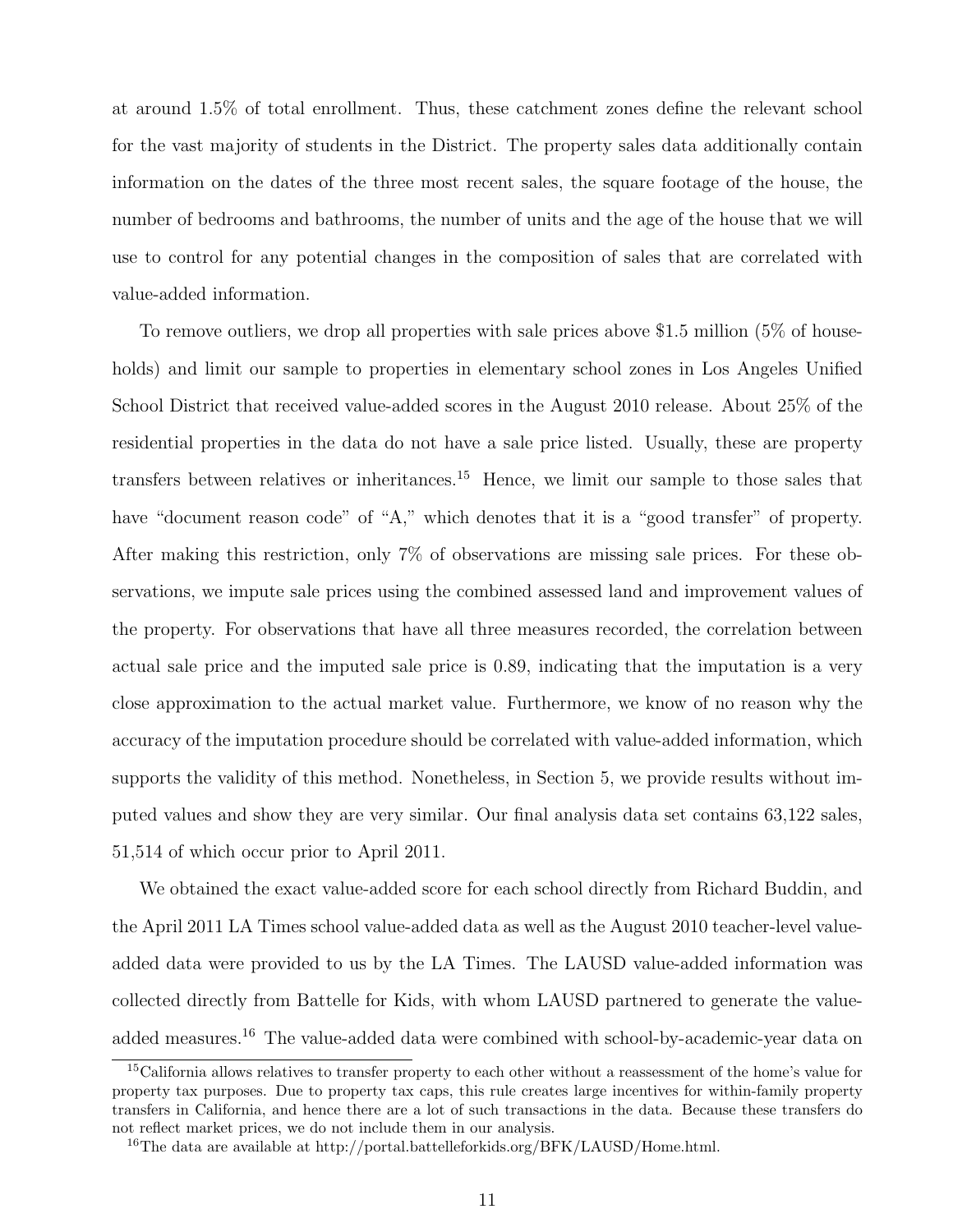at around 1.5% of total enrollment. Thus, these catchment zones define the relevant school for the vast majority of students in the District. The property sales data additionally contain information on the dates of the three most recent sales, the square footage of the house, the number of bedrooms and bathrooms, the number of units and the age of the house that we will use to control for any potential changes in the composition of sales that are correlated with value-added information.

To remove outliers, we drop all properties with sale prices above \$1.5 million (5% of households) and limit our sample to properties in elementary school zones in Los Angeles Unified School District that received value-added scores in the August 2010 release. About 25% of the residential properties in the data do not have a sale price listed. Usually, these are property transfers between relatives or inheritances.<sup>15</sup> Hence, we limit our sample to those sales that have "document reason code" of "A," which denotes that it is a "good transfer" of property. After making this restriction, only 7% of observations are missing sale prices. For these observations, we impute sale prices using the combined assessed land and improvement values of the property. For observations that have all three measures recorded, the correlation between actual sale price and the imputed sale price is 0.89, indicating that the imputation is a very close approximation to the actual market value. Furthermore, we know of no reason why the accuracy of the imputation procedure should be correlated with value-added information, which supports the validity of this method. Nonetheless, in Section 5, we provide results without imputed values and show they are very similar. Our final analysis data set contains 63,122 sales, 51,514 of which occur prior to April 2011.

We obtained the exact value-added score for each school directly from Richard Buddin, and the April 2011 LA Times school value-added data as well as the August 2010 teacher-level valueadded data were provided to us by the LA Times. The LAUSD value-added information was collected directly from Battelle for Kids, with whom LAUSD partnered to generate the valueadded measures.<sup>16</sup> The value-added data were combined with school-by-academic-year data on

<sup>&</sup>lt;sup>15</sup>California allows relatives to transfer property to each other without a reassessment of the home's value for property tax purposes. Due to property tax caps, this rule creates large incentives for within-family property transfers in California, and hence there are a lot of such transactions in the data. Because these transfers do not reflect market prices, we do not include them in our analysis.

<sup>&</sup>lt;sup>16</sup>The data are available at http://portal.battelleforkids.org/BFK/LAUSD/Home.html.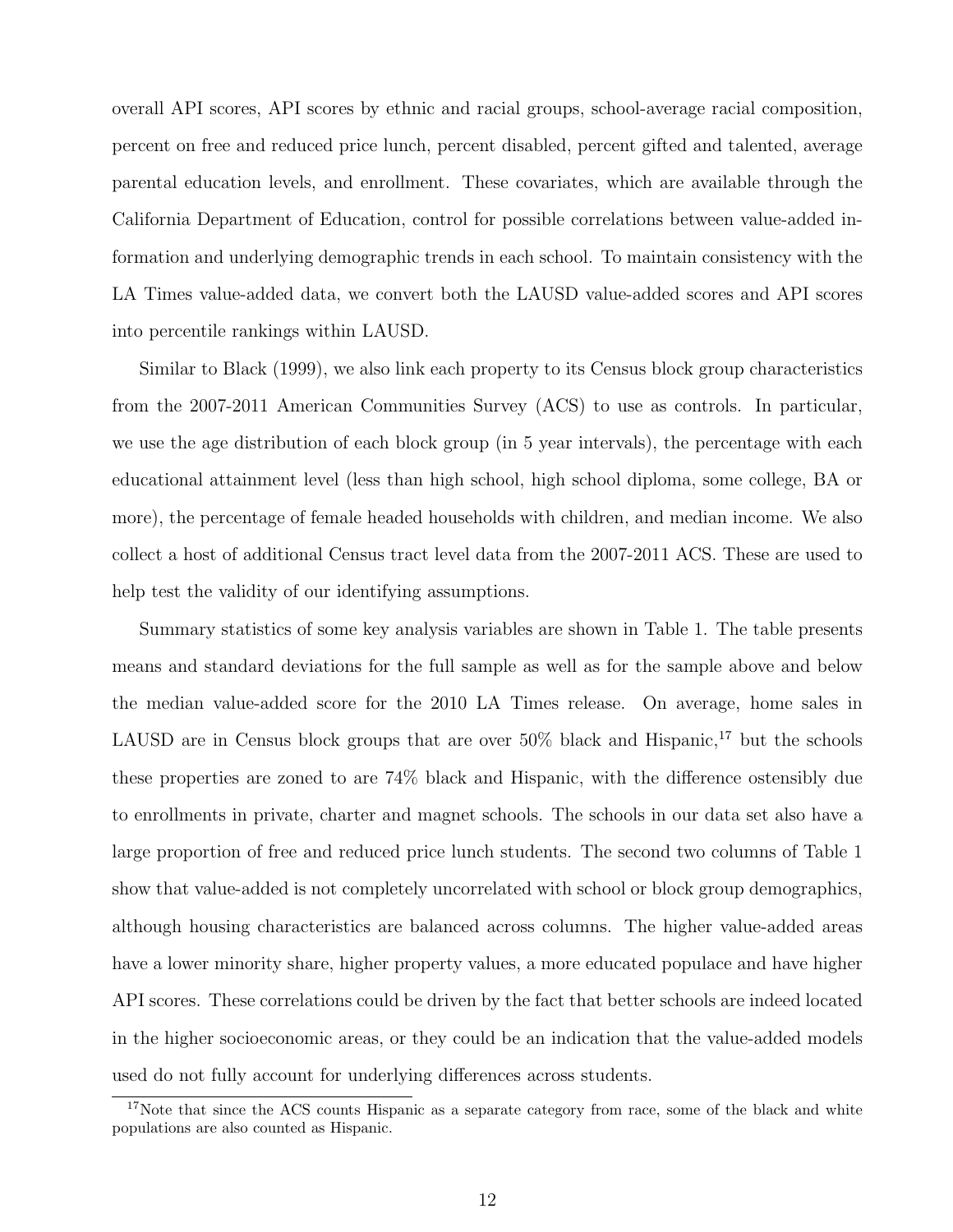overall API scores, API scores by ethnic and racial groups, school-average racial composition, percent on free and reduced price lunch, percent disabled, percent gifted and talented, average parental education levels, and enrollment. These covariates, which are available through the California Department of Education, control for possible correlations between value-added information and underlying demographic trends in each school. To maintain consistency with the LA Times value-added data, we convert both the LAUSD value-added scores and API scores into percentile rankings within LAUSD.

Similar to Black (1999), we also link each property to its Census block group characteristics from the 2007-2011 American Communities Survey (ACS) to use as controls. In particular, we use the age distribution of each block group (in 5 year intervals), the percentage with each educational attainment level (less than high school, high school diploma, some college, BA or more), the percentage of female headed households with children, and median income. We also collect a host of additional Census tract level data from the 2007-2011 ACS. These are used to help test the validity of our identifying assumptions.

Summary statistics of some key analysis variables are shown in Table 1. The table presents means and standard deviations for the full sample as well as for the sample above and below the median value-added score for the 2010 LA Times release. On average, home sales in LAUSD are in Census block groups that are over  $50\%$  black and Hispanic,  $^{17}$  but the schools these properties are zoned to are 74% black and Hispanic, with the difference ostensibly due to enrollments in private, charter and magnet schools. The schools in our data set also have a large proportion of free and reduced price lunch students. The second two columns of Table 1 show that value-added is not completely uncorrelated with school or block group demographics, although housing characteristics are balanced across columns. The higher value-added areas have a lower minority share, higher property values, a more educated populace and have higher API scores. These correlations could be driven by the fact that better schools are indeed located in the higher socioeconomic areas, or they could be an indication that the value-added models used do not fully account for underlying differences across students.

<sup>&</sup>lt;sup>17</sup>Note that since the ACS counts Hispanic as a separate category from race, some of the black and white populations are also counted as Hispanic.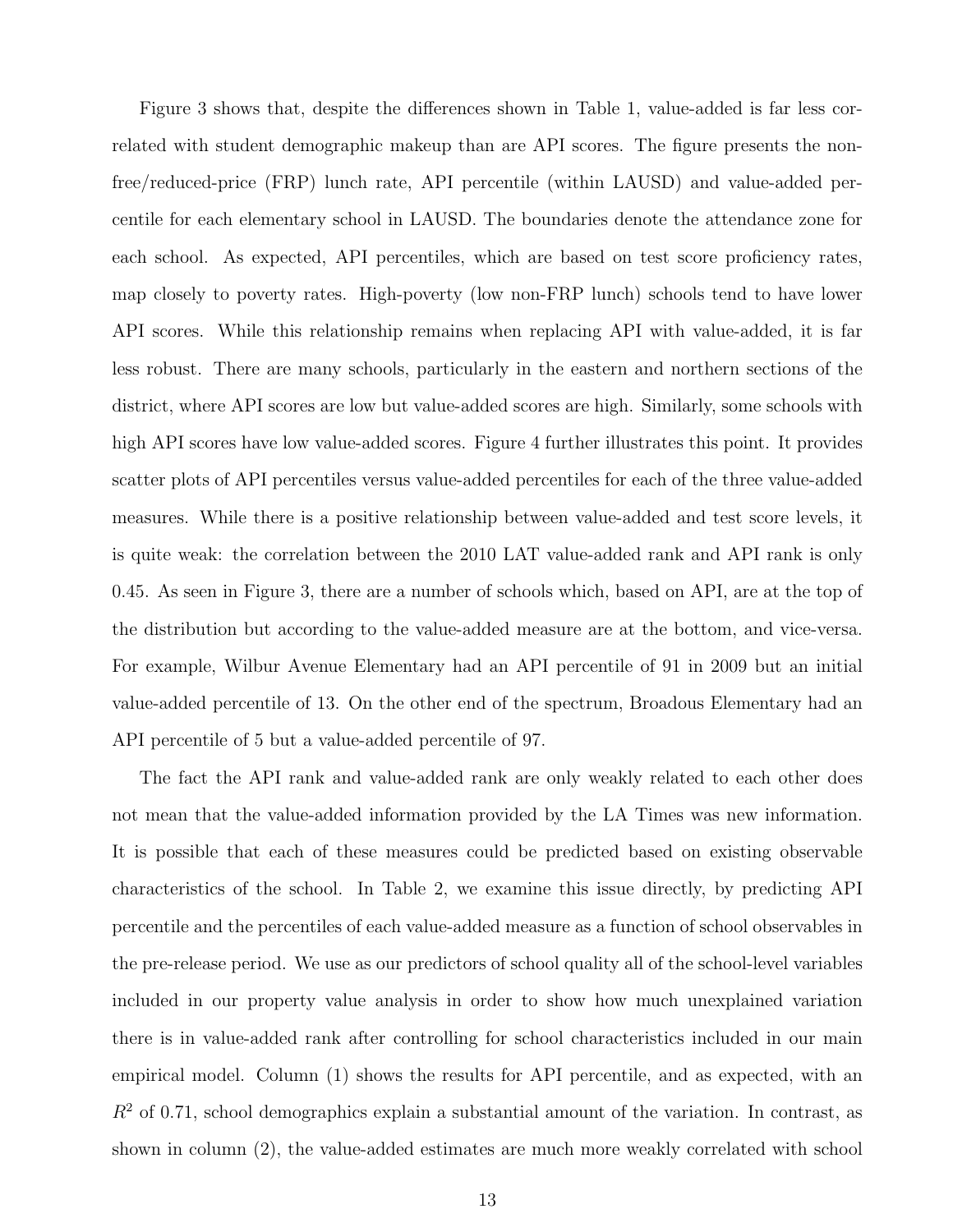Figure 3 shows that, despite the differences shown in Table 1, value-added is far less correlated with student demographic makeup than are API scores. The figure presents the nonfree/reduced-price (FRP) lunch rate, API percentile (within LAUSD) and value-added percentile for each elementary school in LAUSD. The boundaries denote the attendance zone for each school. As expected, API percentiles, which are based on test score proficiency rates, map closely to poverty rates. High-poverty (low non-FRP lunch) schools tend to have lower API scores. While this relationship remains when replacing API with value-added, it is far less robust. There are many schools, particularly in the eastern and northern sections of the district, where API scores are low but value-added scores are high. Similarly, some schools with high API scores have low value-added scores. Figure 4 further illustrates this point. It provides scatter plots of API percentiles versus value-added percentiles for each of the three value-added measures. While there is a positive relationship between value-added and test score levels, it is quite weak: the correlation between the 2010 LAT value-added rank and API rank is only 0.45. As seen in Figure 3, there are a number of schools which, based on API, are at the top of the distribution but according to the value-added measure are at the bottom, and vice-versa. For example, Wilbur Avenue Elementary had an API percentile of 91 in 2009 but an initial value-added percentile of 13. On the other end of the spectrum, Broadous Elementary had an API percentile of 5 but a value-added percentile of 97.

The fact the API rank and value-added rank are only weakly related to each other does not mean that the value-added information provided by the LA Times was new information. It is possible that each of these measures could be predicted based on existing observable characteristics of the school. In Table 2, we examine this issue directly, by predicting API percentile and the percentiles of each value-added measure as a function of school observables in the pre-release period. We use as our predictors of school quality all of the school-level variables included in our property value analysis in order to show how much unexplained variation there is in value-added rank after controlling for school characteristics included in our main empirical model. Column (1) shows the results for API percentile, and as expected, with an  $R<sup>2</sup>$  of 0.71, school demographics explain a substantial amount of the variation. In contrast, as shown in column (2), the value-added estimates are much more weakly correlated with school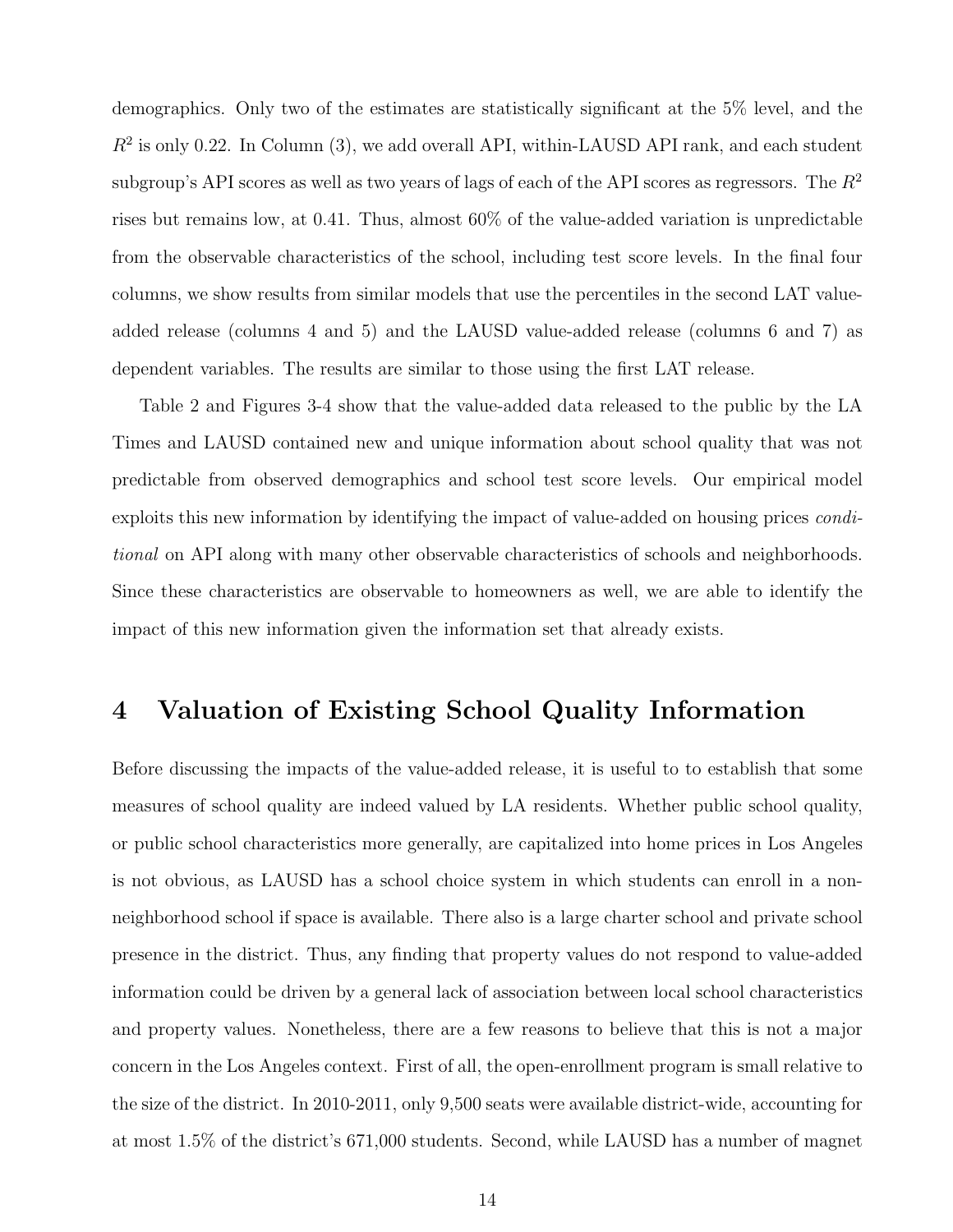demographics. Only two of the estimates are statistically significant at the 5% level, and the  $R<sup>2</sup>$  is only 0.22. In Column (3), we add overall API, within-LAUSD API rank, and each student subgroup's API scores as well as two years of lags of each of the API scores as regressors. The *R*<sup>2</sup> rises but remains low, at 0.41. Thus, almost 60% of the value-added variation is unpredictable from the observable characteristics of the school, including test score levels. In the final four columns, we show results from similar models that use the percentiles in the second LAT valueadded release (columns 4 and 5) and the LAUSD value-added release (columns 6 and 7) as dependent variables. The results are similar to those using the first LAT release.

Table 2 and Figures 3-4 show that the value-added data released to the public by the LA Times and LAUSD contained new and unique information about school quality that was not predictable from observed demographics and school test score levels. Our empirical model exploits this new information by identifying the impact of value-added on housing prices *conditional* on API along with many other observable characteristics of schools and neighborhoods. Since these characteristics are observable to homeowners as well, we are able to identify the impact of this new information given the information set that already exists.

### **4 Valuation of Existing School Quality Information**

Before discussing the impacts of the value-added release, it is useful to to establish that some measures of school quality are indeed valued by LA residents. Whether public school quality, or public school characteristics more generally, are capitalized into home prices in Los Angeles is not obvious, as LAUSD has a school choice system in which students can enroll in a nonneighborhood school if space is available. There also is a large charter school and private school presence in the district. Thus, any finding that property values do not respond to value-added information could be driven by a general lack of association between local school characteristics and property values. Nonetheless, there are a few reasons to believe that this is not a major concern in the Los Angeles context. First of all, the open-enrollment program is small relative to the size of the district. In 2010-2011, only 9,500 seats were available district-wide, accounting for at most 1.5% of the district's 671,000 students. Second, while LAUSD has a number of magnet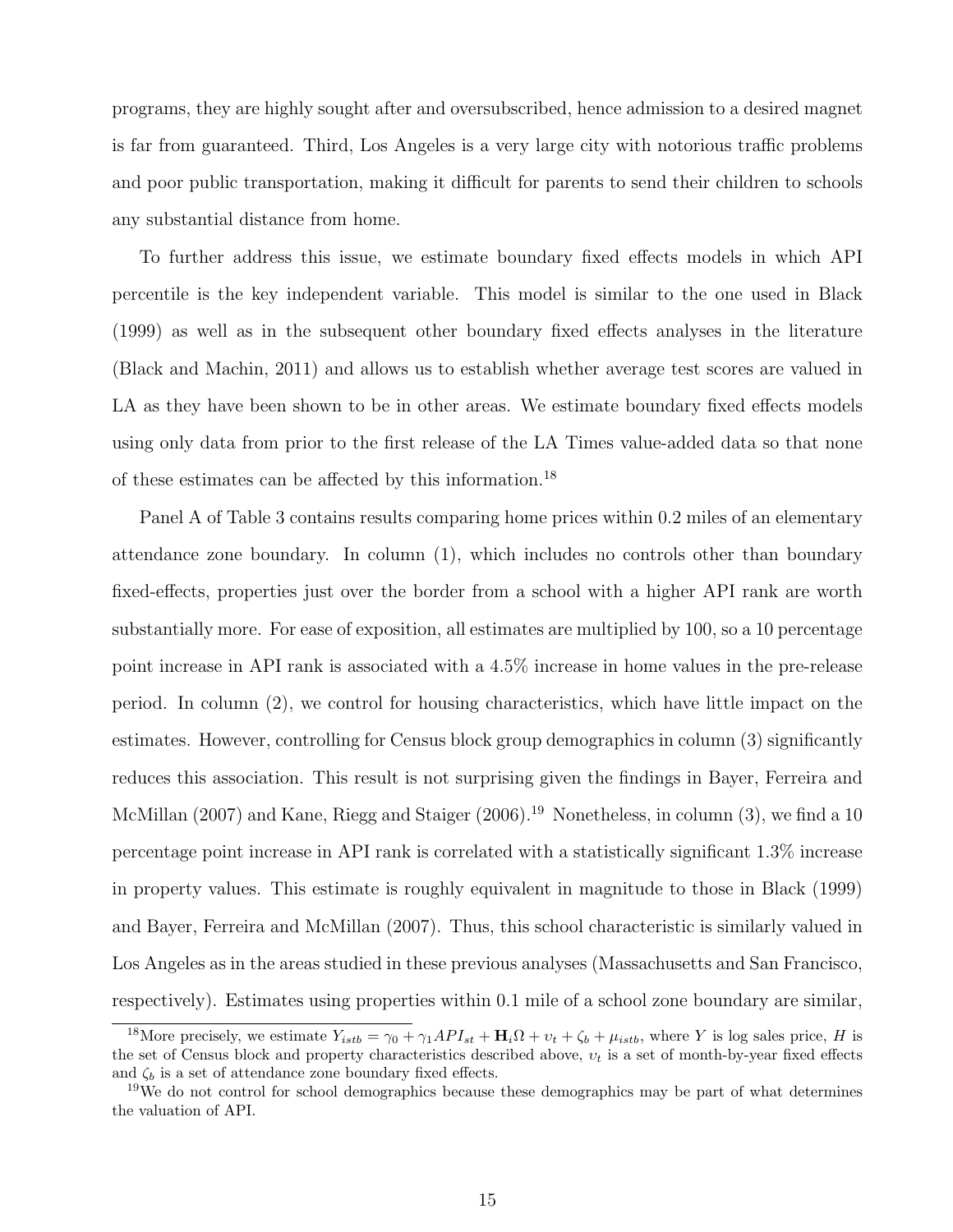programs, they are highly sought after and oversubscribed, hence admission to a desired magnet is far from guaranteed. Third, Los Angeles is a very large city with notorious traffic problems and poor public transportation, making it difficult for parents to send their children to schools any substantial distance from home.

To further address this issue, we estimate boundary fixed effects models in which API percentile is the key independent variable. This model is similar to the one used in Black (1999) as well as in the subsequent other boundary fixed effects analyses in the literature (Black and Machin, 2011) and allows us to establish whether average test scores are valued in LA as they have been shown to be in other areas. We estimate boundary fixed effects models using only data from prior to the first release of the LA Times value-added data so that none of these estimates can be affected by this information.<sup>18</sup>

Panel A of Table 3 contains results comparing home prices within 0.2 miles of an elementary attendance zone boundary. In column (1), which includes no controls other than boundary fixed-effects, properties just over the border from a school with a higher API rank are worth substantially more. For ease of exposition, all estimates are multiplied by 100, so a 10 percentage point increase in API rank is associated with a 4.5% increase in home values in the pre-release period. In column (2), we control for housing characteristics, which have little impact on the estimates. However, controlling for Census block group demographics in column (3) significantly reduces this association. This result is not surprising given the findings in Bayer, Ferreira and McMillan (2007) and Kane, Riegg and Staiger (2006).<sup>19</sup> Nonetheless, in column (3), we find a 10 percentage point increase in API rank is correlated with a statistically significant 1.3% increase in property values. This estimate is roughly equivalent in magnitude to those in Black (1999) and Bayer, Ferreira and McMillan (2007). Thus, this school characteristic is similarly valued in Los Angeles as in the areas studied in these previous analyses (Massachusetts and San Francisco, respectively). Estimates using properties within 0.1 mile of a school zone boundary are similar,

<sup>&</sup>lt;sup>18</sup>More precisely, we estimate  $Y_{istb} = \gamma_0 + \gamma_1 AP I_{st} + \mathbf{H}_i \Omega + v_t + \zeta_b + \mu_{istb}$ , where *Y* is log sales price, *H* is the set of Census block and property characteristics described above, *υ<sup>t</sup>* is a set of month-by-year fixed effects and  $\zeta_b$  is a set of attendance zone boundary fixed effects.

<sup>&</sup>lt;sup>19</sup>We do not control for school demographics because these demographics may be part of what determines the valuation of API.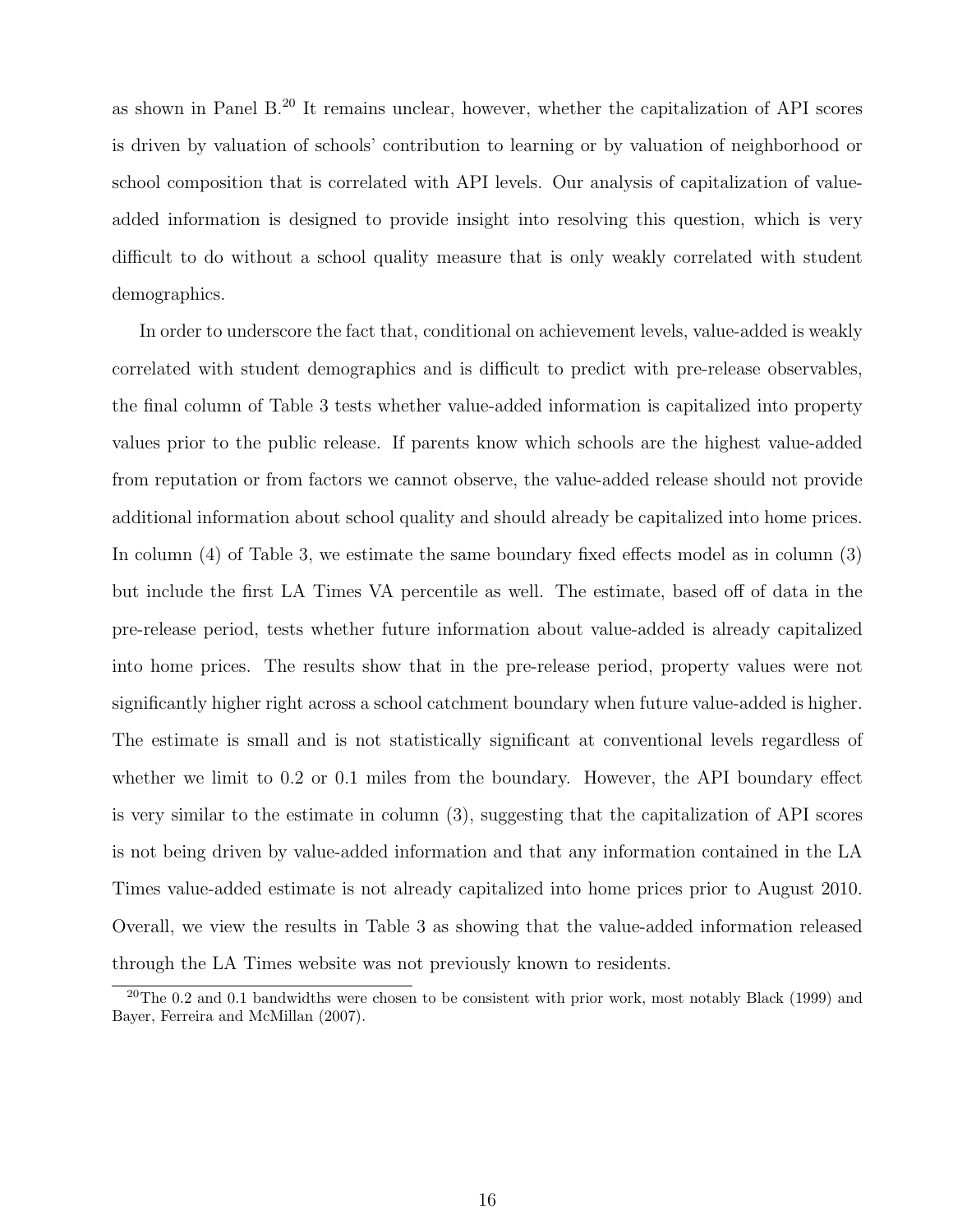as shown in Panel B.<sup>20</sup> It remains unclear, however, whether the capitalization of API scores is driven by valuation of schools' contribution to learning or by valuation of neighborhood or school composition that is correlated with API levels. Our analysis of capitalization of valueadded information is designed to provide insight into resolving this question, which is very difficult to do without a school quality measure that is only weakly correlated with student demographics.

In order to underscore the fact that, conditional on achievement levels, value-added is weakly correlated with student demographics and is difficult to predict with pre-release observables, the final column of Table 3 tests whether value-added information is capitalized into property values prior to the public release. If parents know which schools are the highest value-added from reputation or from factors we cannot observe, the value-added release should not provide additional information about school quality and should already be capitalized into home prices. In column (4) of Table 3, we estimate the same boundary fixed effects model as in column (3) but include the first LA Times VA percentile as well. The estimate, based off of data in the pre-release period, tests whether future information about value-added is already capitalized into home prices. The results show that in the pre-release period, property values were not significantly higher right across a school catchment boundary when future value-added is higher. The estimate is small and is not statistically significant at conventional levels regardless of whether we limit to 0.2 or 0.1 miles from the boundary. However, the API boundary effect is very similar to the estimate in column (3), suggesting that the capitalization of API scores is not being driven by value-added information and that any information contained in the LA Times value-added estimate is not already capitalized into home prices prior to August 2010. Overall, we view the results in Table 3 as showing that the value-added information released through the LA Times website was not previously known to residents.

<sup>&</sup>lt;sup>20</sup>The 0.2 and 0.1 bandwidths were chosen to be consistent with prior work, most notably Black (1999) and Bayer, Ferreira and McMillan (2007).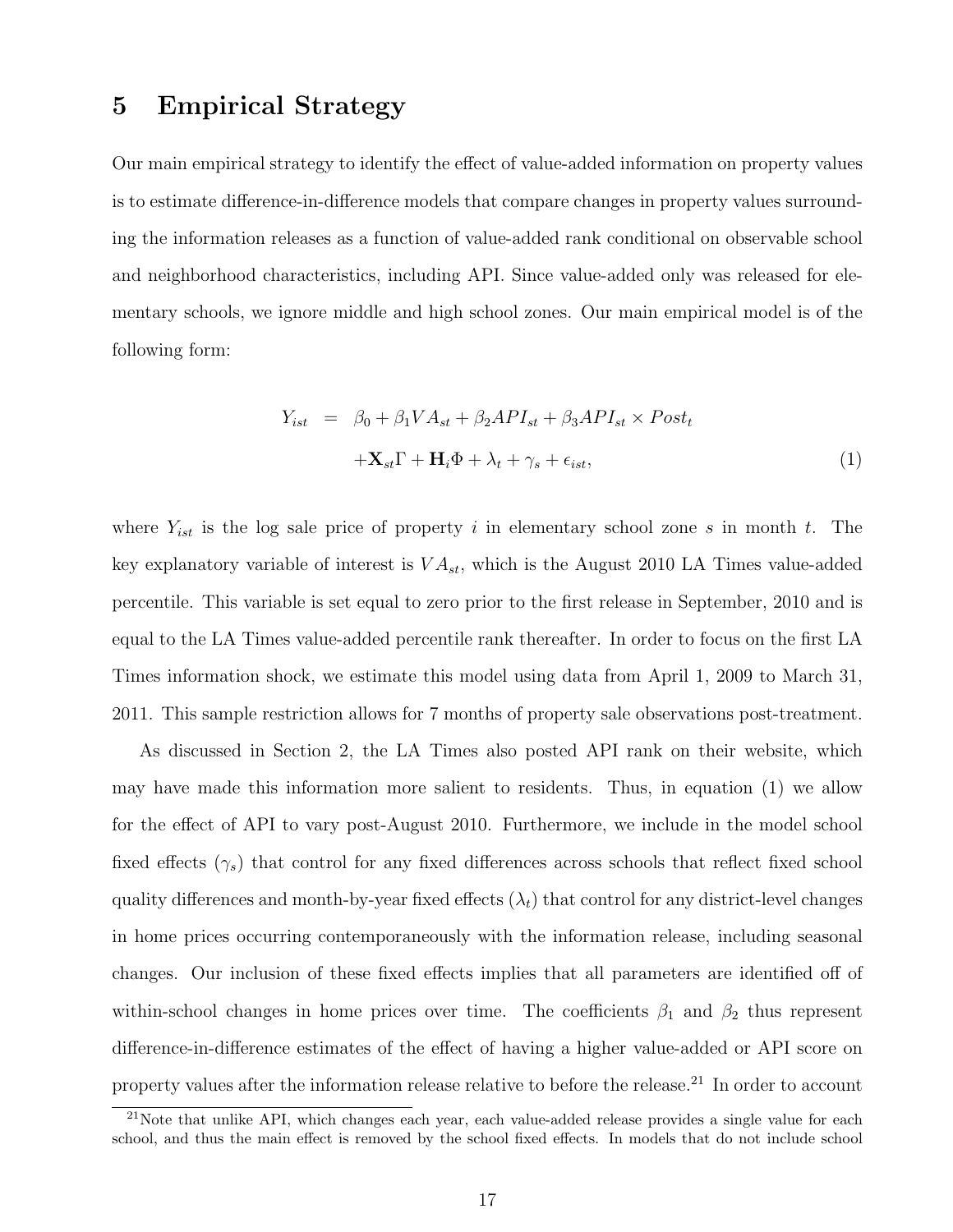### **5 Empirical Strategy**

Our main empirical strategy to identify the effect of value-added information on property values is to estimate difference-in-difference models that compare changes in property values surrounding the information releases as a function of value-added rank conditional on observable school and neighborhood characteristics, including API. Since value-added only was released for elementary schools, we ignore middle and high school zones. Our main empirical model is of the following form:

$$
Y_{ist} = \beta_0 + \beta_1 V A_{st} + \beta_2 A P I_{st} + \beta_3 A P I_{st} \times Post_t
$$

$$
+ \mathbf{X}_{st} \Gamma + \mathbf{H}_i \Phi + \lambda_t + \gamma_s + \epsilon_{ist}, \tag{1}
$$

where *Yist* is the log sale price of property *i* in elementary school zone *s* in month *t*. The key explanatory variable of interest is *V Ast*, which is the August 2010 LA Times value-added percentile. This variable is set equal to zero prior to the first release in September, 2010 and is equal to the LA Times value-added percentile rank thereafter. In order to focus on the first LA Times information shock, we estimate this model using data from April 1, 2009 to March 31, 2011. This sample restriction allows for 7 months of property sale observations post-treatment.

As discussed in Section 2, the LA Times also posted API rank on their website, which may have made this information more salient to residents. Thus, in equation (1) we allow for the effect of API to vary post-August 2010. Furthermore, we include in the model school fixed effects  $(\gamma_s)$  that control for any fixed differences across schools that reflect fixed school quality differences and month-by-year fixed effects  $(\lambda_t)$  that control for any district-level changes in home prices occurring contemporaneously with the information release, including seasonal changes. Our inclusion of these fixed effects implies that all parameters are identified off of within-school changes in home prices over time. The coefficients  $\beta_1$  and  $\beta_2$  thus represent difference-in-difference estimates of the effect of having a higher value-added or API score on property values after the information release relative to before the release.<sup>21</sup> In order to account

<sup>&</sup>lt;sup>21</sup>Note that unlike API, which changes each year, each value-added release provides a single value for each school, and thus the main effect is removed by the school fixed effects. In models that do not include school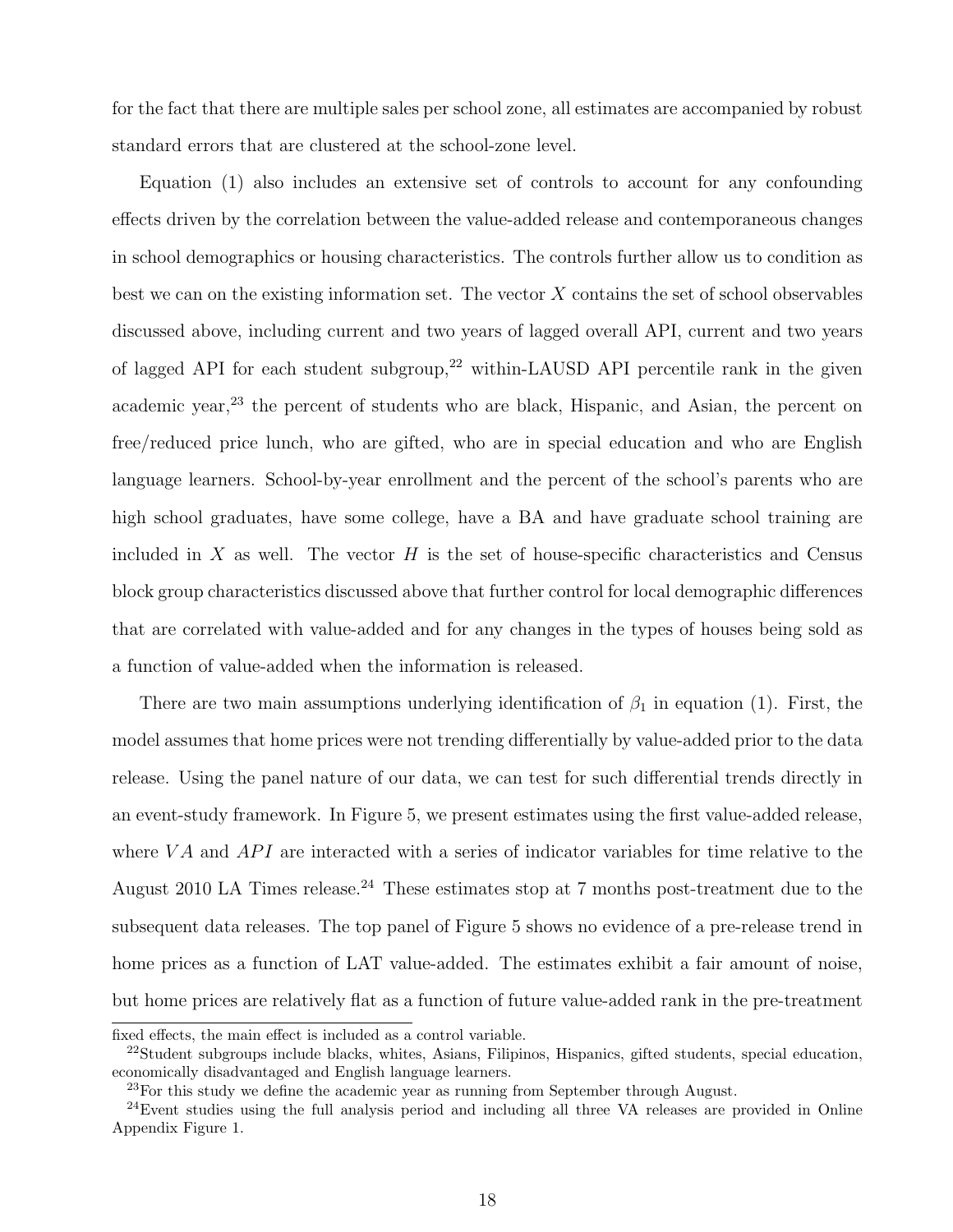for the fact that there are multiple sales per school zone, all estimates are accompanied by robust standard errors that are clustered at the school-zone level.

Equation (1) also includes an extensive set of controls to account for any confounding effects driven by the correlation between the value-added release and contemporaneous changes in school demographics or housing characteristics. The controls further allow us to condition as best we can on the existing information set. The vector *X* contains the set of school observables discussed above, including current and two years of lagged overall API, current and two years of lagged API for each student subgroup,<sup>22</sup> within-LAUSD API percentile rank in the given academic year,<sup>23</sup> the percent of students who are black, Hispanic, and Asian, the percent on free/reduced price lunch, who are gifted, who are in special education and who are English language learners. School-by-year enrollment and the percent of the school's parents who are high school graduates, have some college, have a BA and have graduate school training are included in  $X$  as well. The vector  $H$  is the set of house-specific characteristics and Census block group characteristics discussed above that further control for local demographic differences that are correlated with value-added and for any changes in the types of houses being sold as a function of value-added when the information is released.

There are two main assumptions underlying identification of  $\beta_1$  in equation (1). First, the model assumes that home prices were not trending differentially by value-added prior to the data release. Using the panel nature of our data, we can test for such differential trends directly in an event-study framework. In Figure 5, we present estimates using the first value-added release, where *VA* and *API* are interacted with a series of indicator variables for time relative to the August 2010 LA Times release.<sup>24</sup> These estimates stop at 7 months post-treatment due to the subsequent data releases. The top panel of Figure 5 shows no evidence of a pre-release trend in home prices as a function of LAT value-added. The estimates exhibit a fair amount of noise, but home prices are relatively flat as a function of future value-added rank in the pre-treatment

fixed effects, the main effect is included as a control variable.

 $^{22}$ Student subgroups include blacks, whites, Asians, Filipinos, Hispanics, gifted students, special education, economically disadvantaged and English language learners.

 $23$  For this study we define the academic year as running from September through August.

 $^{24}$ Event studies using the full analysis period and including all three VA releases are provided in Online Appendix Figure 1.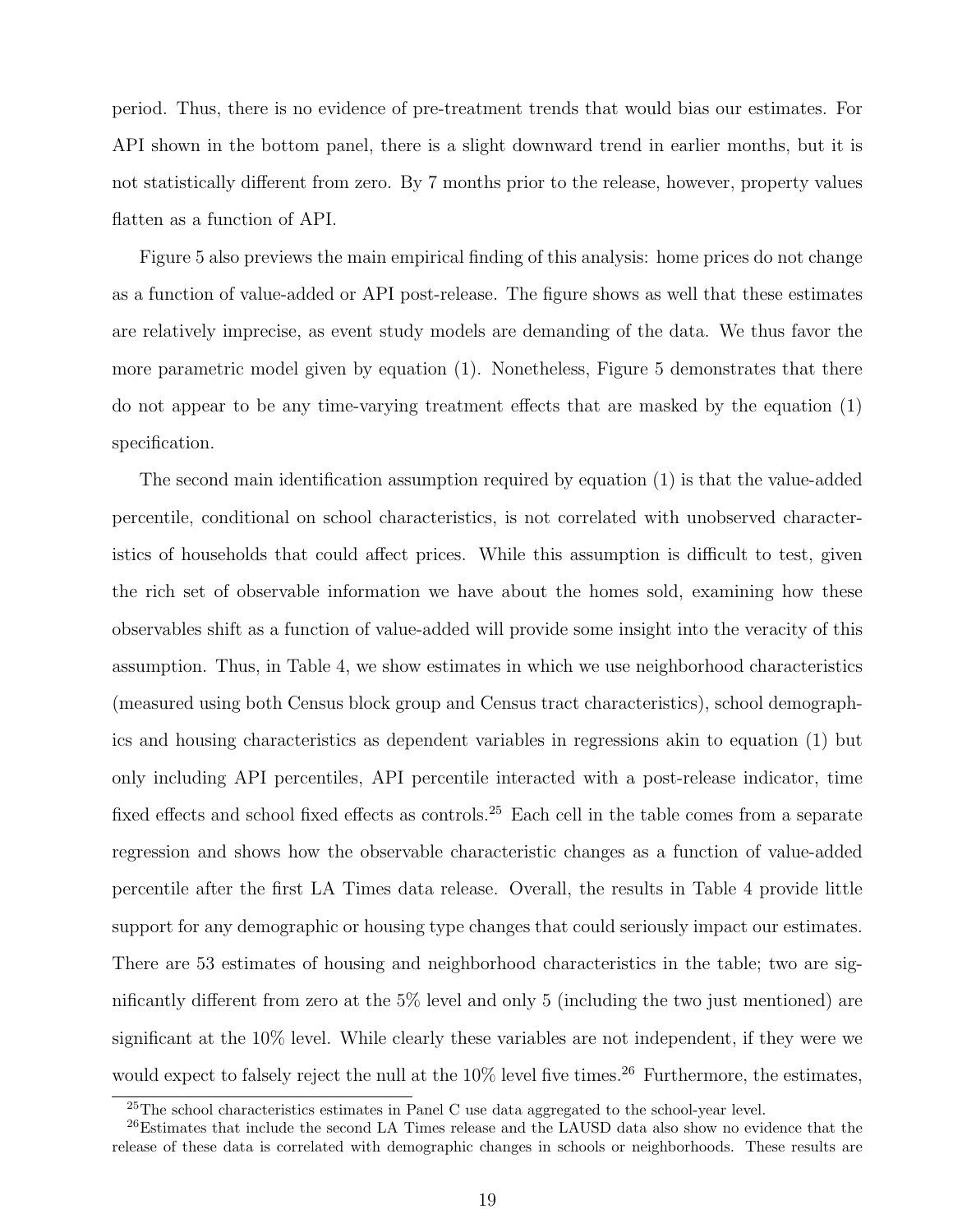period. Thus, there is no evidence of pre-treatment trends that would bias our estimates. For API shown in the bottom panel, there is a slight downward trend in earlier months, but it is not statistically different from zero. By 7 months prior to the release, however, property values flatten as a function of API.

Figure 5 also previews the main empirical finding of this analysis: home prices do not change as a function of value-added or API post-release. The figure shows as well that these estimates are relatively imprecise, as event study models are demanding of the data. We thus favor the more parametric model given by equation (1). Nonetheless, Figure 5 demonstrates that there do not appear to be any time-varying treatment effects that are masked by the equation (1) specification.

The second main identification assumption required by equation (1) is that the value-added percentile, conditional on school characteristics, is not correlated with unobserved characteristics of households that could affect prices. While this assumption is difficult to test, given the rich set of observable information we have about the homes sold, examining how these observables shift as a function of value-added will provide some insight into the veracity of this assumption. Thus, in Table 4, we show estimates in which we use neighborhood characteristics (measured using both Census block group and Census tract characteristics), school demographics and housing characteristics as dependent variables in regressions akin to equation (1) but only including API percentiles, API percentile interacted with a post-release indicator, time fixed effects and school fixed effects as controls.<sup>25</sup> Each cell in the table comes from a separate regression and shows how the observable characteristic changes as a function of value-added percentile after the first LA Times data release. Overall, the results in Table 4 provide little support for any demographic or housing type changes that could seriously impact our estimates. There are 53 estimates of housing and neighborhood characteristics in the table; two are significantly different from zero at the 5% level and only 5 (including the two just mentioned) are significant at the 10% level. While clearly these variables are not independent, if they were we would expect to falsely reject the null at the  $10\%$  level five times.<sup>26</sup> Furthermore, the estimates,

 $^{25}$ The school characteristics estimates in Panel C use data aggregated to the school-year level.

<sup>&</sup>lt;sup>26</sup>Estimates that include the second LA Times release and the LAUSD data also show no evidence that the release of these data is correlated with demographic changes in schools or neighborhoods. These results are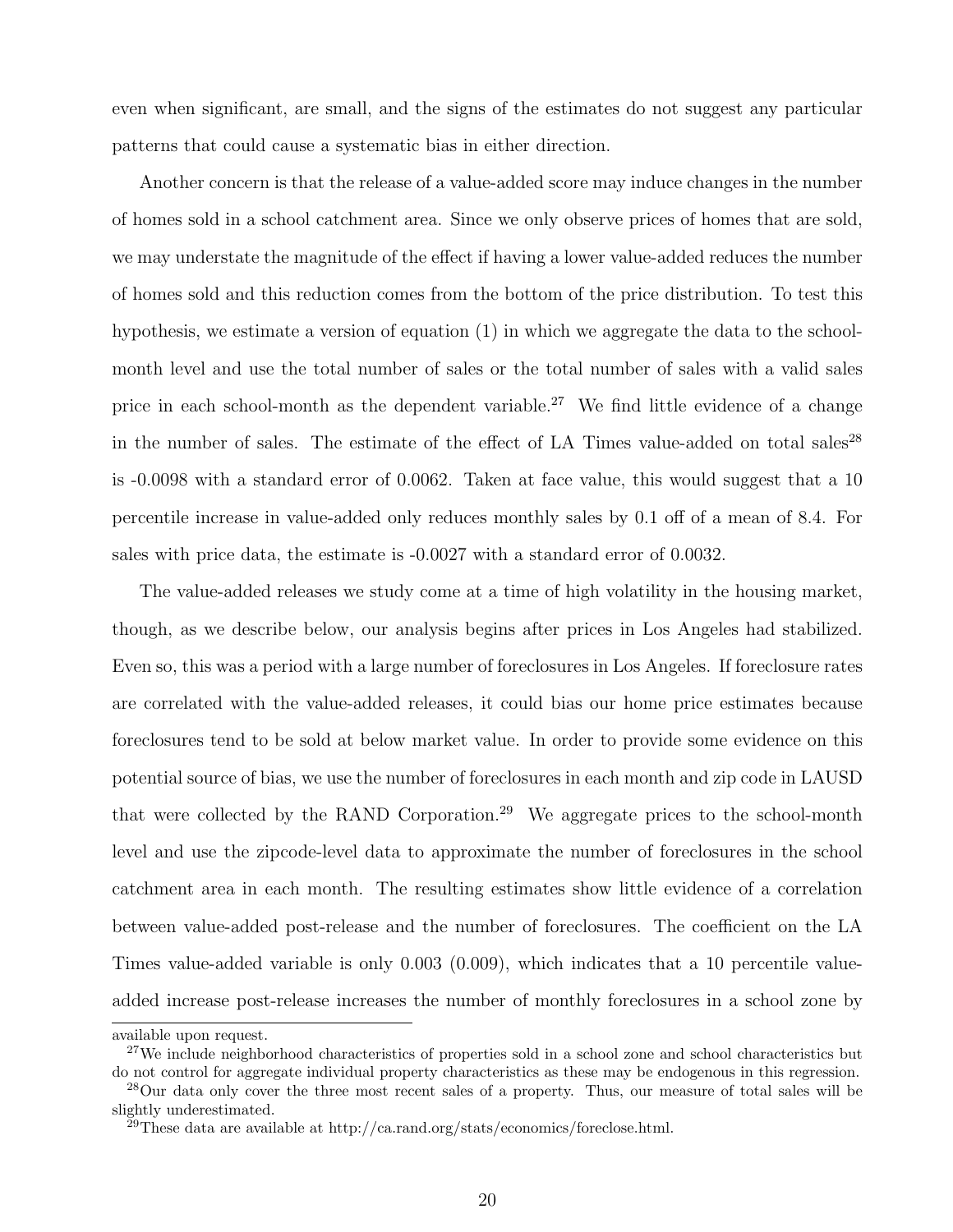even when significant, are small, and the signs of the estimates do not suggest any particular patterns that could cause a systematic bias in either direction.

Another concern is that the release of a value-added score may induce changes in the number of homes sold in a school catchment area. Since we only observe prices of homes that are sold, we may understate the magnitude of the effect if having a lower value-added reduces the number of homes sold and this reduction comes from the bottom of the price distribution. To test this hypothesis, we estimate a version of equation (1) in which we aggregate the data to the schoolmonth level and use the total number of sales or the total number of sales with a valid sales price in each school-month as the dependent variable.<sup>27</sup> We find little evidence of a change in the number of sales. The estimate of the effect of LA Times value-added on total sales<sup>28</sup> is -0.0098 with a standard error of 0.0062. Taken at face value, this would suggest that a 10 percentile increase in value-added only reduces monthly sales by 0.1 off of a mean of 8.4. For sales with price data, the estimate is -0.0027 with a standard error of 0.0032.

The value-added releases we study come at a time of high volatility in the housing market, though, as we describe below, our analysis begins after prices in Los Angeles had stabilized. Even so, this was a period with a large number of foreclosures in Los Angeles. If foreclosure rates are correlated with the value-added releases, it could bias our home price estimates because foreclosures tend to be sold at below market value. In order to provide some evidence on this potential source of bias, we use the number of foreclosures in each month and zip code in LAUSD that were collected by the RAND Corporation.<sup>29</sup> We aggregate prices to the school-month level and use the zipcode-level data to approximate the number of foreclosures in the school catchment area in each month. The resulting estimates show little evidence of a correlation between value-added post-release and the number of foreclosures. The coefficient on the LA Times value-added variable is only 0.003 (0.009), which indicates that a 10 percentile valueadded increase post-release increases the number of monthly foreclosures in a school zone by

available upon request.

<sup>&</sup>lt;sup>27</sup>We include neighborhood characteristics of properties sold in a school zone and school characteristics but do not control for aggregate individual property characteristics as these may be endogenous in this regression.

<sup>&</sup>lt;sup>28</sup>Our data only cover the three most recent sales of a property. Thus, our measure of total sales will be slightly underestimated.

<sup>&</sup>lt;sup>29</sup>These data are available at http://ca.rand.org/stats/economics/foreclose.html.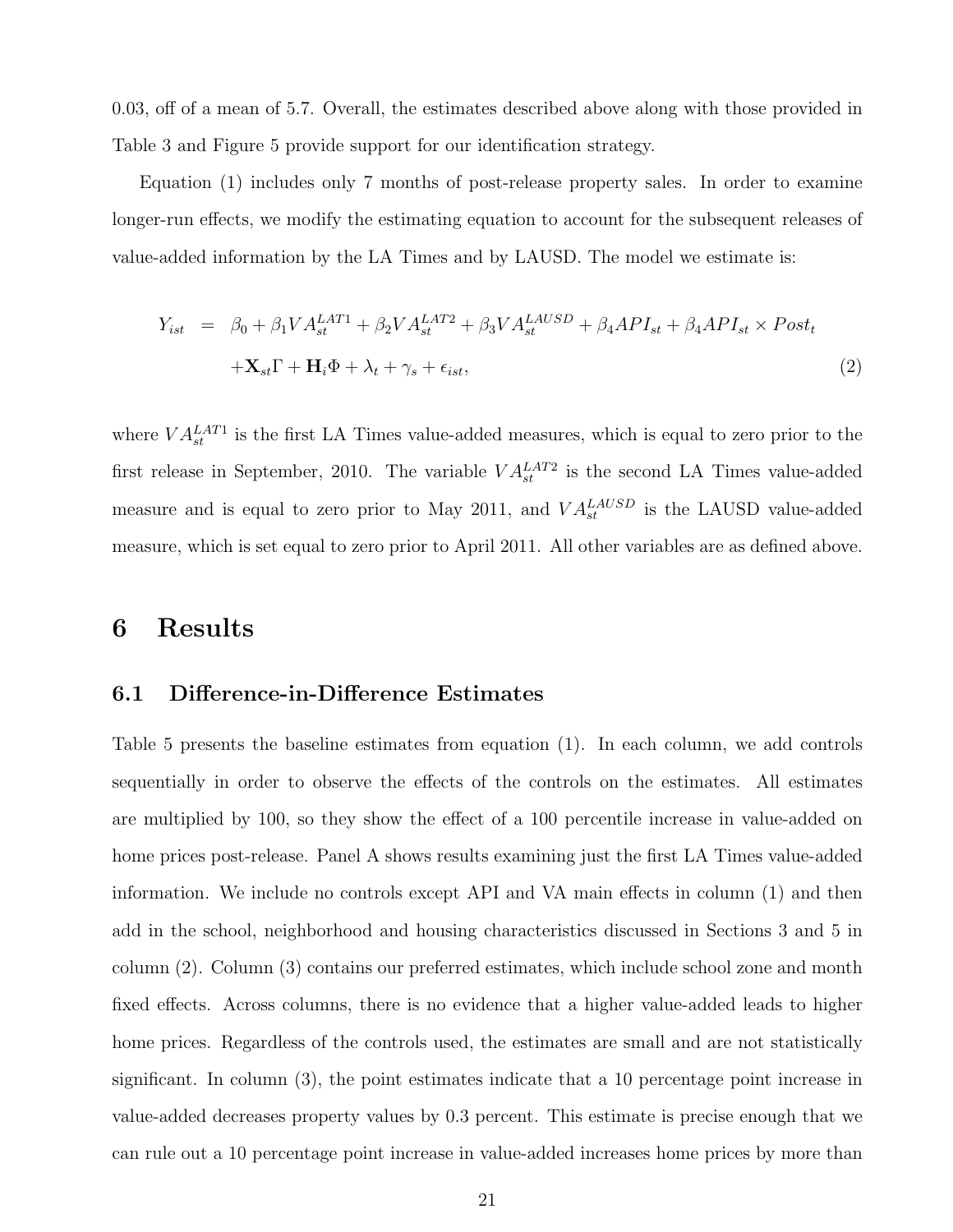0.03, off of a mean of 5.7. Overall, the estimates described above along with those provided in Table 3 and Figure 5 provide support for our identification strategy.

Equation (1) includes only 7 months of post-release property sales. In order to examine longer-run effects, we modify the estimating equation to account for the subsequent releases of value-added information by the LA Times and by LAUSD. The model we estimate is:

$$
Y_{ist} = \beta_0 + \beta_1 V A_{st}^{LAT1} + \beta_2 V A_{st}^{LAT2} + \beta_3 V A_{st}^{LAUSD} + \beta_4 API_{st} + \beta_4 API_{st} \times Post_t
$$
  
+
$$
\mathbf{X}_{st} \Gamma + \mathbf{H}_i \Phi + \lambda_t + \gamma_s + \epsilon_{ist},
$$
 (2)

where  $VA_{st}^{LAT1}$  is the first LA Times value-added measures, which is equal to zero prior to the first release in September, 2010. The variable  $VA_{st}^{LAT2}$  is the second LA Times value-added measure and is equal to zero prior to May 2011, and  $VA_{st}^{LAUSD}$  is the LAUSD value-added measure, which is set equal to zero prior to April 2011. All other variables are as defined above.

### **6 Results**

#### **6.1 Difference-in-Difference Estimates**

Table 5 presents the baseline estimates from equation (1). In each column, we add controls sequentially in order to observe the effects of the controls on the estimates. All estimates are multiplied by 100, so they show the effect of a 100 percentile increase in value-added on home prices post-release. Panel A shows results examining just the first LA Times value-added information. We include no controls except API and VA main effects in column (1) and then add in the school, neighborhood and housing characteristics discussed in Sections 3 and 5 in column (2). Column (3) contains our preferred estimates, which include school zone and month fixed effects. Across columns, there is no evidence that a higher value-added leads to higher home prices. Regardless of the controls used, the estimates are small and are not statistically significant. In column (3), the point estimates indicate that a 10 percentage point increase in value-added decreases property values by 0.3 percent. This estimate is precise enough that we can rule out a 10 percentage point increase in value-added increases home prices by more than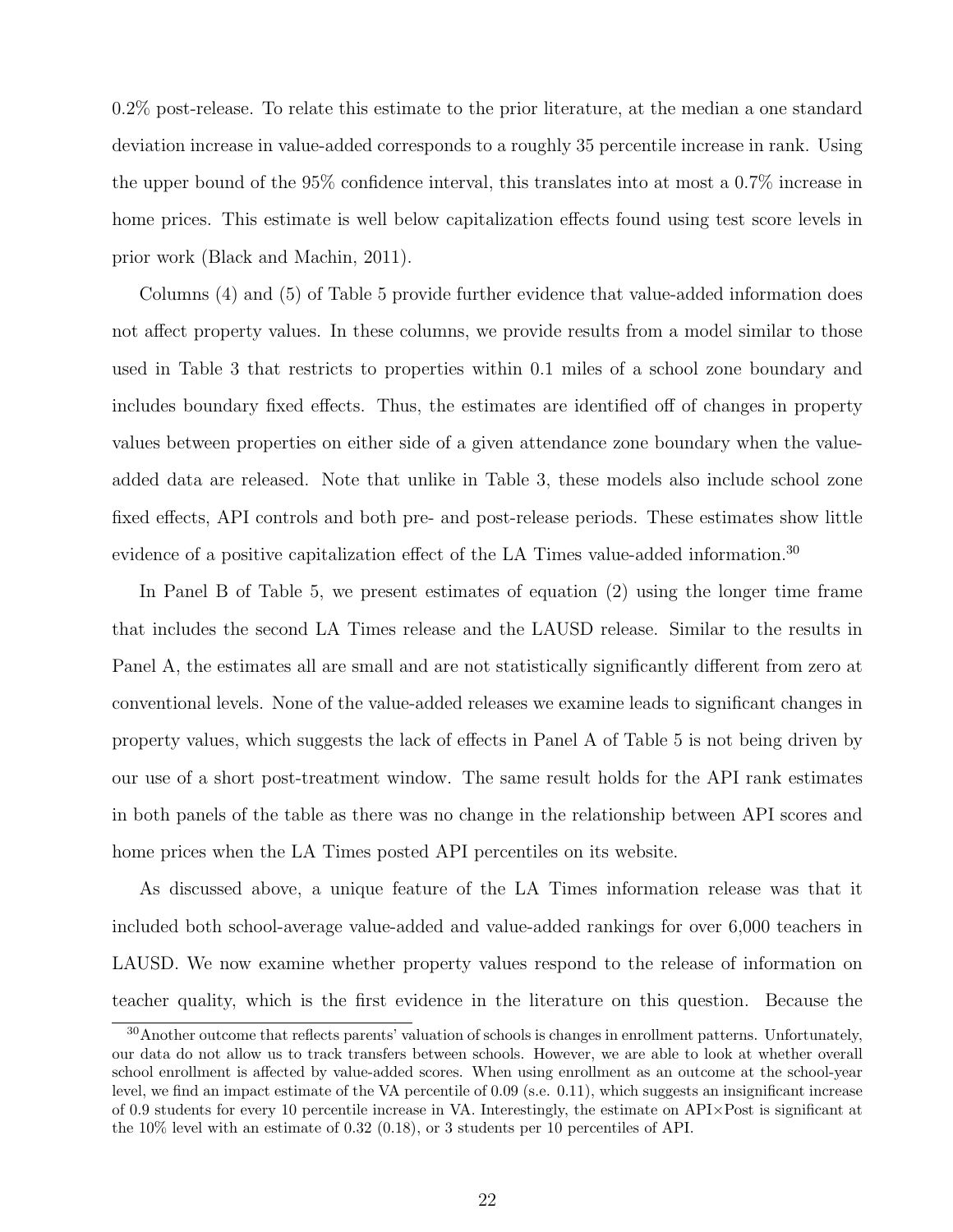0.2% post-release. To relate this estimate to the prior literature, at the median a one standard deviation increase in value-added corresponds to a roughly 35 percentile increase in rank. Using the upper bound of the 95% confidence interval, this translates into at most a 0.7% increase in home prices. This estimate is well below capitalization effects found using test score levels in prior work (Black and Machin, 2011).

Columns (4) and (5) of Table 5 provide further evidence that value-added information does not affect property values. In these columns, we provide results from a model similar to those used in Table 3 that restricts to properties within 0.1 miles of a school zone boundary and includes boundary fixed effects. Thus, the estimates are identified off of changes in property values between properties on either side of a given attendance zone boundary when the valueadded data are released. Note that unlike in Table 3, these models also include school zone fixed effects, API controls and both pre- and post-release periods. These estimates show little evidence of a positive capitalization effect of the LA Times value-added information.<sup>30</sup>

In Panel B of Table 5, we present estimates of equation (2) using the longer time frame that includes the second LA Times release and the LAUSD release. Similar to the results in Panel A, the estimates all are small and are not statistically significantly different from zero at conventional levels. None of the value-added releases we examine leads to significant changes in property values, which suggests the lack of effects in Panel A of Table 5 is not being driven by our use of a short post-treatment window. The same result holds for the API rank estimates in both panels of the table as there was no change in the relationship between API scores and home prices when the LA Times posted API percentiles on its website.

As discussed above, a unique feature of the LA Times information release was that it included both school-average value-added and value-added rankings for over 6,000 teachers in LAUSD. We now examine whether property values respond to the release of information on teacher quality, which is the first evidence in the literature on this question. Because the

<sup>30</sup>Another outcome that reflects parents' valuation of schools is changes in enrollment patterns. Unfortunately, our data do not allow us to track transfers between schools. However, we are able to look at whether overall school enrollment is affected by value-added scores. When using enrollment as an outcome at the school-year level, we find an impact estimate of the VA percentile of 0.09 (s.e. 0.11), which suggests an insignificant increase of 0.9 students for every 10 percentile increase in VA. Interestingly, the estimate on API*×*Post is significant at the 10% level with an estimate of 0.32 (0.18), or 3 students per 10 percentiles of API.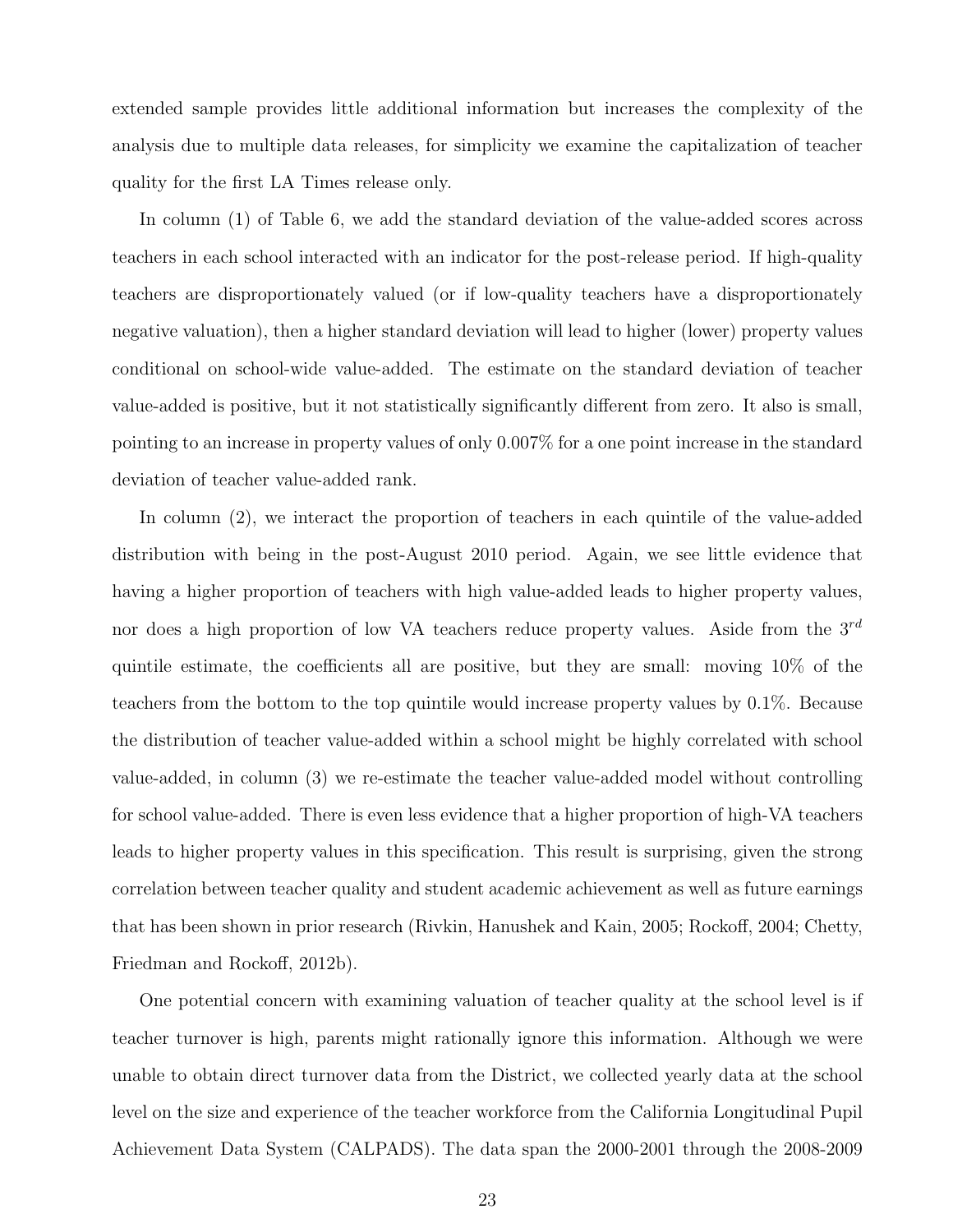extended sample provides little additional information but increases the complexity of the analysis due to multiple data releases, for simplicity we examine the capitalization of teacher quality for the first LA Times release only.

In column (1) of Table 6, we add the standard deviation of the value-added scores across teachers in each school interacted with an indicator for the post-release period. If high-quality teachers are disproportionately valued (or if low-quality teachers have a disproportionately negative valuation), then a higher standard deviation will lead to higher (lower) property values conditional on school-wide value-added. The estimate on the standard deviation of teacher value-added is positive, but it not statistically significantly different from zero. It also is small, pointing to an increase in property values of only 0.007% for a one point increase in the standard deviation of teacher value-added rank.

In column (2), we interact the proportion of teachers in each quintile of the value-added distribution with being in the post-August 2010 period. Again, we see little evidence that having a higher proportion of teachers with high value-added leads to higher property values, nor does a high proportion of low VA teachers reduce property values. Aside from the 3*rd* quintile estimate, the coefficients all are positive, but they are small: moving 10% of the teachers from the bottom to the top quintile would increase property values by 0.1%. Because the distribution of teacher value-added within a school might be highly correlated with school value-added, in column (3) we re-estimate the teacher value-added model without controlling for school value-added. There is even less evidence that a higher proportion of high-VA teachers leads to higher property values in this specification. This result is surprising, given the strong correlation between teacher quality and student academic achievement as well as future earnings that has been shown in prior research (Rivkin, Hanushek and Kain, 2005; Rockoff, 2004; Chetty, Friedman and Rockoff, 2012b).

One potential concern with examining valuation of teacher quality at the school level is if teacher turnover is high, parents might rationally ignore this information. Although we were unable to obtain direct turnover data from the District, we collected yearly data at the school level on the size and experience of the teacher workforce from the California Longitudinal Pupil Achievement Data System (CALPADS). The data span the 2000-2001 through the 2008-2009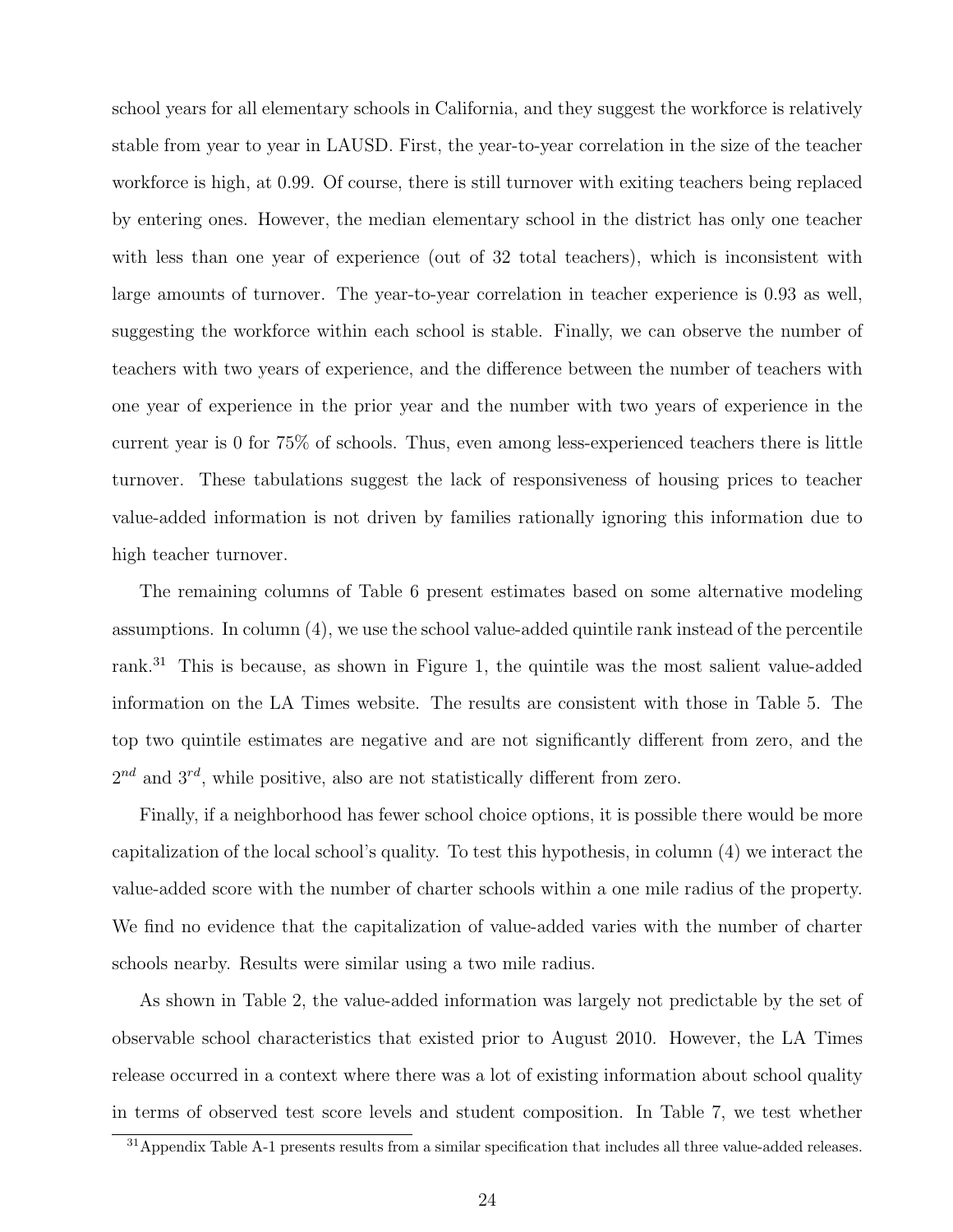school years for all elementary schools in California, and they suggest the workforce is relatively stable from year to year in LAUSD. First, the year-to-year correlation in the size of the teacher workforce is high, at 0.99. Of course, there is still turnover with exiting teachers being replaced by entering ones. However, the median elementary school in the district has only one teacher with less than one year of experience (out of 32 total teachers), which is inconsistent with large amounts of turnover. The year-to-year correlation in teacher experience is 0.93 as well, suggesting the workforce within each school is stable. Finally, we can observe the number of teachers with two years of experience, and the difference between the number of teachers with one year of experience in the prior year and the number with two years of experience in the current year is 0 for 75% of schools. Thus, even among less-experienced teachers there is little turnover. These tabulations suggest the lack of responsiveness of housing prices to teacher value-added information is not driven by families rationally ignoring this information due to high teacher turnover.

The remaining columns of Table 6 present estimates based on some alternative modeling assumptions. In column (4), we use the school value-added quintile rank instead of the percentile rank.<sup>31</sup> This is because, as shown in Figure 1, the quintile was the most salient value-added information on the LA Times website. The results are consistent with those in Table 5. The top two quintile estimates are negative and are not significantly different from zero, and the  $2^{nd}$  and  $3^{rd}$ , while positive, also are not statistically different from zero.

Finally, if a neighborhood has fewer school choice options, it is possible there would be more capitalization of the local school's quality. To test this hypothesis, in column (4) we interact the value-added score with the number of charter schools within a one mile radius of the property. We find no evidence that the capitalization of value-added varies with the number of charter schools nearby. Results were similar using a two mile radius.

As shown in Table 2, the value-added information was largely not predictable by the set of observable school characteristics that existed prior to August 2010. However, the LA Times release occurred in a context where there was a lot of existing information about school quality in terms of observed test score levels and student composition. In Table 7, we test whether

<sup>31</sup>Appendix Table A-1 presents results from a similar specification that includes all three value-added releases.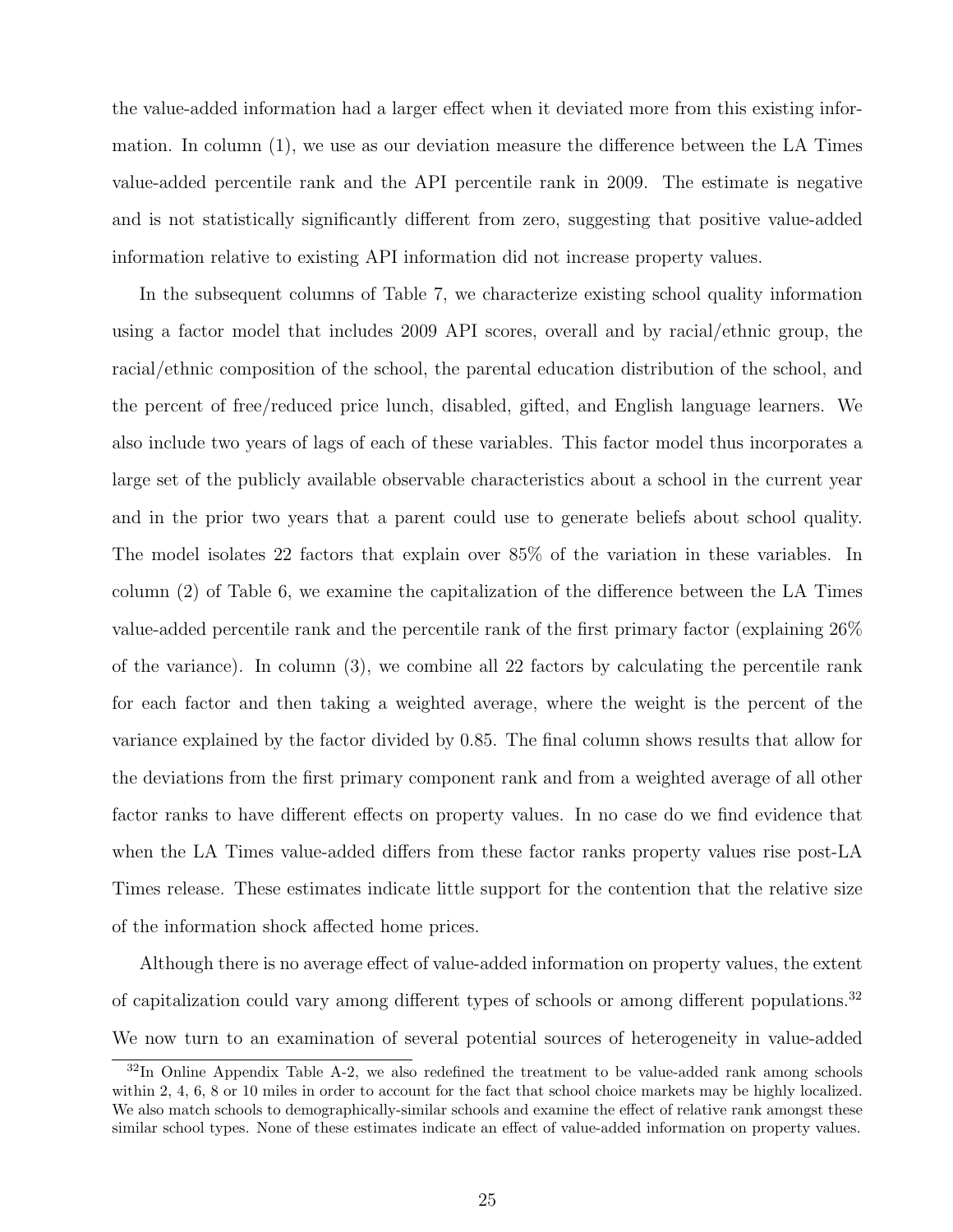the value-added information had a larger effect when it deviated more from this existing information. In column (1), we use as our deviation measure the difference between the LA Times value-added percentile rank and the API percentile rank in 2009. The estimate is negative and is not statistically significantly different from zero, suggesting that positive value-added information relative to existing API information did not increase property values.

In the subsequent columns of Table 7, we characterize existing school quality information using a factor model that includes 2009 API scores, overall and by racial/ethnic group, the racial/ethnic composition of the school, the parental education distribution of the school, and the percent of free/reduced price lunch, disabled, gifted, and English language learners. We also include two years of lags of each of these variables. This factor model thus incorporates a large set of the publicly available observable characteristics about a school in the current year and in the prior two years that a parent could use to generate beliefs about school quality. The model isolates 22 factors that explain over 85% of the variation in these variables. In column (2) of Table 6, we examine the capitalization of the difference between the LA Times value-added percentile rank and the percentile rank of the first primary factor (explaining 26% of the variance). In column (3), we combine all 22 factors by calculating the percentile rank for each factor and then taking a weighted average, where the weight is the percent of the variance explained by the factor divided by 0.85. The final column shows results that allow for the deviations from the first primary component rank and from a weighted average of all other factor ranks to have different effects on property values. In no case do we find evidence that when the LA Times value-added differs from these factor ranks property values rise post-LA Times release. These estimates indicate little support for the contention that the relative size of the information shock affected home prices.

Although there is no average effect of value-added information on property values, the extent of capitalization could vary among different types of schools or among different populations.<sup>32</sup> We now turn to an examination of several potential sources of heterogeneity in value-added

 $32$ In Online Appendix Table A-2, we also redefined the treatment to be value-added rank among schools within 2, 4, 6, 8 or 10 miles in order to account for the fact that school choice markets may be highly localized. We also match schools to demographically-similar schools and examine the effect of relative rank amongst these similar school types. None of these estimates indicate an effect of value-added information on property values.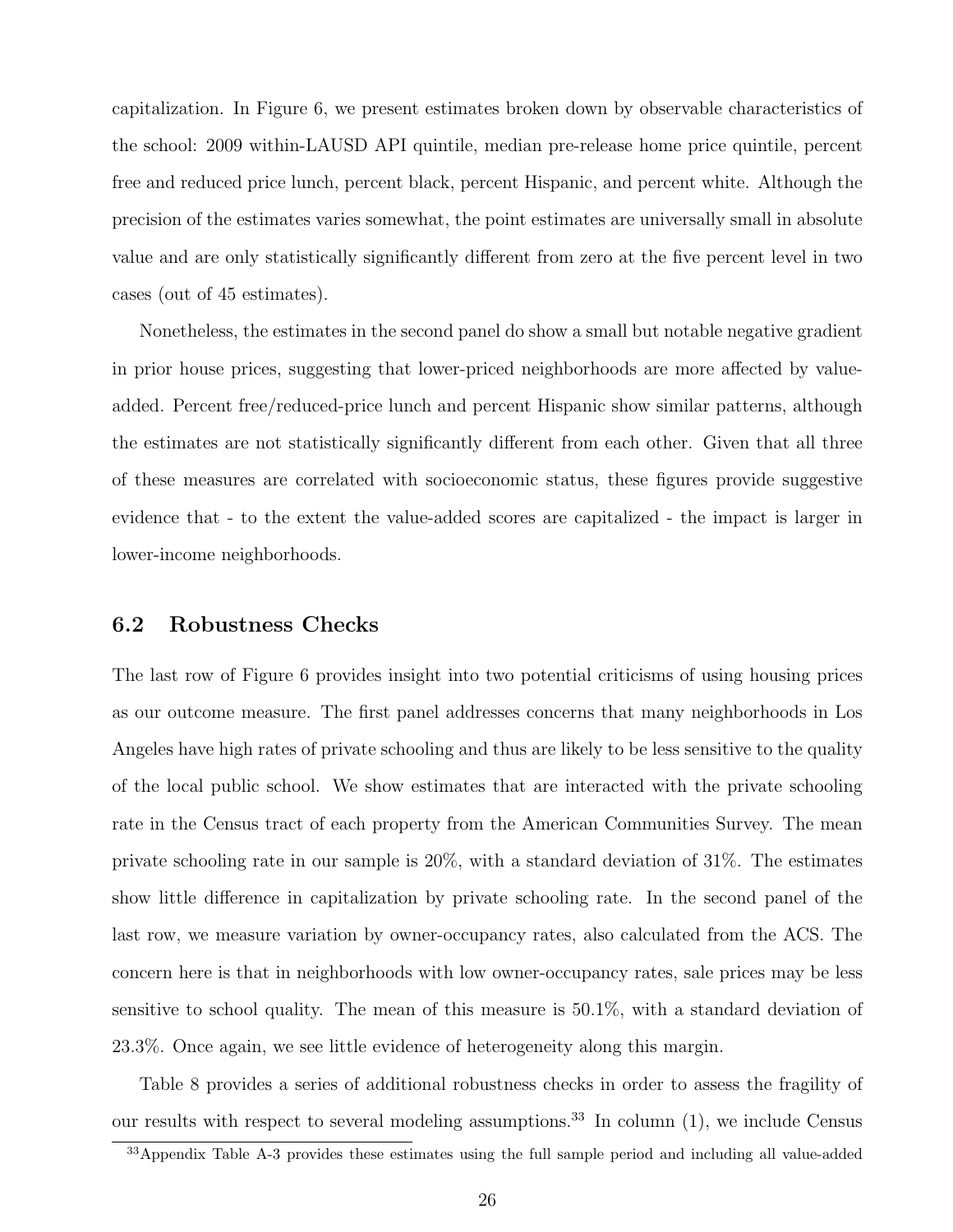capitalization. In Figure 6, we present estimates broken down by observable characteristics of the school: 2009 within-LAUSD API quintile, median pre-release home price quintile, percent free and reduced price lunch, percent black, percent Hispanic, and percent white. Although the precision of the estimates varies somewhat, the point estimates are universally small in absolute value and are only statistically significantly different from zero at the five percent level in two cases (out of 45 estimates).

Nonetheless, the estimates in the second panel do show a small but notable negative gradient in prior house prices, suggesting that lower-priced neighborhoods are more affected by valueadded. Percent free/reduced-price lunch and percent Hispanic show similar patterns, although the estimates are not statistically significantly different from each other. Given that all three of these measures are correlated with socioeconomic status, these figures provide suggestive evidence that - to the extent the value-added scores are capitalized - the impact is larger in lower-income neighborhoods.

#### **6.2 Robustness Checks**

The last row of Figure 6 provides insight into two potential criticisms of using housing prices as our outcome measure. The first panel addresses concerns that many neighborhoods in Los Angeles have high rates of private schooling and thus are likely to be less sensitive to the quality of the local public school. We show estimates that are interacted with the private schooling rate in the Census tract of each property from the American Communities Survey. The mean private schooling rate in our sample is 20%, with a standard deviation of 31%. The estimates show little difference in capitalization by private schooling rate. In the second panel of the last row, we measure variation by owner-occupancy rates, also calculated from the ACS. The concern here is that in neighborhoods with low owner-occupancy rates, sale prices may be less sensitive to school quality. The mean of this measure is 50*.*1%, with a standard deviation of 23*.*3%. Once again, we see little evidence of heterogeneity along this margin.

Table 8 provides a series of additional robustness checks in order to assess the fragility of our results with respect to several modeling assumptions.<sup>33</sup> In column  $(1)$ , we include Census

<sup>33</sup>Appendix Table A-3 provides these estimates using the full sample period and including all value-added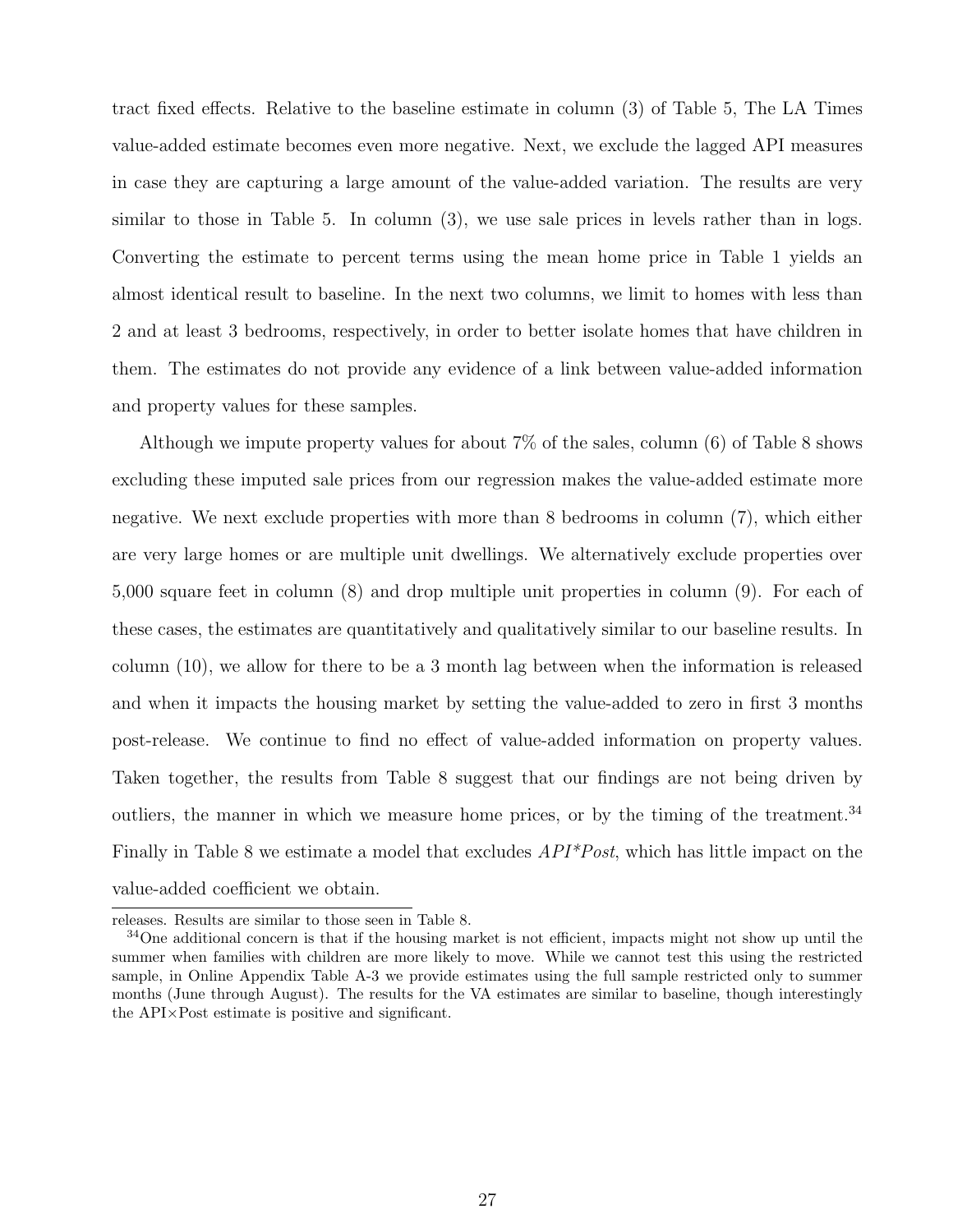tract fixed effects. Relative to the baseline estimate in column (3) of Table 5, The LA Times value-added estimate becomes even more negative. Next, we exclude the lagged API measures in case they are capturing a large amount of the value-added variation. The results are very similar to those in Table 5. In column (3), we use sale prices in levels rather than in logs. Converting the estimate to percent terms using the mean home price in Table 1 yields an almost identical result to baseline. In the next two columns, we limit to homes with less than 2 and at least 3 bedrooms, respectively, in order to better isolate homes that have children in them. The estimates do not provide any evidence of a link between value-added information and property values for these samples.

Although we impute property values for about 7% of the sales, column (6) of Table 8 shows excluding these imputed sale prices from our regression makes the value-added estimate more negative. We next exclude properties with more than 8 bedrooms in column (7), which either are very large homes or are multiple unit dwellings. We alternatively exclude properties over 5,000 square feet in column (8) and drop multiple unit properties in column (9). For each of these cases, the estimates are quantitatively and qualitatively similar to our baseline results. In column (10), we allow for there to be a 3 month lag between when the information is released and when it impacts the housing market by setting the value-added to zero in first 3 months post-release. We continue to find no effect of value-added information on property values. Taken together, the results from Table 8 suggest that our findings are not being driven by outliers, the manner in which we measure home prices, or by the timing of the treatment.<sup>34</sup> Finally in Table 8 we estimate a model that excludes *API\*Post*, which has little impact on the value-added coefficient we obtain.

releases. Results are similar to those seen in Table 8.

<sup>&</sup>lt;sup>34</sup>One additional concern is that if the housing market is not efficient, impacts might not show up until the summer when families with children are more likely to move. While we cannot test this using the restricted sample, in Online Appendix Table A-3 we provide estimates using the full sample restricted only to summer months (June through August). The results for the VA estimates are similar to baseline, though interestingly the API*×*Post estimate is positive and significant.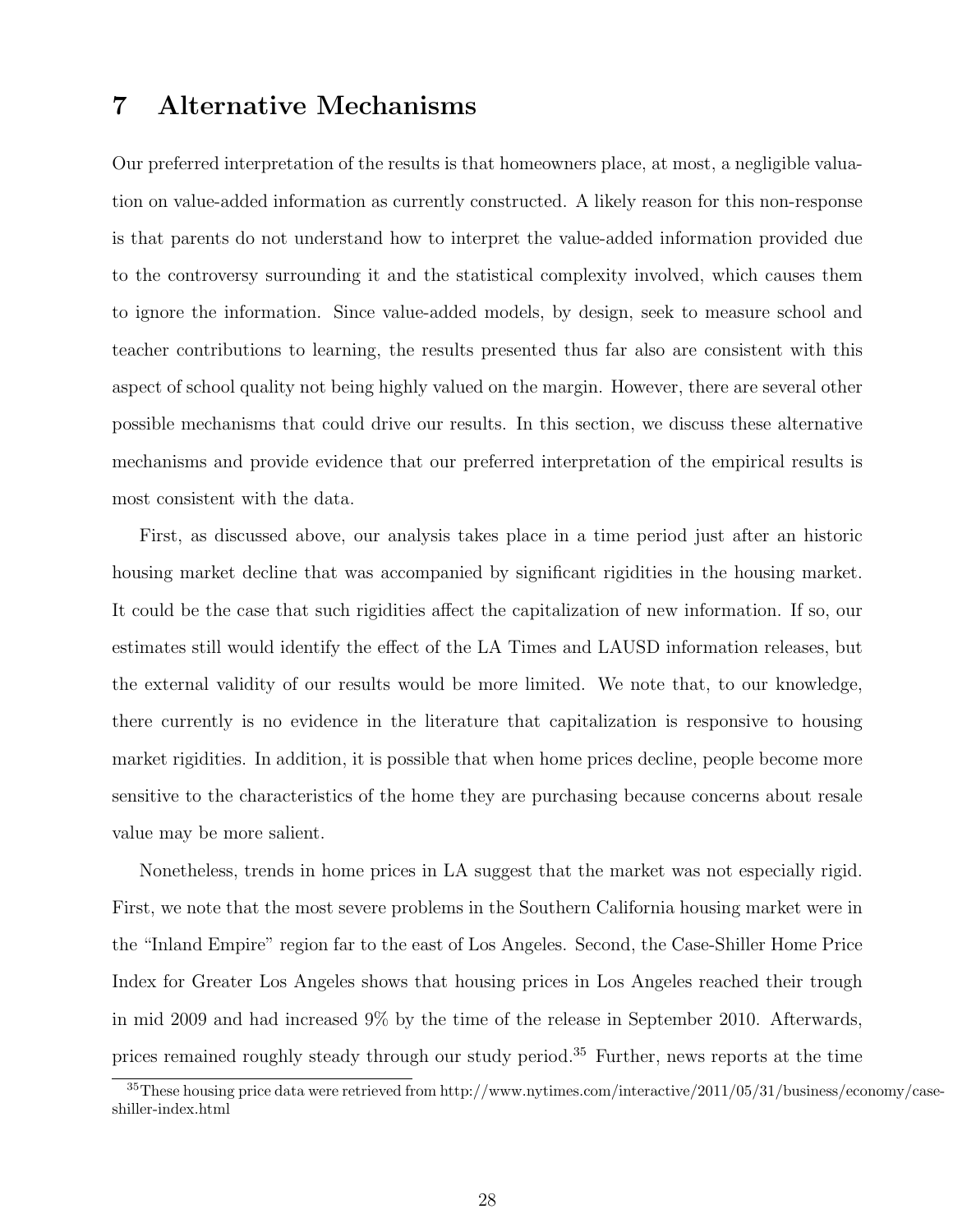### **7 Alternative Mechanisms**

Our preferred interpretation of the results is that homeowners place, at most, a negligible valuation on value-added information as currently constructed. A likely reason for this non-response is that parents do not understand how to interpret the value-added information provided due to the controversy surrounding it and the statistical complexity involved, which causes them to ignore the information. Since value-added models, by design, seek to measure school and teacher contributions to learning, the results presented thus far also are consistent with this aspect of school quality not being highly valued on the margin. However, there are several other possible mechanisms that could drive our results. In this section, we discuss these alternative mechanisms and provide evidence that our preferred interpretation of the empirical results is most consistent with the data.

First, as discussed above, our analysis takes place in a time period just after an historic housing market decline that was accompanied by significant rigidities in the housing market. It could be the case that such rigidities affect the capitalization of new information. If so, our estimates still would identify the effect of the LA Times and LAUSD information releases, but the external validity of our results would be more limited. We note that, to our knowledge, there currently is no evidence in the literature that capitalization is responsive to housing market rigidities. In addition, it is possible that when home prices decline, people become more sensitive to the characteristics of the home they are purchasing because concerns about resale value may be more salient.

Nonetheless, trends in home prices in LA suggest that the market was not especially rigid. First, we note that the most severe problems in the Southern California housing market were in the "Inland Empire" region far to the east of Los Angeles. Second, the Case-Shiller Home Price Index for Greater Los Angeles shows that housing prices in Los Angeles reached their trough in mid 2009 and had increased 9% by the time of the release in September 2010. Afterwards, prices remained roughly steady through our study period.<sup>35</sup> Further, news reports at the time

 $^{35}\rm{These}$  housing price data were retrieved from http://www.nytimes.com/interactive/2011/05/31/business/economy/caseshiller-index.html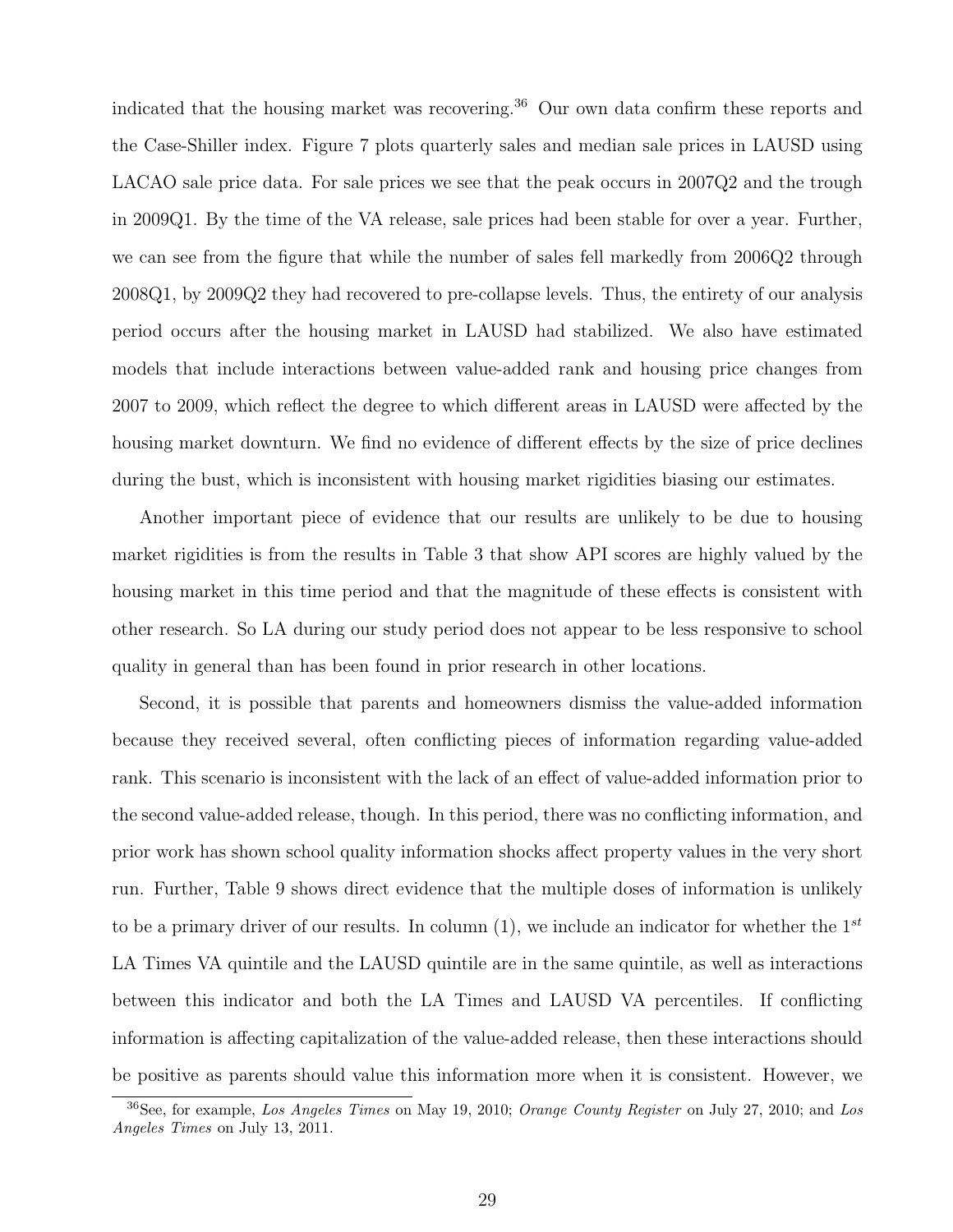indicated that the housing market was recovering.<sup>36</sup> Our own data confirm these reports and the Case-Shiller index. Figure 7 plots quarterly sales and median sale prices in LAUSD using LACAO sale price data. For sale prices we see that the peak occurs in 2007Q2 and the trough in 2009Q1. By the time of the VA release, sale prices had been stable for over a year. Further, we can see from the figure that while the number of sales fell markedly from 2006Q2 through 2008Q1, by 2009Q2 they had recovered to pre-collapse levels. Thus, the entirety of our analysis period occurs after the housing market in LAUSD had stabilized. We also have estimated models that include interactions between value-added rank and housing price changes from 2007 to 2009, which reflect the degree to which different areas in LAUSD were affected by the housing market downturn. We find no evidence of different effects by the size of price declines during the bust, which is inconsistent with housing market rigidities biasing our estimates.

Another important piece of evidence that our results are unlikely to be due to housing market rigidities is from the results in Table 3 that show API scores are highly valued by the housing market in this time period and that the magnitude of these effects is consistent with other research. So LA during our study period does not appear to be less responsive to school quality in general than has been found in prior research in other locations.

Second, it is possible that parents and homeowners dismiss the value-added information because they received several, often conflicting pieces of information regarding value-added rank. This scenario is inconsistent with the lack of an effect of value-added information prior to the second value-added release, though. In this period, there was no conflicting information, and prior work has shown school quality information shocks affect property values in the very short run. Further, Table 9 shows direct evidence that the multiple doses of information is unlikely to be a primary driver of our results. In column (1), we include an indicator for whether the 1*st* LA Times VA quintile and the LAUSD quintile are in the same quintile, as well as interactions between this indicator and both the LA Times and LAUSD VA percentiles. If conflicting information is affecting capitalization of the value-added release, then these interactions should be positive as parents should value this information more when it is consistent. However, we

<sup>36</sup>See, for example, *Los Angeles Times* on May 19, 2010; *Orange County Register* on July 27, 2010; and *Los Angeles Times* on July 13, 2011.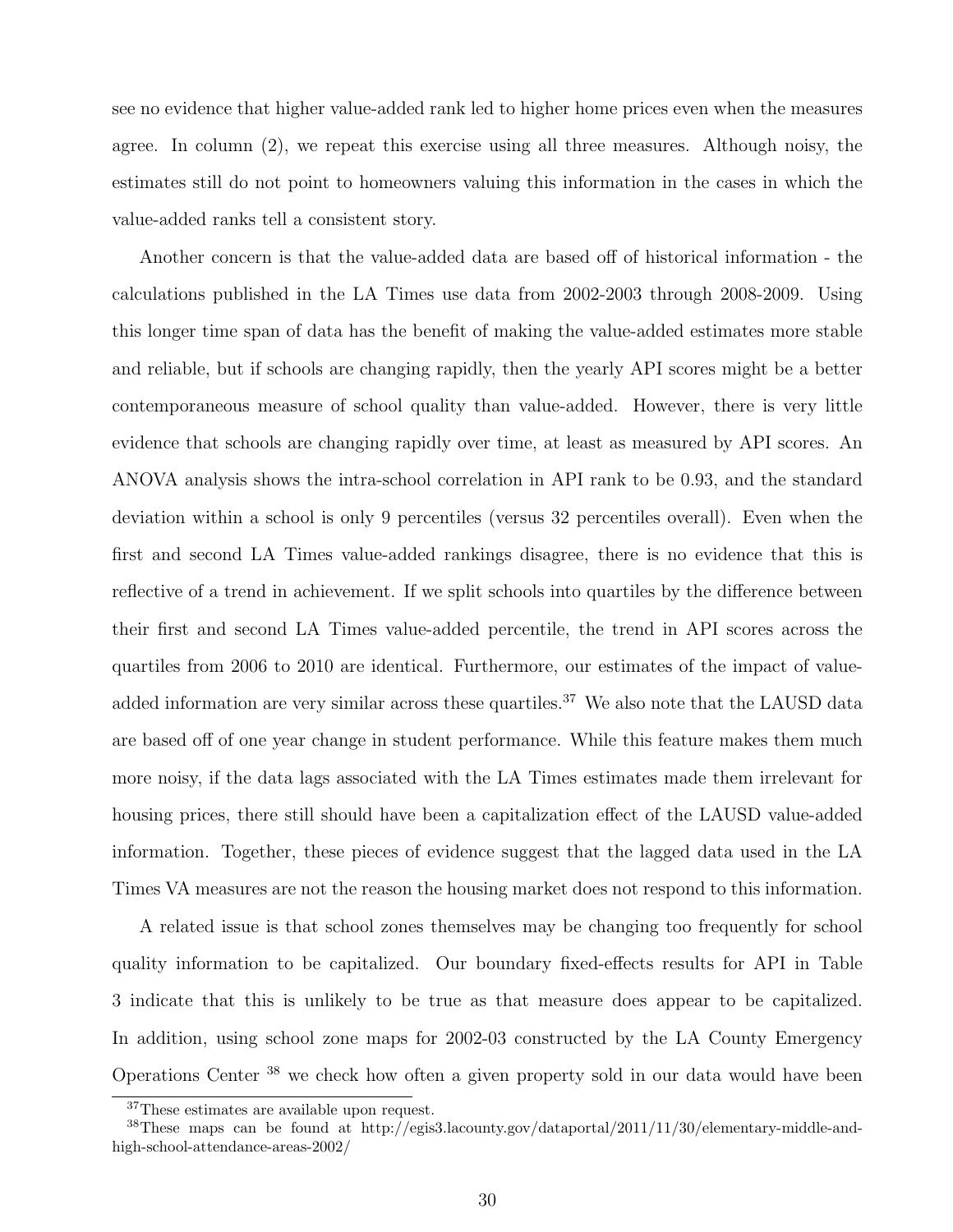see no evidence that higher value-added rank led to higher home prices even when the measures agree. In column (2), we repeat this exercise using all three measures. Although noisy, the estimates still do not point to homeowners valuing this information in the cases in which the value-added ranks tell a consistent story.

Another concern is that the value-added data are based off of historical information - the calculations published in the LA Times use data from 2002-2003 through 2008-2009. Using this longer time span of data has the benefit of making the value-added estimates more stable and reliable, but if schools are changing rapidly, then the yearly API scores might be a better contemporaneous measure of school quality than value-added. However, there is very little evidence that schools are changing rapidly over time, at least as measured by API scores. An ANOVA analysis shows the intra-school correlation in API rank to be 0.93, and the standard deviation within a school is only 9 percentiles (versus 32 percentiles overall). Even when the first and second LA Times value-added rankings disagree, there is no evidence that this is reflective of a trend in achievement. If we split schools into quartiles by the difference between their first and second LA Times value-added percentile, the trend in API scores across the quartiles from 2006 to 2010 are identical. Furthermore, our estimates of the impact of valueadded information are very similar across these quartiles.<sup>37</sup> We also note that the LAUSD data are based off of one year change in student performance. While this feature makes them much more noisy, if the data lags associated with the LA Times estimates made them irrelevant for housing prices, there still should have been a capitalization effect of the LAUSD value-added information. Together, these pieces of evidence suggest that the lagged data used in the LA Times VA measures are not the reason the housing market does not respond to this information.

A related issue is that school zones themselves may be changing too frequently for school quality information to be capitalized. Our boundary fixed-effects results for API in Table 3 indicate that this is unlikely to be true as that measure does appear to be capitalized. In addition, using school zone maps for 2002-03 constructed by the LA County Emergency Operations Center <sup>38</sup> we check how often a given property sold in our data would have been

<sup>&</sup>lt;sup>37</sup>These estimates are available upon request.

<sup>38</sup>These maps can be found at http://egis3.lacounty.gov/dataportal/2011/11/30/elementary-middle-andhigh-school-attendance-areas-2002/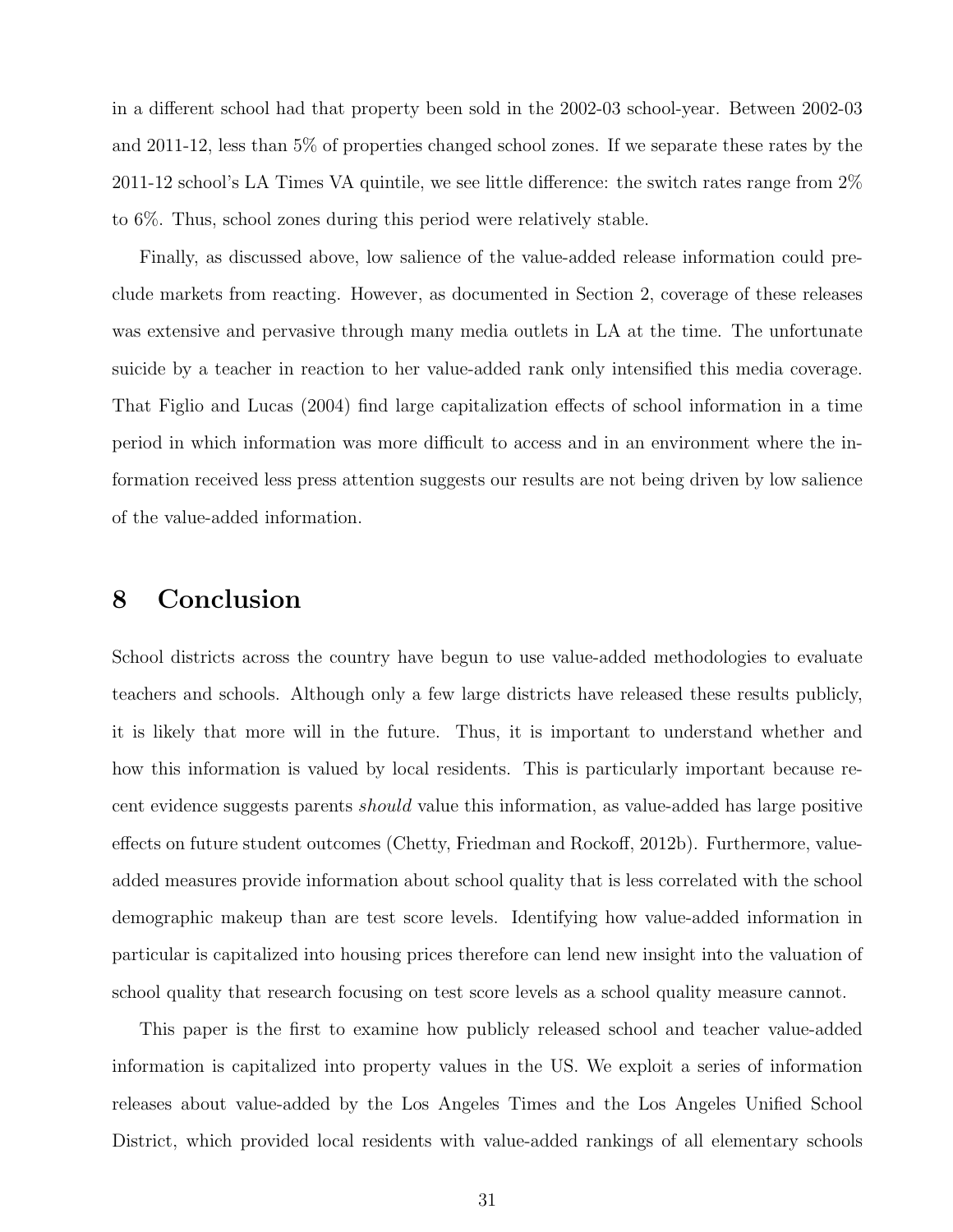in a different school had that property been sold in the 2002-03 school-year. Between 2002-03 and 2011-12, less than 5% of properties changed school zones. If we separate these rates by the 2011-12 school's LA Times VA quintile, we see little difference: the switch rates range from 2% to 6%. Thus, school zones during this period were relatively stable.

Finally, as discussed above, low salience of the value-added release information could preclude markets from reacting. However, as documented in Section 2, coverage of these releases was extensive and pervasive through many media outlets in LA at the time. The unfortunate suicide by a teacher in reaction to her value-added rank only intensified this media coverage. That Figlio and Lucas (2004) find large capitalization effects of school information in a time period in which information was more difficult to access and in an environment where the information received less press attention suggests our results are not being driven by low salience of the value-added information.

### **8 Conclusion**

School districts across the country have begun to use value-added methodologies to evaluate teachers and schools. Although only a few large districts have released these results publicly, it is likely that more will in the future. Thus, it is important to understand whether and how this information is valued by local residents. This is particularly important because recent evidence suggests parents *should* value this information, as value-added has large positive effects on future student outcomes (Chetty, Friedman and Rockoff, 2012b). Furthermore, valueadded measures provide information about school quality that is less correlated with the school demographic makeup than are test score levels. Identifying how value-added information in particular is capitalized into housing prices therefore can lend new insight into the valuation of school quality that research focusing on test score levels as a school quality measure cannot.

This paper is the first to examine how publicly released school and teacher value-added information is capitalized into property values in the US. We exploit a series of information releases about value-added by the Los Angeles Times and the Los Angeles Unified School District, which provided local residents with value-added rankings of all elementary schools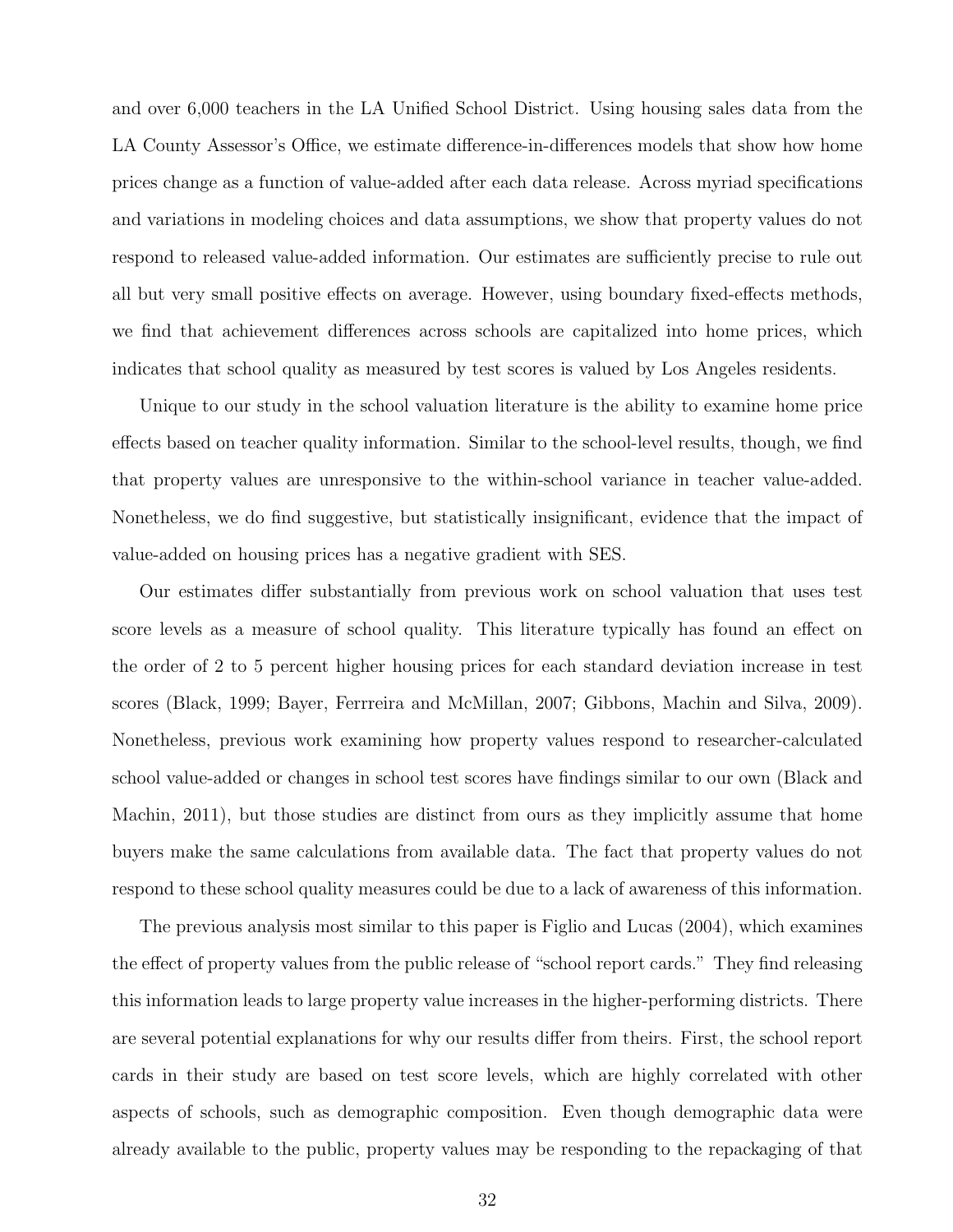and over 6,000 teachers in the LA Unified School District. Using housing sales data from the LA County Assessor's Office, we estimate difference-in-differences models that show how home prices change as a function of value-added after each data release. Across myriad specifications and variations in modeling choices and data assumptions, we show that property values do not respond to released value-added information. Our estimates are sufficiently precise to rule out all but very small positive effects on average. However, using boundary fixed-effects methods, we find that achievement differences across schools are capitalized into home prices, which indicates that school quality as measured by test scores is valued by Los Angeles residents.

Unique to our study in the school valuation literature is the ability to examine home price effects based on teacher quality information. Similar to the school-level results, though, we find that property values are unresponsive to the within-school variance in teacher value-added. Nonetheless, we do find suggestive, but statistically insignificant, evidence that the impact of value-added on housing prices has a negative gradient with SES.

Our estimates differ substantially from previous work on school valuation that uses test score levels as a measure of school quality. This literature typically has found an effect on the order of 2 to 5 percent higher housing prices for each standard deviation increase in test scores (Black, 1999; Bayer, Ferrreira and McMillan, 2007; Gibbons, Machin and Silva, 2009). Nonetheless, previous work examining how property values respond to researcher-calculated school value-added or changes in school test scores have findings similar to our own (Black and Machin, 2011), but those studies are distinct from ours as they implicitly assume that home buyers make the same calculations from available data. The fact that property values do not respond to these school quality measures could be due to a lack of awareness of this information.

The previous analysis most similar to this paper is Figlio and Lucas (2004), which examines the effect of property values from the public release of "school report cards." They find releasing this information leads to large property value increases in the higher-performing districts. There are several potential explanations for why our results differ from theirs. First, the school report cards in their study are based on test score levels, which are highly correlated with other aspects of schools, such as demographic composition. Even though demographic data were already available to the public, property values may be responding to the repackaging of that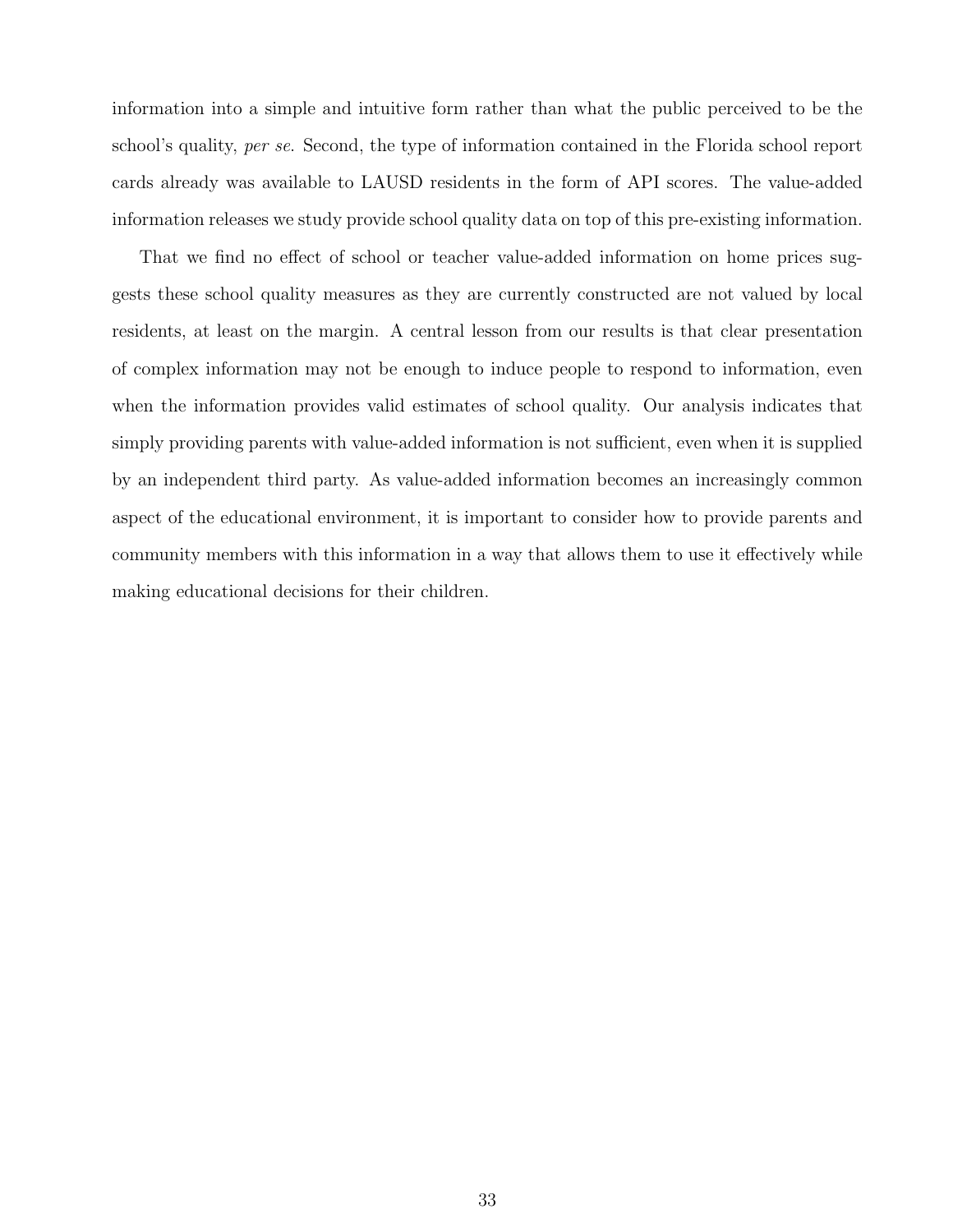information into a simple and intuitive form rather than what the public perceived to be the school's quality, *per se*. Second, the type of information contained in the Florida school report cards already was available to LAUSD residents in the form of API scores. The value-added information releases we study provide school quality data on top of this pre-existing information.

That we find no effect of school or teacher value-added information on home prices suggests these school quality measures as they are currently constructed are not valued by local residents, at least on the margin. A central lesson from our results is that clear presentation of complex information may not be enough to induce people to respond to information, even when the information provides valid estimates of school quality. Our analysis indicates that simply providing parents with value-added information is not sufficient, even when it is supplied by an independent third party. As value-added information becomes an increasingly common aspect of the educational environment, it is important to consider how to provide parents and community members with this information in a way that allows them to use it effectively while making educational decisions for their children.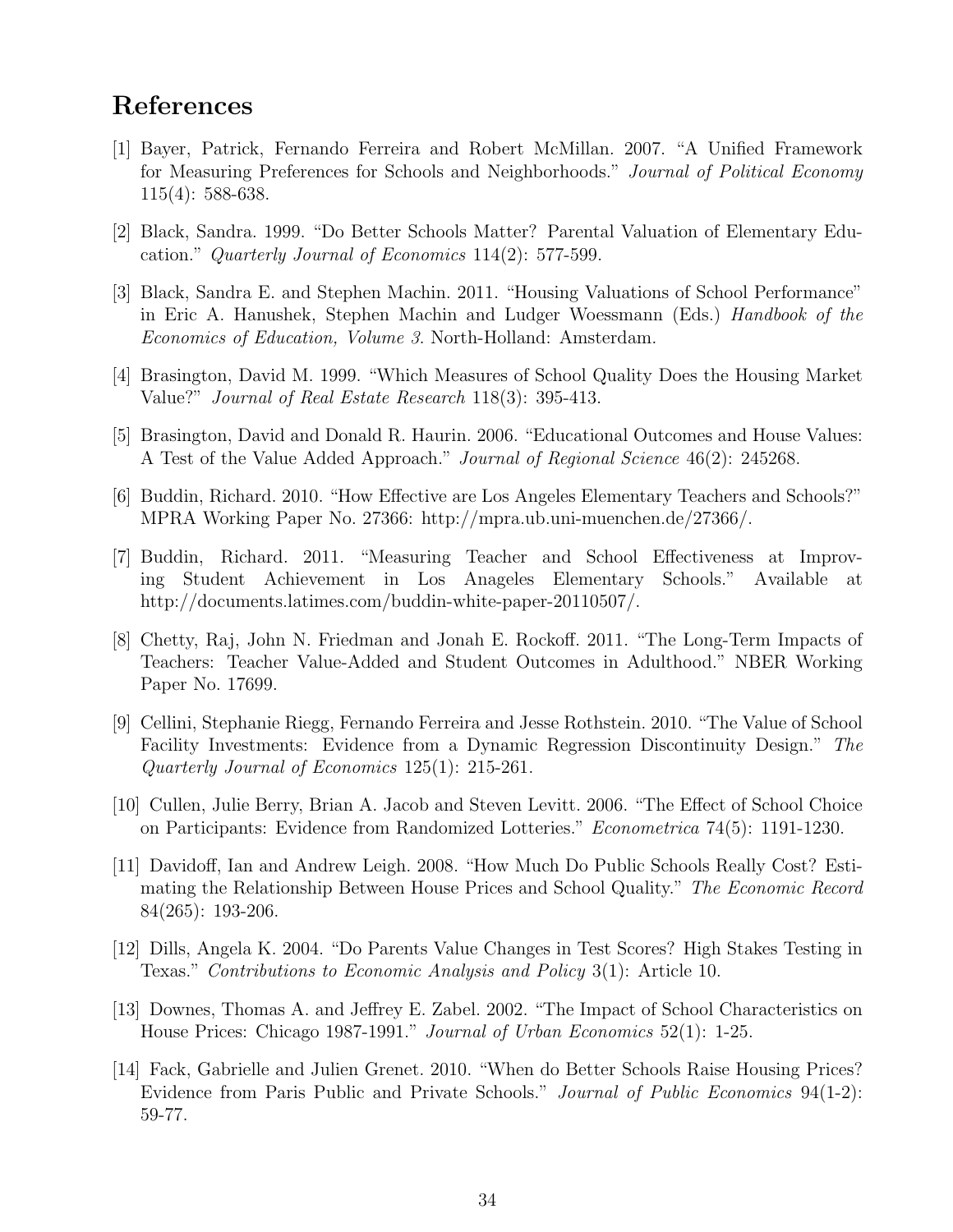### **References**

- [1] Bayer, Patrick, Fernando Ferreira and Robert McMillan. 2007. "A Unified Framework for Measuring Preferences for Schools and Neighborhoods." *Journal of Political Economy* 115(4): 588-638.
- [2] Black, Sandra. 1999. "Do Better Schools Matter? Parental Valuation of Elementary Education." *Quarterly Journal of Economics* 114(2): 577-599.
- [3] Black, Sandra E. and Stephen Machin. 2011. "Housing Valuations of School Performance" in Eric A. Hanushek, Stephen Machin and Ludger Woessmann (Eds.) *Handbook of the Economics of Education, Volume 3*. North-Holland: Amsterdam.
- [4] Brasington, David M. 1999. "Which Measures of School Quality Does the Housing Market Value?" *Journal of Real Estate Research* 118(3): 395-413.
- [5] Brasington, David and Donald R. Haurin. 2006. "Educational Outcomes and House Values: A Test of the Value Added Approach." *Journal of Regional Science* 46(2): 245268.
- [6] Buddin, Richard. 2010. "How Effective are Los Angeles Elementary Teachers and Schools?" MPRA Working Paper No. 27366: http://mpra.ub.uni-muenchen.de/27366/.
- [7] Buddin, Richard. 2011. "Measuring Teacher and School Effectiveness at Improving Student Achievement in Los Anageles Elementary Schools." Available at http://documents.latimes.com/buddin-white-paper-20110507/.
- [8] Chetty, Raj, John N. Friedman and Jonah E. Rockoff. 2011. "The Long-Term Impacts of Teachers: Teacher Value-Added and Student Outcomes in Adulthood." NBER Working Paper No. 17699.
- [9] Cellini, Stephanie Riegg, Fernando Ferreira and Jesse Rothstein. 2010. "The Value of School Facility Investments: Evidence from a Dynamic Regression Discontinuity Design." *The Quarterly Journal of Economics* 125(1): 215-261.
- [10] Cullen, Julie Berry, Brian A. Jacob and Steven Levitt. 2006. "The Effect of School Choice on Participants: Evidence from Randomized Lotteries." *Econometrica* 74(5): 1191-1230.
- [11] Davidoff, Ian and Andrew Leigh. 2008. "How Much Do Public Schools Really Cost? Estimating the Relationship Between House Prices and School Quality." *The Economic Record* 84(265): 193-206.
- [12] Dills, Angela K. 2004. "Do Parents Value Changes in Test Scores? High Stakes Testing in Texas." *Contributions to Economic Analysis and Policy* 3(1): Article 10.
- [13] Downes, Thomas A. and Jeffrey E. Zabel. 2002. "The Impact of School Characteristics on House Prices: Chicago 1987-1991." *Journal of Urban Economics* 52(1): 1-25.
- [14] Fack, Gabrielle and Julien Grenet. 2010. "When do Better Schools Raise Housing Prices? Evidence from Paris Public and Private Schools." *Journal of Public Economics* 94(1-2): 59-77.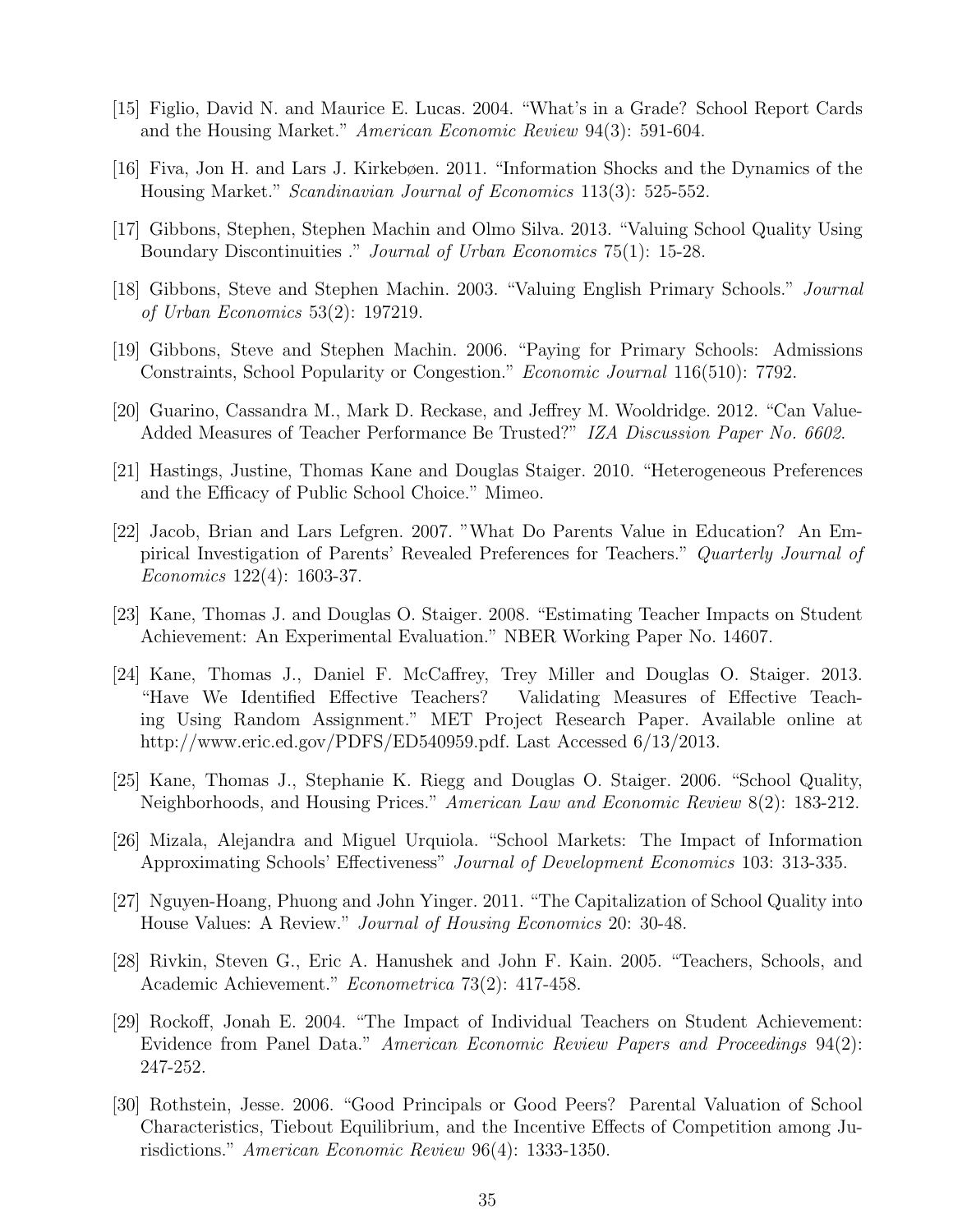- [15] Figlio, David N. and Maurice E. Lucas. 2004. "What's in a Grade? School Report Cards and the Housing Market." *American Economic Review* 94(3): 591-604.
- [16] Fiva, Jon H. and Lars J. Kirkebøen. 2011. "Information Shocks and the Dynamics of the Housing Market." *Scandinavian Journal of Economics* 113(3): 525-552.
- [17] Gibbons, Stephen, Stephen Machin and Olmo Silva. 2013. "Valuing School Quality Using Boundary Discontinuities ." *Journal of Urban Economics* 75(1): 15-28.
- [18] Gibbons, Steve and Stephen Machin. 2003. "Valuing English Primary Schools." *Journal of Urban Economics* 53(2): 197219.
- [19] Gibbons, Steve and Stephen Machin. 2006. "Paying for Primary Schools: Admissions Constraints, School Popularity or Congestion." *Economic Journal* 116(510): 7792.
- [20] Guarino, Cassandra M., Mark D. Reckase, and Jeffrey M. Wooldridge. 2012. "Can Value-Added Measures of Teacher Performance Be Trusted?" *IZA Discussion Paper No. 6602*.
- [21] Hastings, Justine, Thomas Kane and Douglas Staiger. 2010. "Heterogeneous Preferences and the Efficacy of Public School Choice." Mimeo.
- [22] Jacob, Brian and Lars Lefgren. 2007. "What Do Parents Value in Education? An Empirical Investigation of Parents' Revealed Preferences for Teachers." *Quarterly Journal of Economics* 122(4): 1603-37.
- [23] Kane, Thomas J. and Douglas O. Staiger. 2008. "Estimating Teacher Impacts on Student Achievement: An Experimental Evaluation." NBER Working Paper No. 14607.
- [24] Kane, Thomas J., Daniel F. McCaffrey, Trey Miller and Douglas O. Staiger. 2013. "Have We Identified Effective Teachers? Validating Measures of Effective Teaching Using Random Assignment." MET Project Research Paper. Available online at http://www.eric.ed.gov/PDFS/ED540959.pdf. Last Accessed 6/13/2013.
- [25] Kane, Thomas J., Stephanie K. Riegg and Douglas O. Staiger. 2006. "School Quality, Neighborhoods, and Housing Prices." *American Law and Economic Review* 8(2): 183-212.
- [26] Mizala, Alejandra and Miguel Urquiola. "School Markets: The Impact of Information Approximating Schools' Effectiveness" *Journal of Development Economics* 103: 313-335.
- [27] Nguyen-Hoang, Phuong and John Yinger. 2011. "The Capitalization of School Quality into House Values: A Review." *Journal of Housing Economics* 20: 30-48.
- [28] Rivkin, Steven G., Eric A. Hanushek and John F. Kain. 2005. "Teachers, Schools, and Academic Achievement." *Econometrica* 73(2): 417-458.
- [29] Rockoff, Jonah E. 2004. "The Impact of Individual Teachers on Student Achievement: Evidence from Panel Data." *American Economic Review Papers and Proceedings* 94(2): 247-252.
- [30] Rothstein, Jesse. 2006. "Good Principals or Good Peers? Parental Valuation of School Characteristics, Tiebout Equilibrium, and the Incentive Effects of Competition among Jurisdictions." *American Economic Review* 96(4): 1333-1350.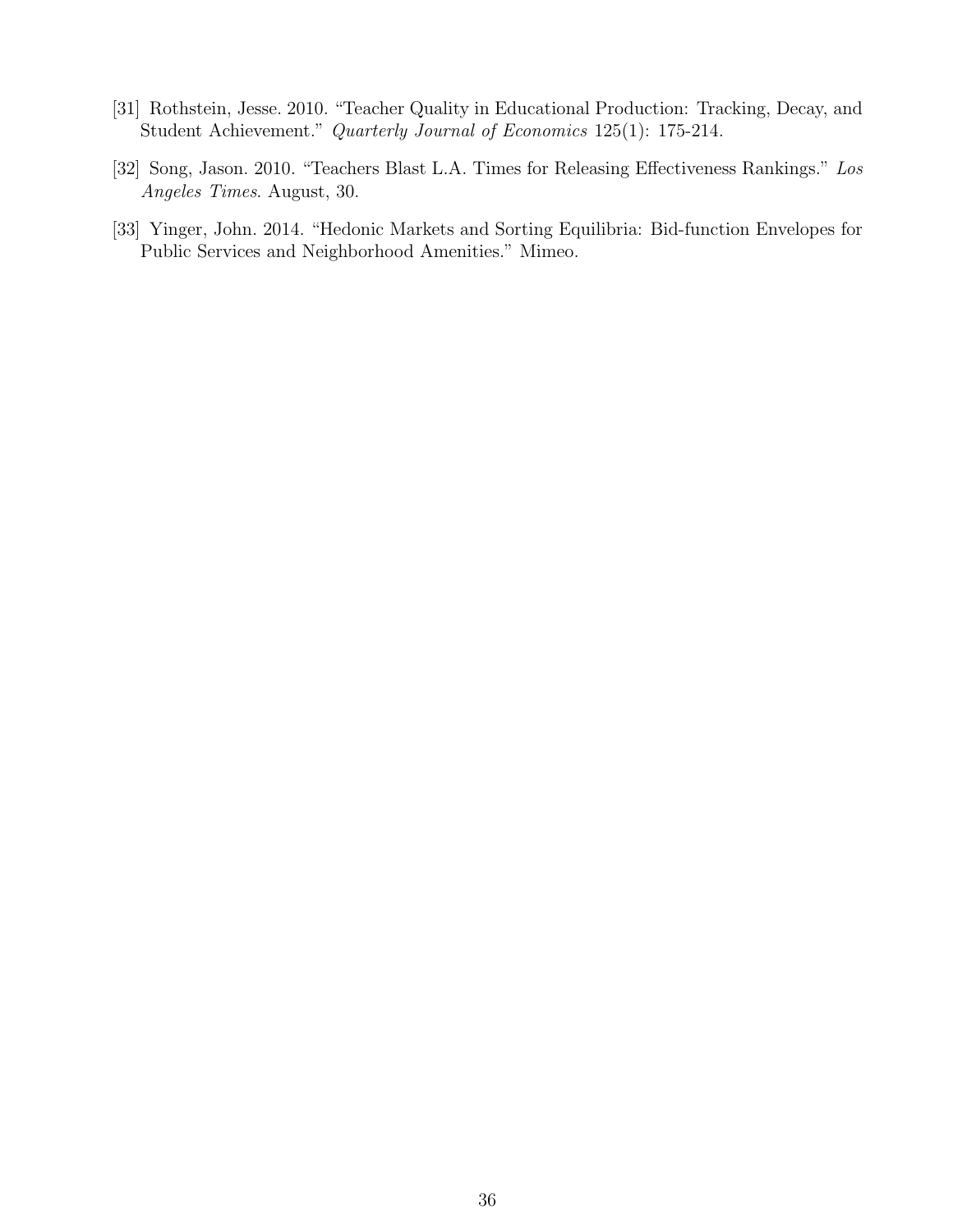- [31] Rothstein, Jesse. 2010. "Teacher Quality in Educational Production: Tracking, Decay, and Student Achievement." *Quarterly Journal of Economics* 125(1): 175-214.
- [32] Song, Jason. 2010. "Teachers Blast L.A. Times for Releasing Effectiveness Rankings." *Los Angeles Times*. August, 30.
- [33] Yinger, John. 2014. "Hedonic Markets and Sorting Equilibria: Bid-function Envelopes for Public Services and Neighborhood Amenities." Mimeo.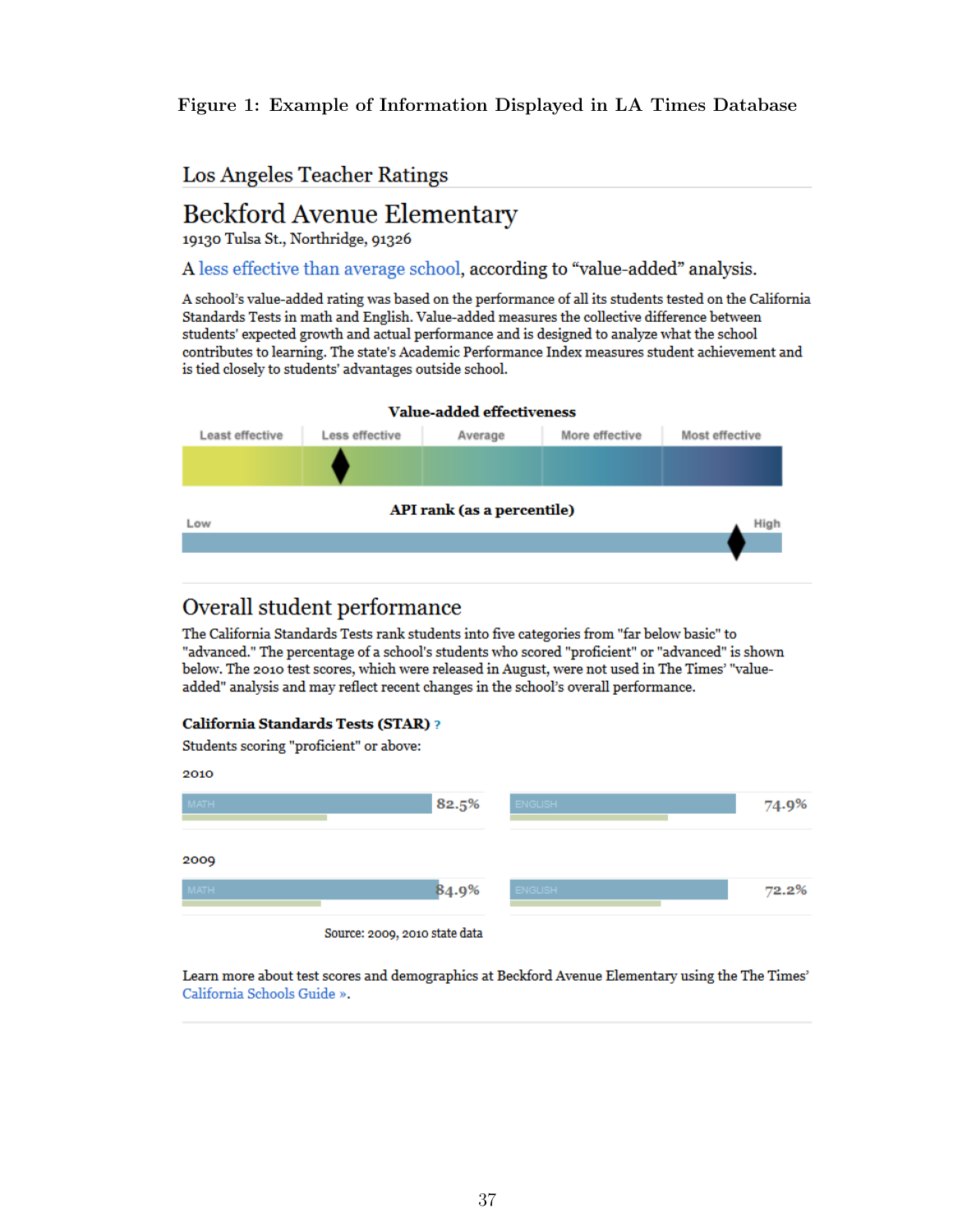**Figure 1: Example of Information Displayed in LA Times Database**

Los Angeles Teacher Ratings

## **Beckford Avenue Elementary**

19130 Tulsa St., Northridge, 91326

A less effective than average school, according to "value-added" analysis.

A school's value-added rating was based on the performance of all its students tested on the California Standards Tests in math and English. Value-added measures the collective difference between students' expected growth and actual performance and is designed to analyze what the school contributes to learning. The state's Academic Performance Index measures student achievement and is tied closely to students' advantages outside school.



### Overall student performance

The California Standards Tests rank students into five categories from "far below basic" to "advanced." The percentage of a school's students who scored "proficient" or "advanced" is shown below. The 2010 test scores, which were released in August, were not used in The Times' "valueadded" analysis and may reflect recent changes in the school's overall performance.

#### **California Standards Tests (STAR) ?**

Students scoring "proficient" or above:

2010 82.5% 74.9% 2009 84.9% 72.2% Source: 2009, 2010 state data

Learn more about test scores and demographics at Beckford Avenue Elementary using the The Times' California Schools Guide ».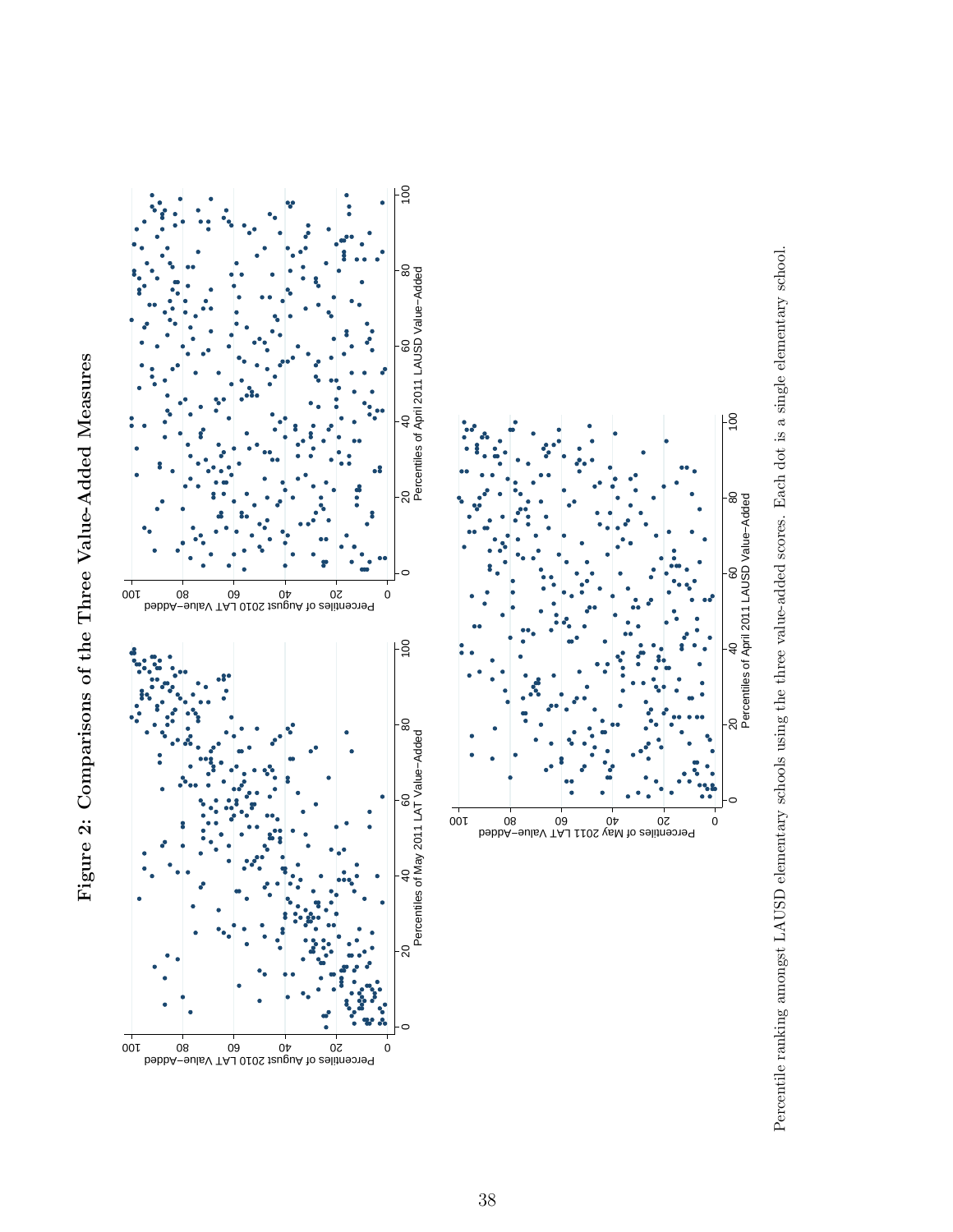Figure 2: Comparisons of the Three Value-Added Measures **Figure 2: Comparisons of the Three Value-Added Measures**



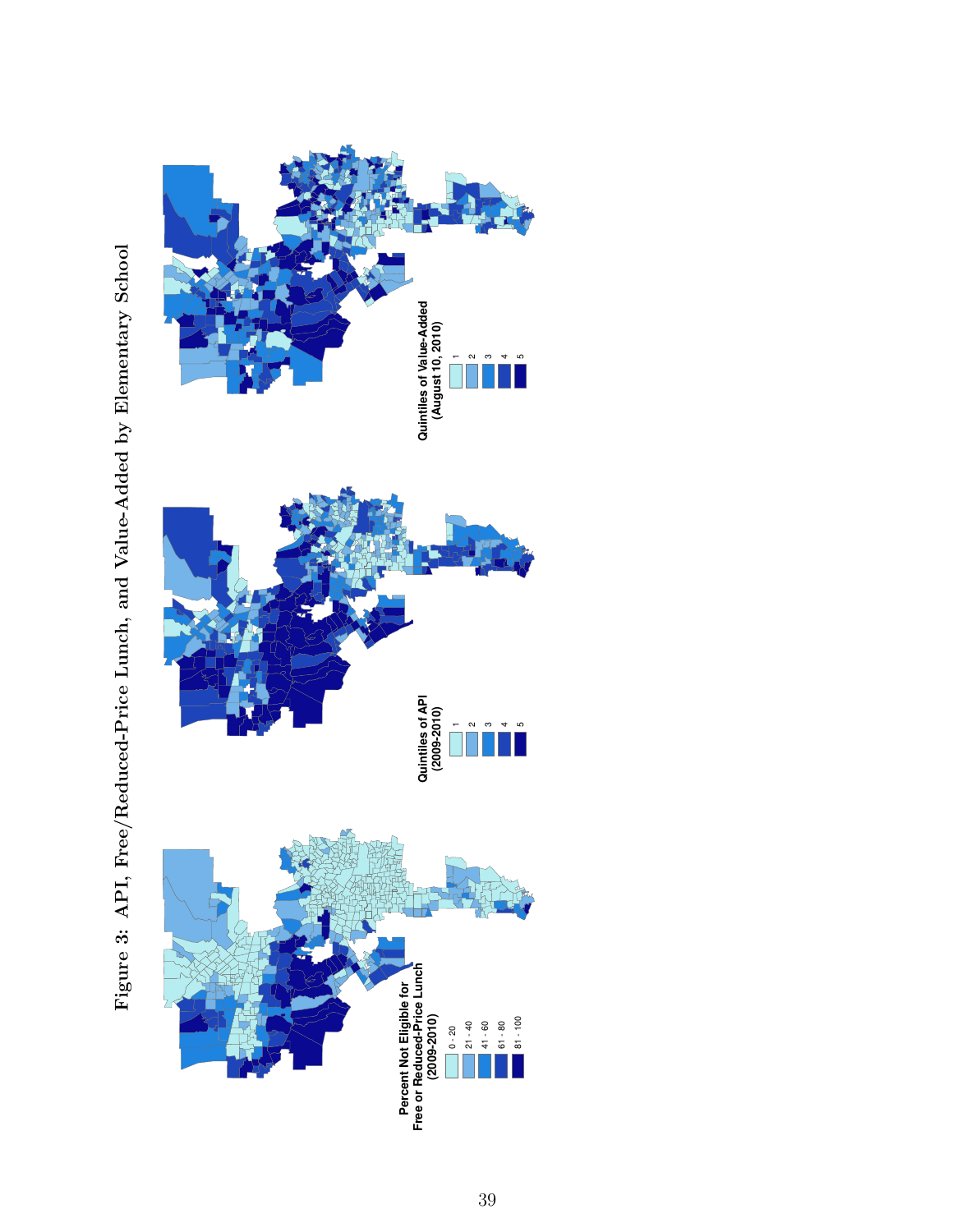

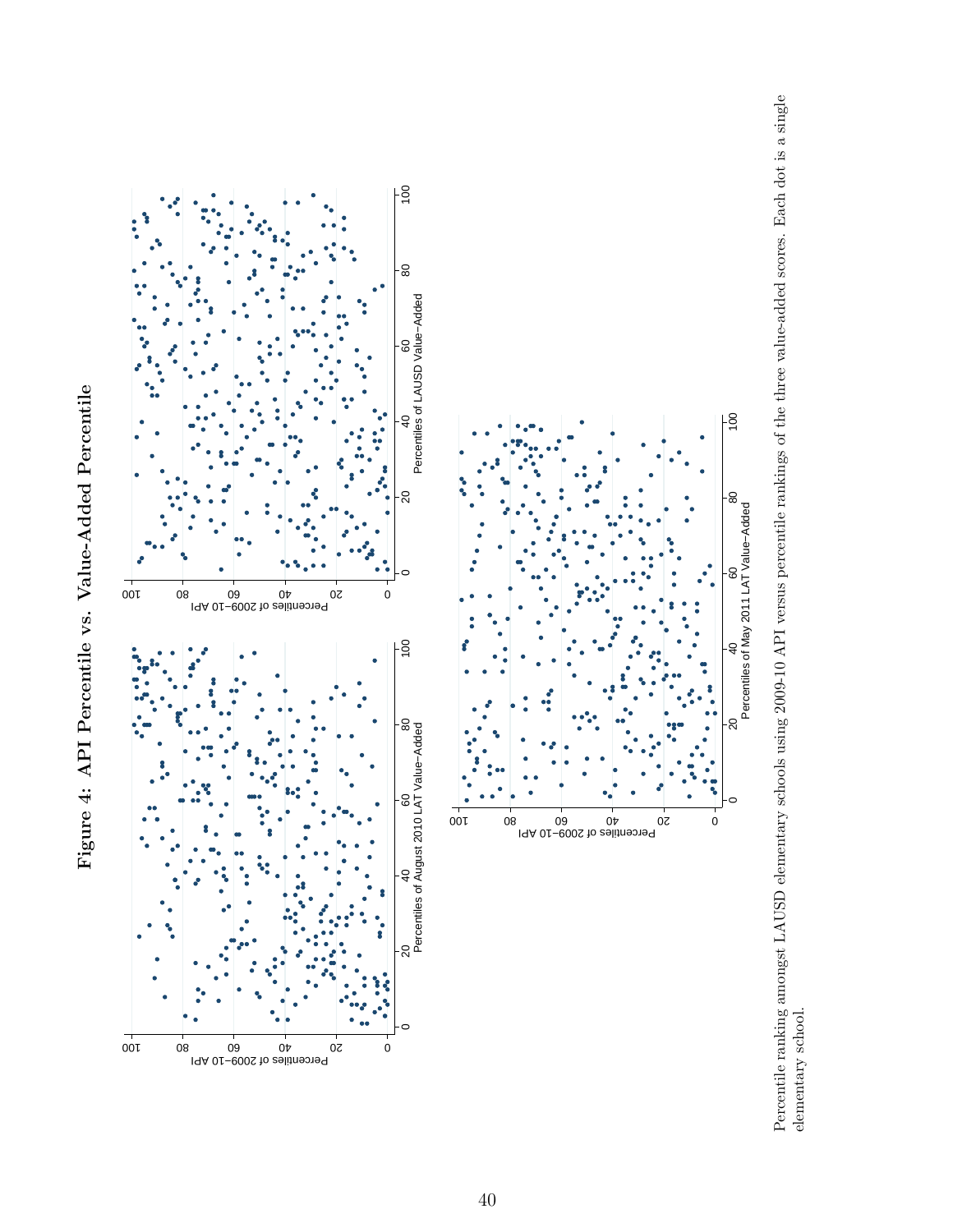



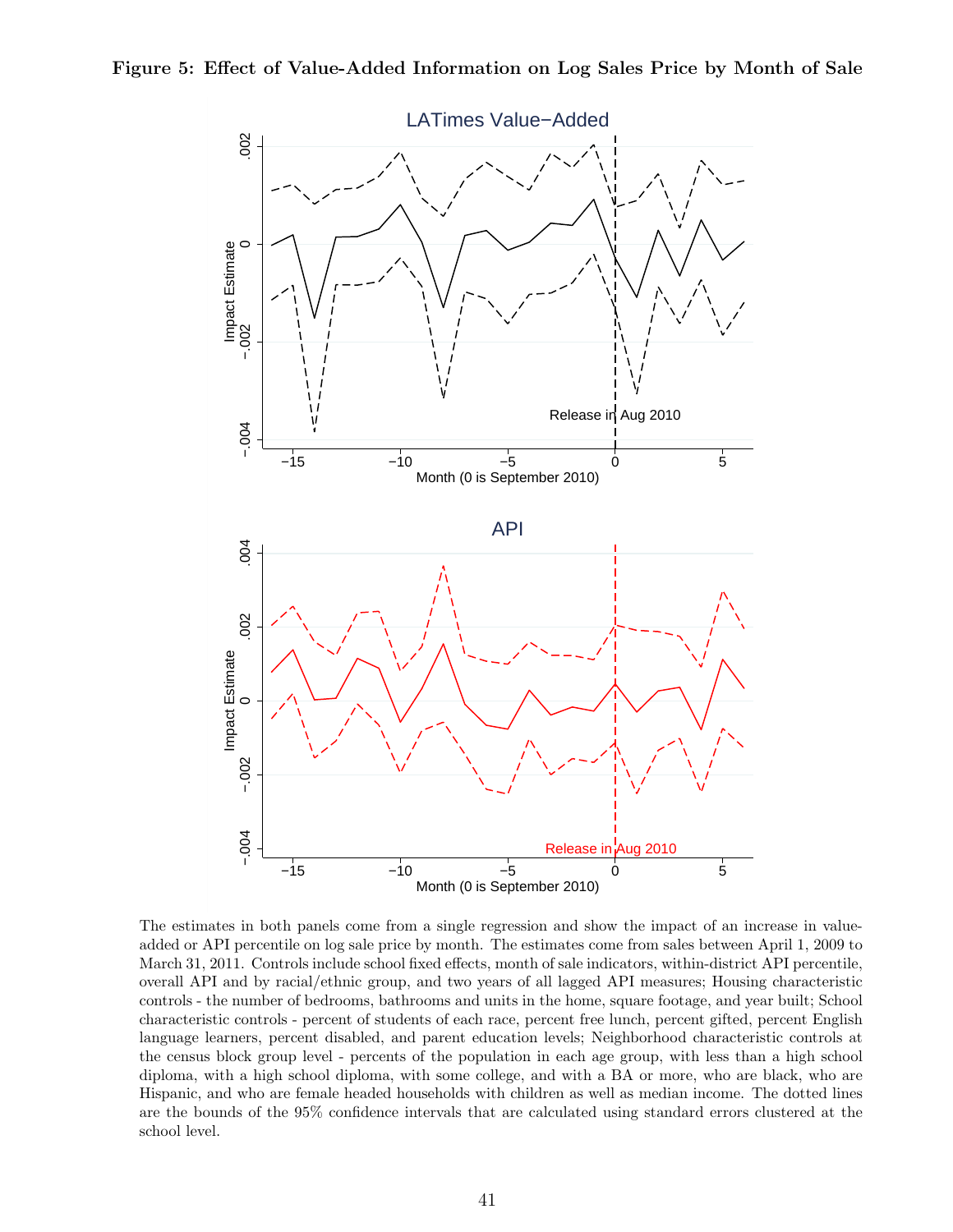

The estimates in both panels come from a single regression and show the impact of an increase in valueadded or API percentile on log sale price by month. The estimates come from sales between April 1, 2009 to March 31, 2011. Controls include school fixed effects, month of sale indicators, within-district API percentile, overall API and by racial/ethnic group, and two years of all lagged API measures; Housing characteristic controls - the number of bedrooms, bathrooms and units in the home, square footage, and year built; School characteristic controls - percent of students of each race, percent free lunch, percent gifted, percent English language learners, percent disabled, and parent education levels; Neighborhood characteristic controls at the census block group level - percents of the population in each age group, with less than a high school diploma, with a high school diploma, with some college, and with a BA or more, who are black, who are Hispanic, and who are female headed households with children as well as median income. The dotted lines are the bounds of the 95% confidence intervals that are calculated using standard errors clustered at the school level.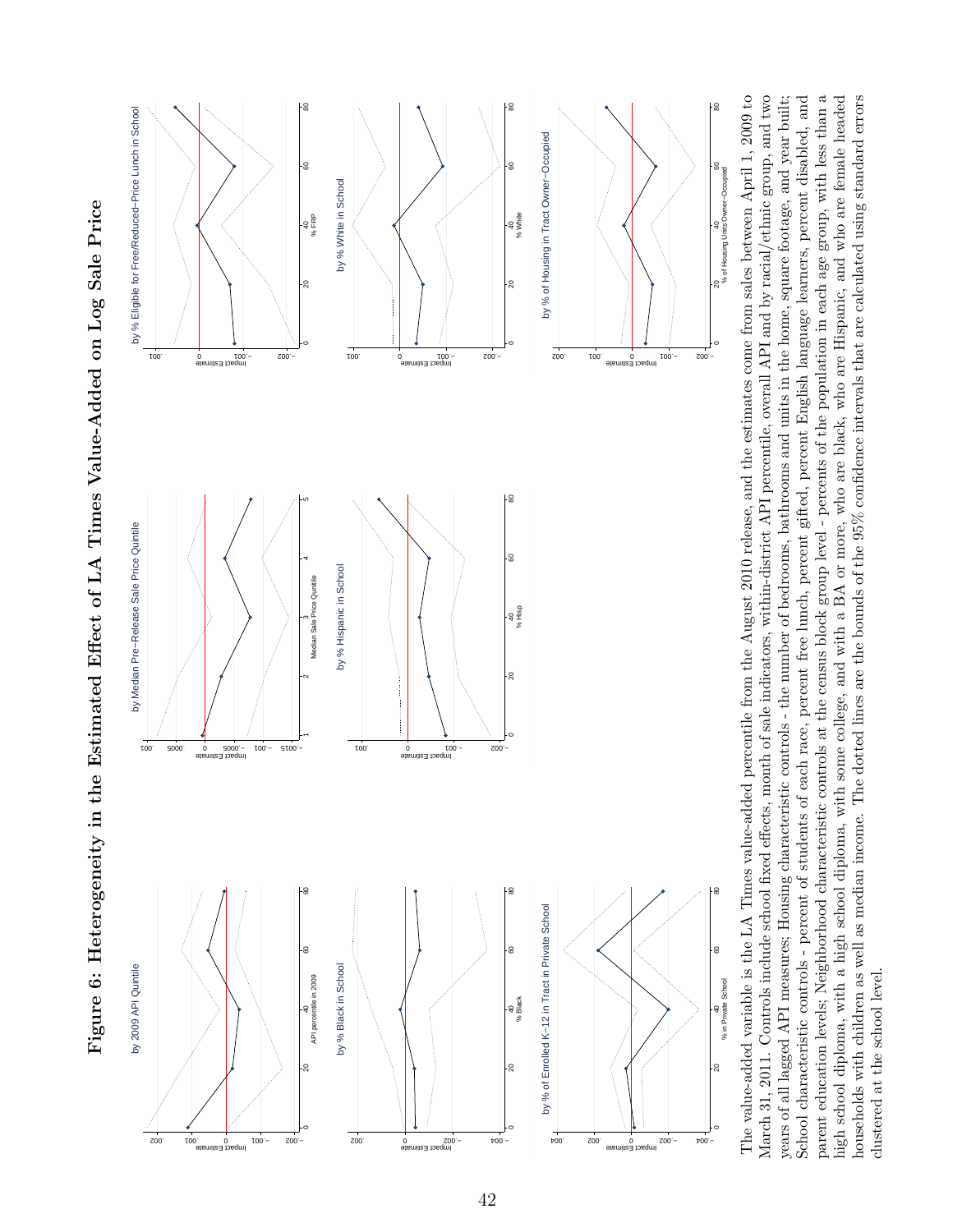



parent education levels; Neighborhood characteristic controls at the census block group level - percents of the population in each age group, with less than a The value-added variable is the LA Times value-added percentile from the August 2010 release, and the estimates come from sales between April 1, 2009 to March 31, 2011. Controls include school fixed effects, month of sale indicators, within-district API percentile, overall API and by racial/ethnic group, and two parent education levels; Neighborhood characteristic controls at the census block group level - percents of the population in each age group, with less than a years of all lagged API measures; Housing characteristic controls - the number of bedrooms, bathrooms and units in the home, square footage, and year built; School characteristic controls - percent of students of each race, percent free lunch, percent gifted, percent English language learners, percent disabled, and high school diploma, with a high school diploma, with some college, and with a BA or more, who are black, who are Hispanic, and who are female headed households with children as well as median income. The dotted lines are the bounds of the 95% confidence intervals that are calculated using standard errors The value-added variable is the LA Times value-added percentile from the August 2010 release, and the estimates come from sales between April 1, 2009 to March 31, 2011. Controls include school fixed effects, month of sale indicators, within-district API percentile, overall API and by racial/ethnic group, and two years of all lagged API measures; Housing characteristic controls - the number of bedrooms, bathrooms and units in the home, square footage, and year built; School characteristic controls - percent of students of each race, percent free lunch, percent gifted, percent English language learners, percent disabled, and high school diploma, with a high school diploma, with some college, and with a BA or more, who are black, who are Hispanic, and who are female headed households with children as well as median income. The dotted lines are the bounds of the 95% confidence intervals that are calculated using standard errors clustered at the school level. clustered at the school level.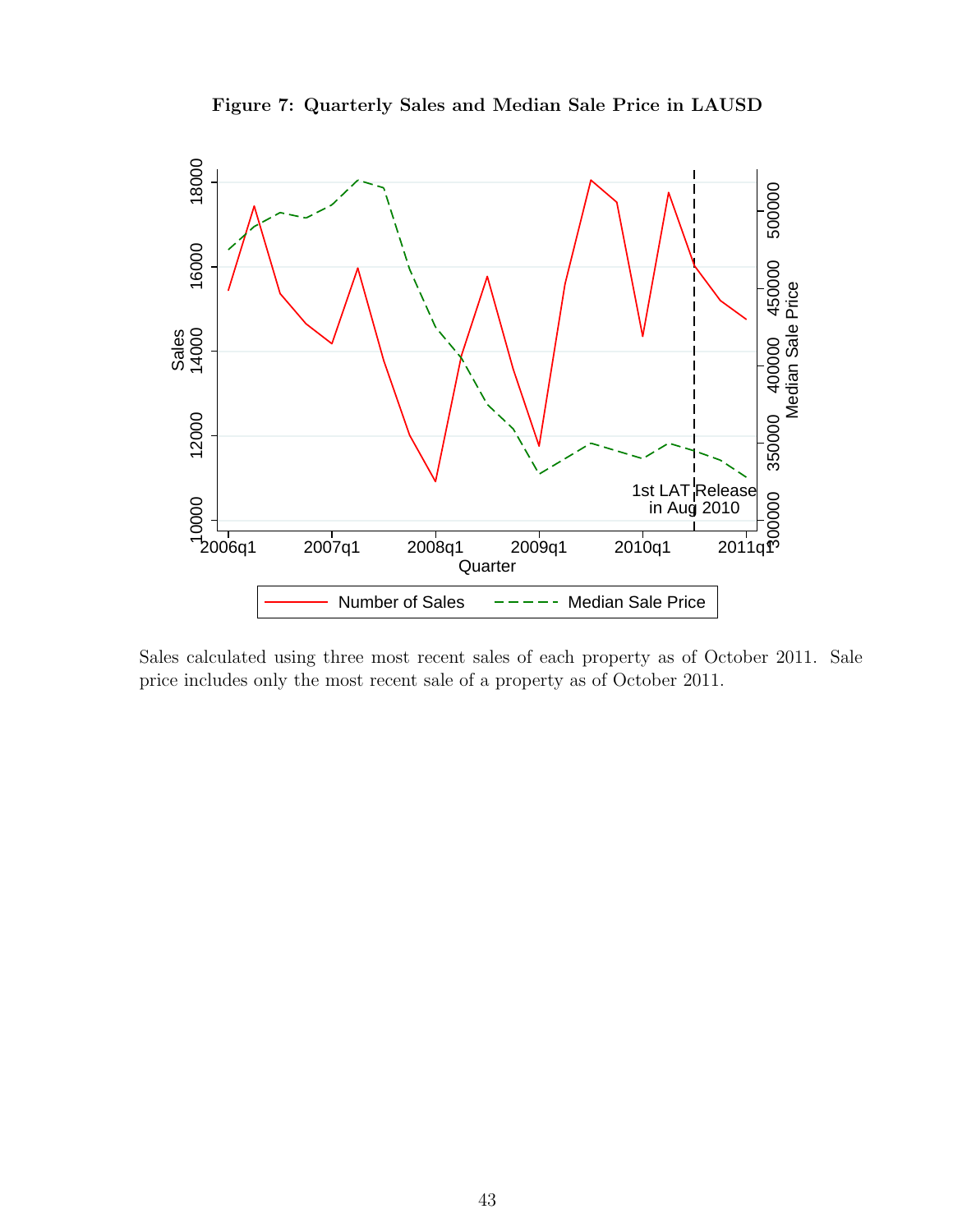

**Figure 7: Quarterly Sales and Median Sale Price in LAUSD**

Sales calculated using three most recent sales of each property as of October 2011. Sale price includes only the most recent sale of a property as of October 2011.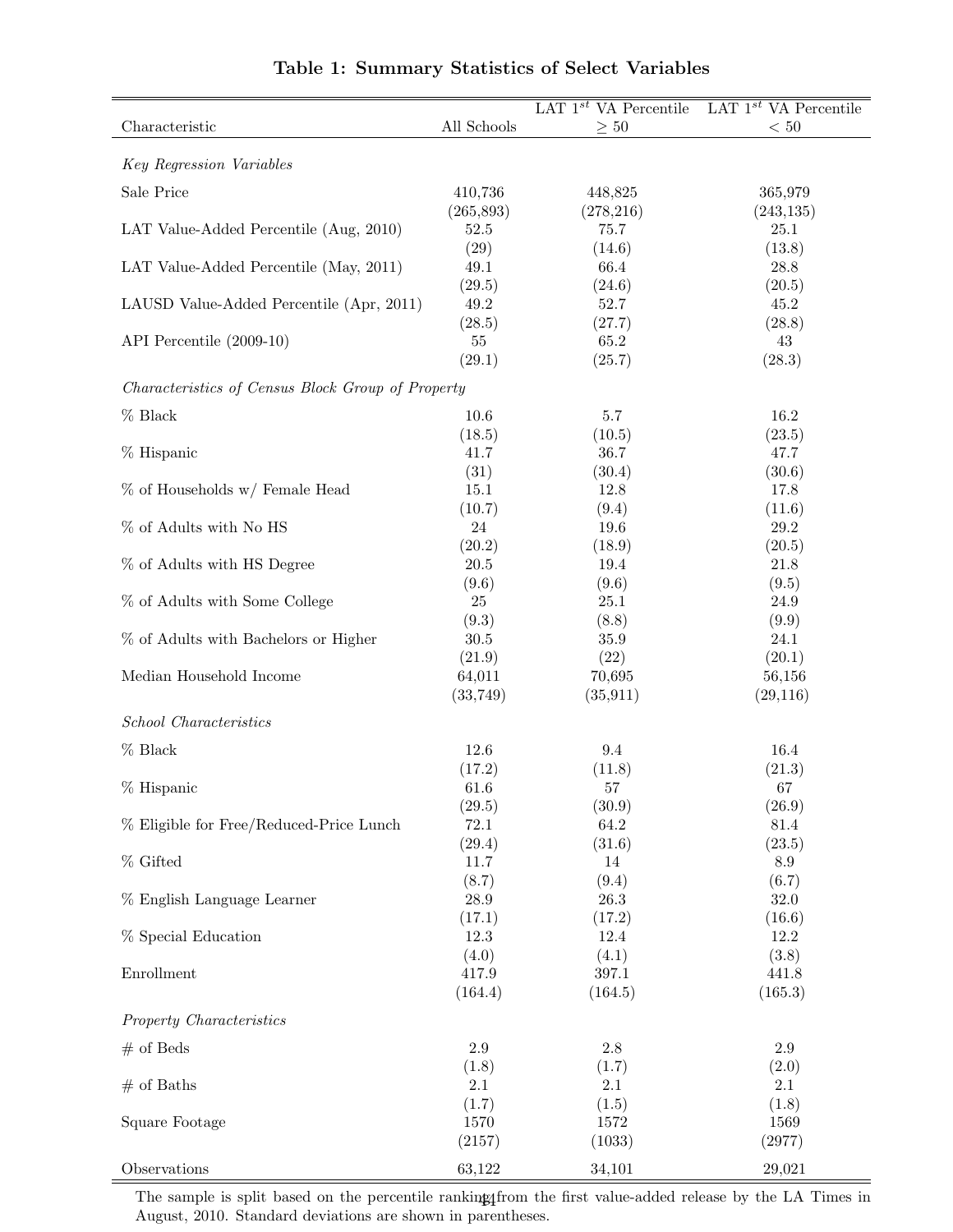|                                                   |             | LAT $1^{st}$ VA Percentile | LAT $1^{st}$ VA Percentile |
|---------------------------------------------------|-------------|----------------------------|----------------------------|
| Characteristic                                    | All Schools | $\geq50$                   | $<\,50$                    |
|                                                   |             |                            |                            |
| Key Regression Variables                          |             |                            |                            |
| Sale Price                                        | 410,736     | 448,825                    | 365,979                    |
|                                                   | (265, 893)  | (278, 216)                 | (243, 135)                 |
| LAT Value-Added Percentile (Aug, 2010)            | $52.5\,$    | 75.7                       | 25.1                       |
|                                                   | (29)        | (14.6)                     | (13.8)                     |
| LAT Value-Added Percentile (May, 2011)            | 49.1        | 66.4                       | 28.8                       |
|                                                   | (29.5)      | (24.6)                     | (20.5)                     |
| LAUSD Value-Added Percentile (Apr, 2011)          | $49.2\,$    | 52.7                       | $45.2\,$                   |
|                                                   | (28.5)      | (27.7)                     | (28.8)                     |
| API Percentile (2009-10)                          | 55          | 65.2                       | 43                         |
|                                                   | (29.1)      | (25.7)                     | (28.3)                     |
| Characteristics of Census Block Group of Property |             |                            |                            |
| $\%$ Black                                        | 10.6        | $5.7\,$                    | 16.2                       |
|                                                   | (18.5)      | (10.5)                     | (23.5)                     |
| % Hispanic                                        | 41.7        | 36.7                       | 47.7                       |
|                                                   | (31)        | (30.4)                     | (30.6)                     |
| % of Households w/ Female Head                    | 15.1        | 12.8                       | 17.8                       |
|                                                   | (10.7)      | (9.4)                      | (11.6)                     |
| $\%$ of Adults with No HS                         | 24          | 19.6                       | $29.2\,$                   |
|                                                   | (20.2)      | (18.9)                     | (20.5)                     |
| % of Adults with HS Degree                        | $20.5\,$    | 19.4                       | 21.8                       |
|                                                   | (9.6)       | (9.6)                      | (9.5)                      |
| % of Adults with Some College                     | 25          | 25.1                       | 24.9                       |
|                                                   | (9.3)       | (8.8)                      | (9.9)                      |
| % of Adults with Bachelors or Higher              | $30.5\,$    | 35.9                       | 24.1                       |
|                                                   | (21.9)      | (22)                       | (20.1)                     |
| Median Household Income                           | 64,011      | 70,695                     | 56,156                     |
|                                                   | (33, 749)   | (35, 911)                  | (29, 116)                  |
| School Characteristics                            |             |                            |                            |
| $\%$ Black                                        | 12.6        | $9.4\,$                    | 16.4                       |
|                                                   | (17.2)      | (11.8)                     | (21.3)                     |
| % Hispanic                                        | 61.6        | 57                         | 67                         |
|                                                   | (29.5)      | (30.9)                     | (26.9)                     |
| % Eligible for Free/Reduced-Price Lunch           | 72.1        | 64.2                       | $81.4\,$                   |
|                                                   | (29.4)      | (31.6)                     | (23.5)                     |
| % Gifted                                          | 11.7        | 14                         | 8.9                        |
|                                                   | (8.7)       | (9.4)                      | (6.7)                      |
| % English Language Learner                        | $28.9\,$    | $26.3\,$                   | 32.0                       |
|                                                   | (17.1)      | (17.2)                     | (16.6)                     |
| % Special Education                               | 12.3        | 12.4                       | 12.2                       |
|                                                   | (4.0)       | (4.1)                      | (3.8)                      |
| Enrollment                                        | 417.9       | 397.1                      | 441.8                      |
|                                                   | (164.4)     | (164.5)                    | (165.3)                    |
| Property Characteristics                          |             |                            |                            |
| $#$ of Beds                                       | $2.9\,$     | $2.8\,$                    | $2.9\,$                    |
|                                                   | (1.8)       | (1.7)                      | (2.0)                      |
| $\#$ of Baths                                     | 2.1         | 2.1                        | $2.1\,$                    |
|                                                   | (1.7)       | (1.5)                      | (1.8)                      |
| Square Footage                                    | 1570        | 1572                       | 1569                       |
|                                                   | (2157)      | (1033)                     | (2977)                     |
| Observations                                      | 63,122      | 34,101                     | 29,021                     |

#### **Table 1: Summary Statistics of Select Variables**

The sample is split based on the percentile ranking from the first value-added release by the LA Times in August, 2010. Standard deviations are shown in parentheses.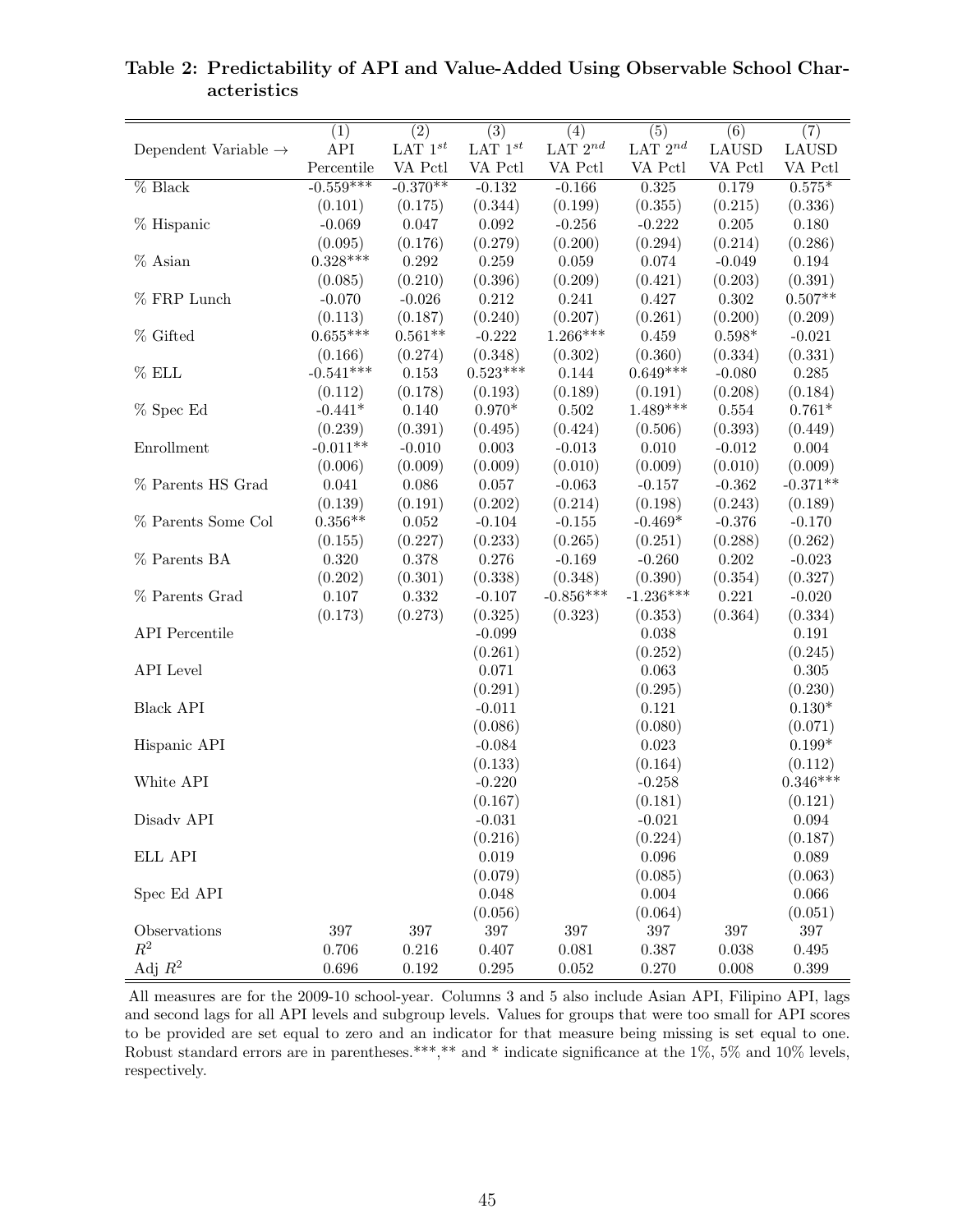|                                  | $\overline{(1)}$ | $\overline{(2)}$ | $\overline{(3)}$ | (4)          | $\overline{(5)}$ | $\overline{(6)}$ | $\overline{(7)}$       |
|----------------------------------|------------------|------------------|------------------|--------------|------------------|------------------|------------------------|
| Dependent Variable $\rightarrow$ | ${\rm API}$      | LAT $1^{st}$     | LAT $1^{st}$     | LAT $2^{nd}$ | LAT $2^{nd}$     | <b>LAUSD</b>     | $\operatorname{LAUSD}$ |
|                                  | Percentile       | VA Pctl          | VA Pctl          | VA Pctl      | VA Pctl          | VA Pctl          | VA Pctl                |
| $\%$ Black                       | $-0.559***$      | $-0.370**$       | $-0.132$         | $-0.166$     | 0.325            | 0.179            | $0.575*$               |
|                                  | (0.101)          | (0.175)          | (0.344)          | (0.199)      | (0.355)          | (0.215)          | (0.336)                |
| % Hispanic                       | $-0.069$         | 0.047            | $\,0.092\,$      | $-0.256$     | $-0.222$         | $0.205\,$        | 0.180                  |
|                                  | (0.095)          | (0.176)          | (0.279)          | (0.200)      | (0.294)          | (0.214)          | (0.286)                |
| % Asian                          | $0.328***$       | $0.292\,$        | 0.259            | $\,0.059\,$  | 0.074            | $-0.049$         | $\,0.194\,$            |
|                                  | (0.085)          | (0.210)          | (0.396)          | (0.209)      | (0.421)          | (0.203)          | (0.391)                |
| $%$ FRP Lunch                    | $-0.070$         | $-0.026$         | $0.212\,$        | 0.241        | 0.427            | $0.302\,$        | $0.507**$              |
|                                  | (0.113)          | (0.187)          | (0.240)          | (0.207)      | (0.261)          | (0.200)          | (0.209)                |
| % Gifted                         | $0.655***$       | $0.561**$        | $-0.222$         | $1.266***$   | 0.459            | $0.598*$         | $-0.021$               |
|                                  | (0.166)          | (0.274)          | (0.348)          | (0.302)      | (0.360)          | (0.334)          | (0.331)                |
| $%$ ELL                          | $-0.541***$      | 0.153            | $0.523***$       | 0.144        | $0.649***$       | $-0.080$         | 0.285                  |
|                                  | (0.112)          | (0.178)          | (0.193)          | (0.189)      | (0.191)          | (0.208)          | (0.184)                |
| % Spec Ed                        | $-0.441*$        | 0.140            | $0.970*$         | $0.502\,$    | $1.489***$       | $0.554\,$        | $0.761*$               |
|                                  | (0.239)          | (0.391)          | (0.495)          | (0.424)      | (0.506)          | (0.393)          | (0.449)                |
| Enrollment                       | $-0.011**$       | $-0.010$         | $\,0.003\,$      | $-0.013$     | $0.010\,$        | $-0.012$         | $0.004\,$              |
|                                  | (0.006)          | (0.009)          | (0.009)          | (0.010)      | (0.009)          | (0.010)          | (0.009)                |
| % Parents HS Grad                | 0.041            | 0.086            | $0.057\,$        | $-0.063$     | $-0.157$         | $-0.362$         | $-0.371**$             |
|                                  | (0.139)          | (0.191)          | (0.202)          | (0.214)      | (0.198)          | (0.243)          | (0.189)                |
| % Parents Some Col               | $0.356**$        | $\,0.052\,$      | $-0.104$         | $-0.155$     | $-0.469*$        | $-0.376$         | $-0.170$               |
|                                  | (0.155)          | (0.227)          | (0.233)          | (0.265)      | (0.251)          | (0.288)          | (0.262)                |
| % Parents BA                     | $0.320\,$        | 0.378            | $0.276\,$        | $-0.169$     | $-0.260$         | $0.202\,$        | $-0.023$               |
|                                  | (0.202)          | (0.301)          | (0.338)          | (0.348)      | (0.390)          | (0.354)          | (0.327)                |
| % Parents Grad                   | $0.107\,$        | 0.332            | $-0.107$         | $-0.856***$  | $-1.236***$      | 0.221            | $-0.020$               |
|                                  | (0.173)          | (0.273)          | (0.325)          | (0.323)      | (0.353)          | (0.364)          | (0.334)                |
| <b>API</b> Percentile            |                  |                  | $-0.099$         |              | 0.038            |                  | $\,0.191\,$            |
|                                  |                  |                  | (0.261)          |              | (0.252)          |                  | (0.245)                |
| API Level                        |                  |                  | 0.071            |              | 0.063            |                  | $0.305\,$              |
|                                  |                  |                  | (0.291)          |              | (0.295)          |                  | (0.230)                |
| Black API                        |                  |                  | $-0.011$         |              | 0.121            |                  | $0.130*$               |
|                                  |                  |                  | (0.086)          |              | (0.080)          |                  | (0.071)                |
| Hispanic API                     |                  |                  | $-0.084$         |              | $0.023\,$        |                  | $0.199*$               |
|                                  |                  |                  | (0.133)          |              | (0.164)          |                  | (0.112)                |
| White API                        |                  |                  | $-0.220$         |              | $-0.258$         |                  | $0.346***$             |
|                                  |                  |                  | (0.167)          |              | (0.181)          |                  | (0.121)                |
| Disadv API                       |                  |                  | $-0.031$         |              | $-0.021$         |                  | 0.094                  |
|                                  |                  |                  | (0.216)          |              | (0.224)          |                  | (0.187)                |
| ELL API                          |                  |                  | $\,0.019\,$      |              | $0.096\,$        |                  | $\,0.089\,$            |
|                                  |                  |                  | (0.079)          |              | (0.085)          |                  | (0.063)                |
| Spec Ed API                      |                  |                  | 0.048            |              | $0.004\,$        |                  | 0.066                  |
|                                  |                  |                  | (0.056)          |              | (0.064)          |                  | (0.051)                |
| Observations                     | $397\,$          | $397\,$          | $397\,$          | $397\,$      | $397\,$          | 397              | $397\,$                |
| $R^2$                            | 0.706            | $0.216\,$        | $0.407\,$        | 0.081        | 0.387            | 0.038            | $\,0.495\,$            |
| Adj $\mathbb{R}^2$               | 0.696            | $\rm 0.192$      | $0.295\,$        | $0.052\,$    | 0.270            | 0.008            | $0.399\,$              |

**Table 2: Predictability of API and Value-Added Using Observable School Characteristics**

All measures are for the 2009-10 school-year. Columns 3 and 5 also include Asian API, Filipino API, lags and second lags for all API levels and subgroup levels. Values for groups that were too small for API scores to be provided are set equal to zero and an indicator for that measure being missing is set equal to one. Robust standard errors are in parentheses.\*\*\*,\*\* and \* indicate significance at the 1%, 5% and 10% levels, respectively.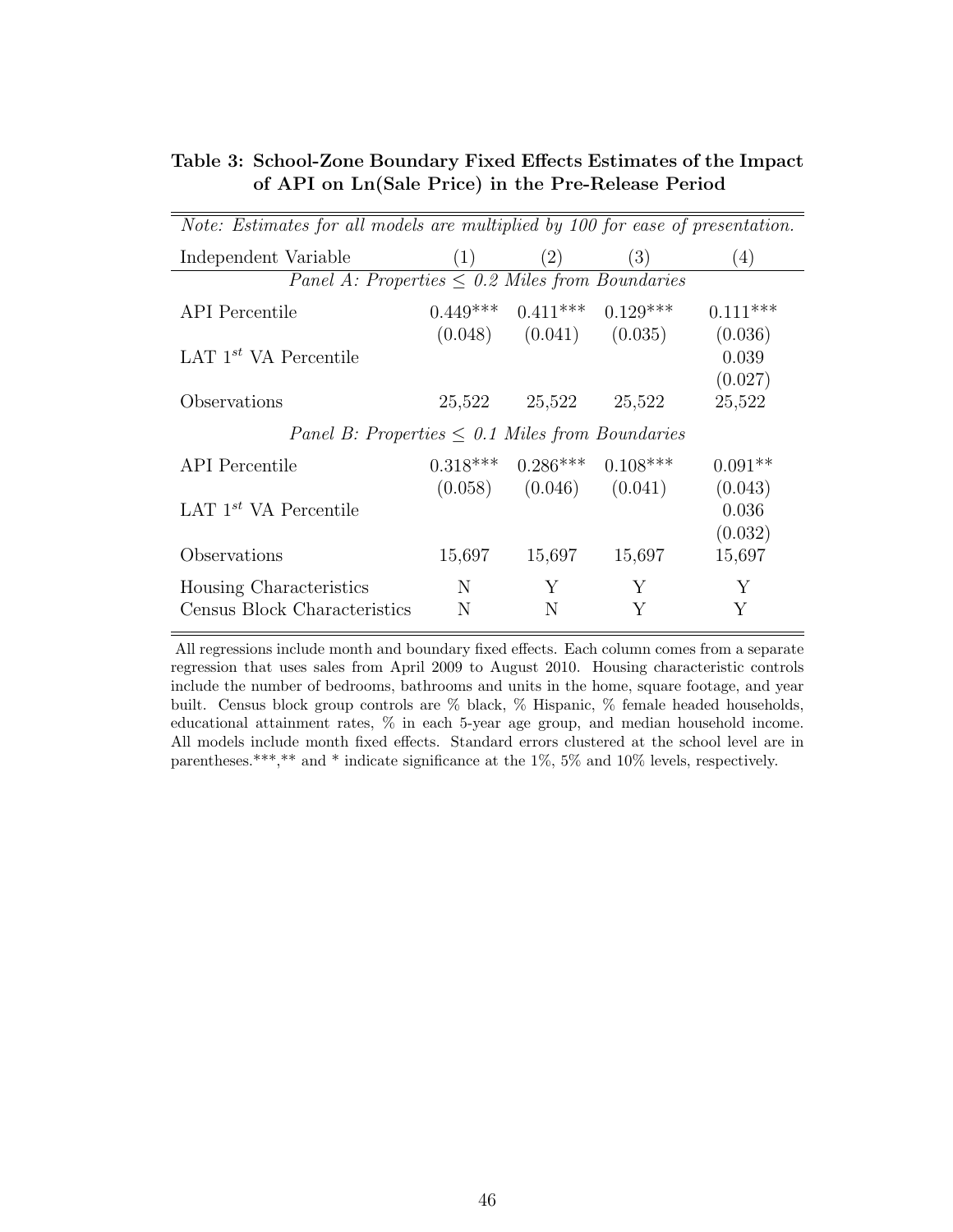#### **Table 3: School-Zone Boundary Fixed Effects Estimates of the Impact of API on Ln(Sale Price) in the Pre-Release Period**

| Note: Estimates for all models are multiplied by 100 for ease of presentation. |        |                                  |        |            |
|--------------------------------------------------------------------------------|--------|----------------------------------|--------|------------|
| Independent Variable                                                           | (1)    | (2)                              | (3)    | (4)        |
| Panel A: Properties $\leq 0.2$ Miles from Boundaries                           |        |                                  |        |            |
| <b>API</b> Percentile                                                          |        | $0.449***$ $0.411***$ $0.129***$ |        | $0.111***$ |
|                                                                                |        | $(0.048)$ $(0.041)$ $(0.035)$    |        | (0.036)    |
| LAT $1^{st}$ VA Percentile                                                     |        |                                  |        | 0.039      |
|                                                                                |        |                                  |        | (0.027)    |
| Observations                                                                   | 25,522 | 25,522                           | 25,522 | 25,522     |
| Panel B: Properties $\leq 0.1$ Miles from Boundaries                           |        |                                  |        |            |
| <b>API</b> Percentile                                                          |        | $0.318***$ $0.286***$ $0.108***$ |        | $0.091**$  |
|                                                                                |        | $(0.058)$ $(0.046)$ $(0.041)$    |        | (0.043)    |
| LAT $1^{st}$ VA Percentile                                                     |        |                                  |        | 0.036      |
|                                                                                |        |                                  |        | (0.032)    |
| Observations                                                                   | 15,697 | 15,697                           | 15,697 | 15,697     |
| Housing Characteristics                                                        | N      | Y                                | Y      | Y          |
| Census Block Characteristics                                                   | N      | N                                | Υ      | Y          |

All regressions include month and boundary fixed effects. Each column comes from a separate regression that uses sales from April 2009 to August 2010. Housing characteristic controls include the number of bedrooms, bathrooms and units in the home, square footage, and year built. Census block group controls are % black, % Hispanic, % female headed households, educational attainment rates, % in each 5-year age group, and median household income. All models include month fixed effects. Standard errors clustered at the school level are in parentheses.\*\*\*,\*\* and \* indicate significance at the 1%, 5% and 10% levels, respectively.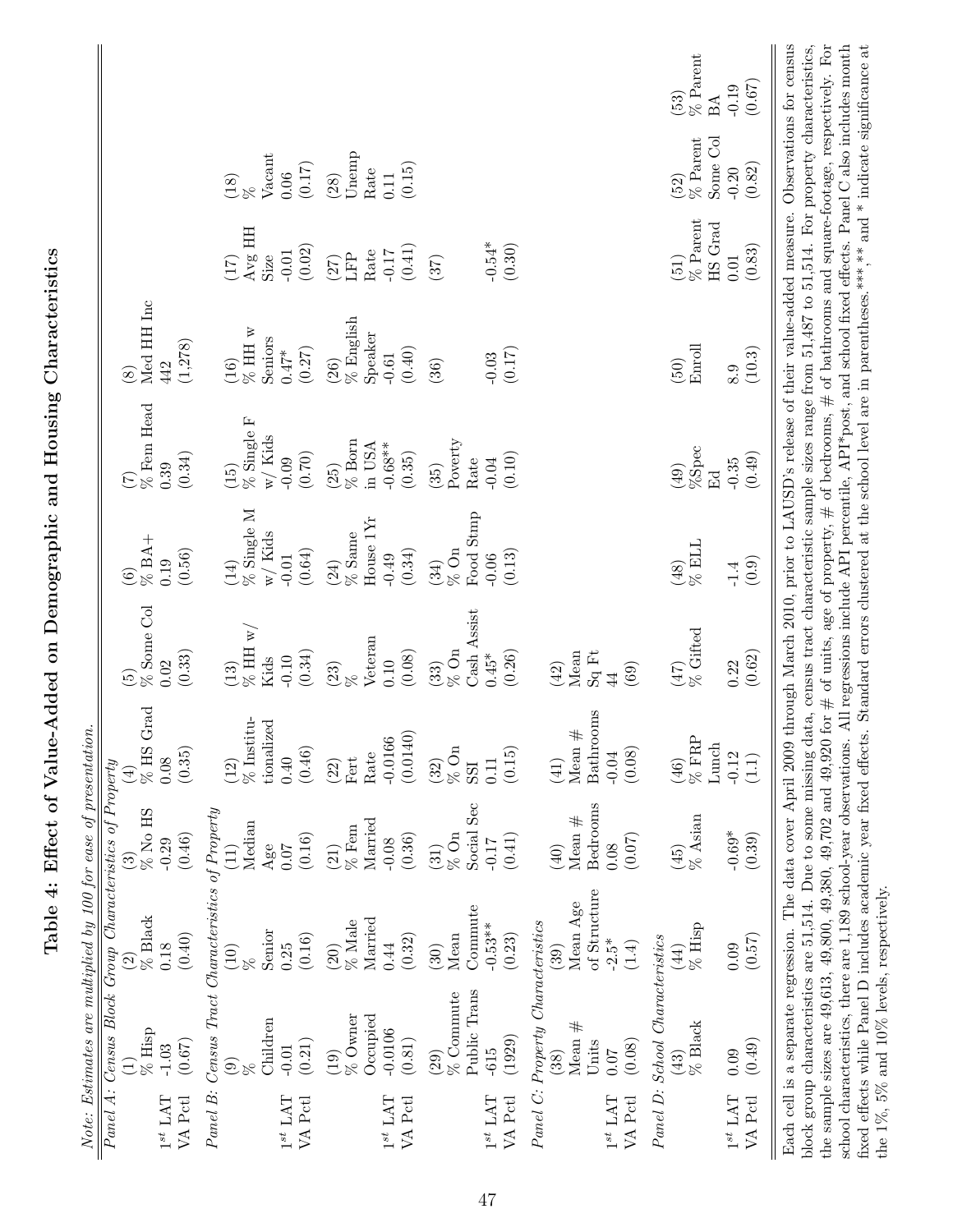|                         | Note: Estimates are multiplied by 100 for ease of presentation.                                                                                                                                                                                                                                                                           |                                  |                      |                                             |                                          |                                  |                                                                                                        |                                  |                                                                      |                                                            |                          |
|-------------------------|-------------------------------------------------------------------------------------------------------------------------------------------------------------------------------------------------------------------------------------------------------------------------------------------------------------------------------------------|----------------------------------|----------------------|---------------------------------------------|------------------------------------------|----------------------------------|--------------------------------------------------------------------------------------------------------|----------------------------------|----------------------------------------------------------------------|------------------------------------------------------------|--------------------------|
|                         | Panel A: Census Block Group Characteristics of Property                                                                                                                                                                                                                                                                                   |                                  |                      |                                             |                                          |                                  |                                                                                                        |                                  |                                                                      |                                                            |                          |
|                         | $\%$ Hisp                                                                                                                                                                                                                                                                                                                                 | $\%$ Black                       | $\%$ No HS           | rad<br>$\%$ HS G<br>$\bigoplus$             | % Some Col<br>$\widetilde{\mathfrak{G}}$ | $%BA+$<br>$\widehat{\mathbf{e}}$ | $\%$ Fem Head                                                                                          | Med HH Inc<br>$\widehat{\infty}$ |                                                                      |                                                            |                          |
| $1^{st}$ LAT<br>VA Pctl | (0.67)<br>$-1.03$                                                                                                                                                                                                                                                                                                                         | (0.40)<br>0.18                   | (0.46)<br>$-0.29$    | (0.35)<br>0.08                              | (0.33)<br>0.02                           | (0.56)<br>0.19                   | (0.34)<br>0.39                                                                                         | (1,278)<br>442                   |                                                                      |                                                            |                          |
|                         | Panel B: Census Tract Characteristics of Property                                                                                                                                                                                                                                                                                         |                                  |                      |                                             |                                          |                                  |                                                                                                        |                                  |                                                                      |                                                            |                          |
|                         | $\odot$                                                                                                                                                                                                                                                                                                                                   | (10)<br>$\aleph$                 | Median<br>(11)       | $\%$ Institu<br>- tionalized<br>(12)        | % HH w<br>$(13)$                         | $%$ Single M<br>(14)             | $%$ Single F<br>$(15)$                                                                                 | $\%$ HH w<br>(16)                | $\begin{array}{c} {\rm (17)} \\ {\rm Avg} \,\, {\rm HH} \end{array}$ | $\frac{3}{28}$                                             |                          |
| $1^{st}$ LAT            | Children<br>$-0.01$                                                                                                                                                                                                                                                                                                                       | Senior<br>0.25                   | Age<br>0.07          | 0.40                                        | $-0.10$<br>Kids                          | w/Kids<br>$-0.01$                | w/Kids<br>$-0.09$                                                                                      | Seniors<br>$0.47*$               | $\!0.01\!$<br>Size                                                   | $\rm Vacant$ 0.06                                          |                          |
| VA Pctl                 | (0.21)                                                                                                                                                                                                                                                                                                                                    | (0.16)                           | (0.16)               | (0.46)                                      | (0.34)                                   | (0.64)                           | (0.70)                                                                                                 | (0.27)                           | (0.02)                                                               | (0.17)                                                     |                          |
|                         | $%$ Owner<br>(19)                                                                                                                                                                                                                                                                                                                         | % Male<br>(20)                   | $%$ Fem<br>(21)      | Fert<br>(22)                                | $\overline{23}$                          | $\stackrel{(24)}{\%}$ Same       | $\%$ Born<br>(25)                                                                                      | % English<br>$(26)$              | $(27)$<br>LFP                                                        | $\begin{array}{c} \text{(28)} \\ \text{Unemp} \end{array}$ |                          |
| $1^{st}$ LAT            | Occupied<br>$-0.0106$                                                                                                                                                                                                                                                                                                                     | Married                          | Married<br>$-0.08$   | $-0.0166$<br>Rate                           | Veteran<br>0.10                          | House 1Yr                        | $-0.68***$<br>in USA                                                                                   | Speaker                          | Rate                                                                 | Rate<br>0.11                                               |                          |
| VA Pctl                 | (0.81)                                                                                                                                                                                                                                                                                                                                    | (0.32)<br>0.44                   | (0.36)               | (0.0140)                                    | (0.08)                                   | (0.34)<br>$-0.49$                | (0.35)                                                                                                 | (0.40)<br>$\!-0.61$              | $^{-(1.41)}_{(0.41)}$                                                | (0.15)                                                     |                          |
|                         | % Commute<br>(29)                                                                                                                                                                                                                                                                                                                         | Mean<br>(30)                     | $\%$ On<br>(31)      | $\frac{(32)}{\%}$ On                        | $\%$ On<br>(33)                          | $%$ On<br>(34)                   | Poverty<br>(35)                                                                                        | (36)                             | (37)                                                                 |                                                            |                          |
|                         | Public Trans                                                                                                                                                                                                                                                                                                                              | Commute                          | Social Sec           | SSI                                         | Cash Assist                              | Food Stmp                        | Rate                                                                                                   |                                  |                                                                      |                                                            |                          |
| $1^{st}$ LAT<br>VA Pctl | (1929)<br>$-615$                                                                                                                                                                                                                                                                                                                          | $-0.53**$<br>$\left(0.23\right)$ | (0.41)<br>$-0.17$    | (0.15)<br>0.11                              | (0.26)<br>$0.45*$                        | (0.13)<br>$-0.06$                | (0.10)<br>$-0.04$                                                                                      | (0.17)<br>$-0.03$                | $-0.54*$<br>(0.30)                                                   |                                                            |                          |
|                         | Panel C: Property Characteristics                                                                                                                                                                                                                                                                                                         |                                  |                      |                                             |                                          |                                  |                                                                                                        |                                  |                                                                      |                                                            |                          |
|                         | (38)                                                                                                                                                                                                                                                                                                                                      | (39)                             | (40)                 | (41)                                        | (42)                                     |                                  |                                                                                                        |                                  |                                                                      |                                                            |                          |
|                         | Mean $#$<br>Units                                                                                                                                                                                                                                                                                                                         | of Structure<br>Mean Age         | Bedrooms<br>Mean $#$ | Bathrooms<br>Mean $#$                       | $\rm Sq\,{\rm Et}$<br>Mean               |                                  |                                                                                                        |                                  |                                                                      |                                                            |                          |
| $1^{st}$ LAT<br>VA Pctl | (0.08)<br>0.07                                                                                                                                                                                                                                                                                                                            | $-2.5*$<br>$(1.4)$               | (0.07)<br>0.08       | (0.08)<br>$-0.04$                           | (69)<br>$\ddot{4}$                       |                                  |                                                                                                        |                                  |                                                                      |                                                            |                          |
|                         | Panel D: School Characteristics                                                                                                                                                                                                                                                                                                           |                                  |                      |                                             |                                          |                                  |                                                                                                        |                                  |                                                                      |                                                            |                          |
|                         | (43)                                                                                                                                                                                                                                                                                                                                      | (44)                             | (45)                 | (46)                                        | (47)                                     | $\frac{\rm (48)}{\rm \%~ELL}$    | (49)                                                                                                   | (50)                             | (51)                                                                 | (52)                                                       | (53)                     |
|                         | % Black                                                                                                                                                                                                                                                                                                                                   | $%$ Hisp                         | $\%$ Asian           | $\%$ FRP<br>Lunch                           | % Gifted                                 |                                  | %Spec<br>$E_{\rm d}$                                                                                   | Enroll                           | % Parent<br>HS Grad                                                  | Some Col<br>$\%$ Parent                                    | $\%$ Parent<br><b>BA</b> |
| $1^{st}$ LAT            | 0.09                                                                                                                                                                                                                                                                                                                                      | 0.09                             | $-0.69*$             | $-0.12$                                     | 0.22                                     | $-1.4$                           | $-0.35$                                                                                                | 8.9                              | 0.01                                                                 | $-0.20$                                                    | $-0.19$                  |
| VA Pctl                 | (0.49)                                                                                                                                                                                                                                                                                                                                    | (0.57)                           | (0.39)               | $\begin{array}{c} (1.1) \\ 1.1 \end{array}$ | (0.62)                                   | (0.9)                            | (0.49)                                                                                                 | (10.3)                           | (0.83)                                                               | (0.82)                                                     | (0.67)                   |
|                         | Each cell is a separate regression. The data cover April 2009 through March 2010, prior to LAUSD's release of their value-added measure. Observations for census<br>block group characteristics are 51,514. Due to some missing data, census tract characteristic sample sizes range from 51,487 to 51,514. For property characteristics, |                                  |                      |                                             |                                          |                                  |                                                                                                        |                                  |                                                                      |                                                            |                          |
|                         | the sample sizes are 49,613, 49,800, 49,800, 49,702 and 49,920 for $\#$ of units, age of property, $\#$ of bedrooms, $\#$ of bathrooms and square-footage, respectively. For                                                                                                                                                              |                                  |                      |                                             |                                          |                                  |                                                                                                        |                                  |                                                                      |                                                            |                          |
|                         | school characteristics, there are 1,189 school-year observations. All regressions include API percentile, API*post, and school fixed effects. Panel C also includes month<br>fixed effects while Panel D includes academic year fixed effects.                                                                                            |                                  |                      |                                             |                                          |                                  | Standard errors clustered at the school level are in parentheses.****,* and * indicate significance at |                                  |                                                                      |                                                            |                          |
|                         | the 1%, 5% and 10% levels, respectively.                                                                                                                                                                                                                                                                                                  |                                  |                      |                                             |                                          |                                  |                                                                                                        |                                  |                                                                      |                                                            |                          |

Table 4: Effect of Value-Added on Demographic and Housing Characteristics **Table 4: Effect of Value-Added on Demographic and Housing Characteristics**

 $n$ tatio  $\mathbf{r}$  $n_{i}$   $n_{i}$   $l_{i}$   $l_{i}$   $l_{i}$   $l_{i}$ É,  $\overline{F}$  and  $\overline{F}$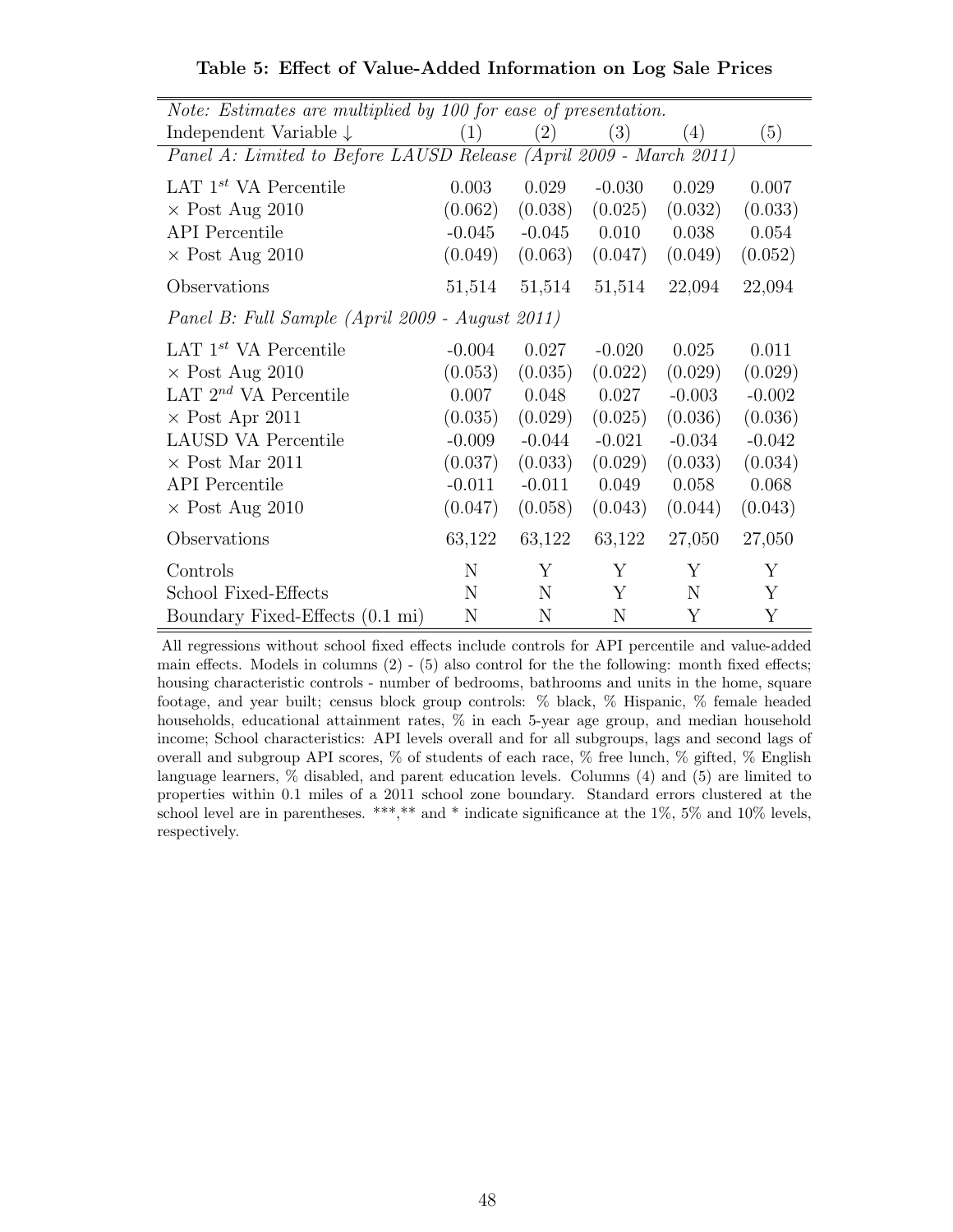| Note: Estimates are multiplied by 100 for ease of presentation.    |          |          |          |          |          |
|--------------------------------------------------------------------|----------|----------|----------|----------|----------|
| Independent Variable $\downarrow$                                  | (1)      | (2)      | (3)      | (4)      | (5)      |
| Panel A: Limited to Before LAUSD Release (April 2009 - March 2011) |          |          |          |          |          |
| LAT $1^{st}$ VA Percentile                                         | 0.003    | 0.029    | $-0.030$ | 0.029    | 0.007    |
| $\times$ Post Aug 2010                                             | (0.062)  | (0.038)  | (0.025)  | (0.032)  | (0.033)  |
| <b>API</b> Percentile                                              | $-0.045$ | $-0.045$ | 0.010    | 0.038    | 0.054    |
| $\times$ Post Aug 2010                                             | (0.049)  | (0.063)  | (0.047)  | (0.049)  | (0.052)  |
| Observations                                                       | 51,514   | 51,514   | 51,514   | 22,094   | 22,094   |
| Panel B: Full Sample (April 2009 - August 2011)                    |          |          |          |          |          |
| LAT $1^{st}$ VA Percentile                                         | $-0.004$ | 0.027    | $-0.020$ | 0.025    | 0.011    |
| $\times$ Post Aug 2010                                             | (0.053)  | (0.035)  | (0.022)  | (0.029)  | (0.029)  |
| LAT $2^{nd}$ VA Percentile                                         | 0.007    | 0.048    | 0.027    | $-0.003$ | $-0.002$ |
| $\times$ Post Apr 2011                                             | (0.035)  | (0.029)  | (0.025)  | (0.036)  | (0.036)  |
| <b>LAUSD VA Percentile</b>                                         | $-0.009$ | $-0.044$ | $-0.021$ | $-0.034$ | $-0.042$ |
| $\times$ Post Mar 2011                                             | (0.037)  | (0.033)  | (0.029)  | (0.033)  | (0.034)  |
| <b>API</b> Percentile                                              | $-0.011$ | $-0.011$ | 0.049    | 0.058    | 0.068    |
| $\times$ Post Aug 2010                                             | (0.047)  | (0.058)  | (0.043)  | (0.044)  | (0.043)  |
| Observations                                                       | 63,122   | 63,122   | 63,122   | 27,050   | 27,050   |
| Controls                                                           | N        | Y        | Y        | Y        | Y        |
| School Fixed-Effects                                               | N        | N        | Y        | N        | Y        |
| Boundary Fixed-Effects (0.1 mi)                                    | N        | N        | N        | Υ        | Υ        |

**Table 5: Effect of Value-Added Information on Log Sale Prices**

All regressions without school fixed effects include controls for API percentile and value-added main effects. Models in columns  $(2)$  -  $(5)$  also control for the the following: month fixed effects; housing characteristic controls - number of bedrooms, bathrooms and units in the home, square footage, and year built; census block group controls: % black, % Hispanic, % female headed households, educational attainment rates, % in each 5-year age group, and median household income; School characteristics: API levels overall and for all subgroups, lags and second lags of overall and subgroup API scores, % of students of each race, % free lunch, % gifted, % English language learners, % disabled, and parent education levels. Columns (4) and (5) are limited to properties within 0.1 miles of a 2011 school zone boundary. Standard errors clustered at the school level are in parentheses. \*\*\*,\*\* and \* indicate significance at the 1%, 5% and 10% levels, respectively.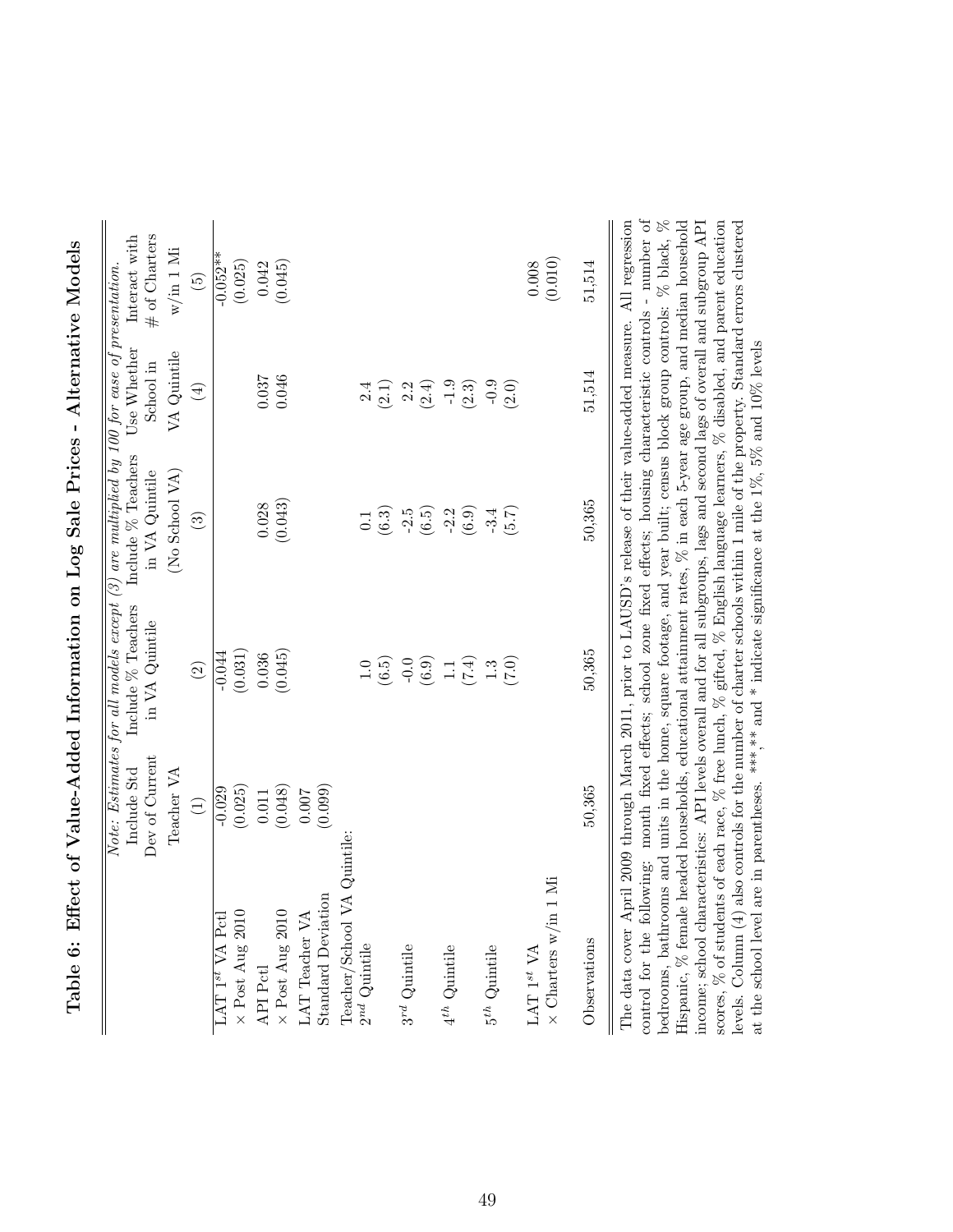|                                                                                                                                                                                                                                                                                                                                                                                                                                                                                                                                                                                                                                                                                                                                                                                                                              | Dev of Current<br>Include Std | Note: Estimates for all models except $(3)$ are multiplied by 100 for ease of presentation.<br>Include % Teachers<br>in VA Quintile                                                             | Include % Teachers<br>in VA Quintile | Use Whether<br>School in | # of Charters<br>Interact with |
|------------------------------------------------------------------------------------------------------------------------------------------------------------------------------------------------------------------------------------------------------------------------------------------------------------------------------------------------------------------------------------------------------------------------------------------------------------------------------------------------------------------------------------------------------------------------------------------------------------------------------------------------------------------------------------------------------------------------------------------------------------------------------------------------------------------------------|-------------------------------|-------------------------------------------------------------------------------------------------------------------------------------------------------------------------------------------------|--------------------------------------|--------------------------|--------------------------------|
|                                                                                                                                                                                                                                                                                                                                                                                                                                                                                                                                                                                                                                                                                                                                                                                                                              | Teacher VA                    |                                                                                                                                                                                                 | (No School VA)                       | VA Quintile              | $\rm w/in$ 1 $\rm Mi$          |
|                                                                                                                                                                                                                                                                                                                                                                                                                                                                                                                                                                                                                                                                                                                                                                                                                              | $\widehat{\Xi}$               | $\widehat{\Omega}$                                                                                                                                                                              | $\widehat{\mathbb{G}}$               | $\bigoplus$              | $\widetilde{5}$                |
| $\overline{\text{LAT}}$ 1st $\overline{\text{VA}}$ Petl                                                                                                                                                                                                                                                                                                                                                                                                                                                                                                                                                                                                                                                                                                                                                                      | $-0.029$                      | $-0.044$                                                                                                                                                                                        |                                      |                          | $-0.052**$                     |
| $\times$ Post Aug 2010                                                                                                                                                                                                                                                                                                                                                                                                                                                                                                                                                                                                                                                                                                                                                                                                       | (0.025)                       | (0.031)                                                                                                                                                                                         |                                      |                          | (0.025)                        |
|                                                                                                                                                                                                                                                                                                                                                                                                                                                                                                                                                                                                                                                                                                                                                                                                                              | $0.011\,$                     | 0.036                                                                                                                                                                                           | 0.028                                | 0.037                    | 0.042                          |
| $\begin{array}{c} \mbox{API Pctl} \\ \times \mbox{Post Aug 2010} \end{array}$                                                                                                                                                                                                                                                                                                                                                                                                                                                                                                                                                                                                                                                                                                                                                | (0.048)                       | (0.045)                                                                                                                                                                                         | (0.043)                              | 0.046                    | (0.045)                        |
| LAT Teacher VA                                                                                                                                                                                                                                                                                                                                                                                                                                                                                                                                                                                                                                                                                                                                                                                                               | 0.007                         |                                                                                                                                                                                                 |                                      |                          |                                |
| <b>Standard Deviation</b>                                                                                                                                                                                                                                                                                                                                                                                                                                                                                                                                                                                                                                                                                                                                                                                                    | (0.099)                       |                                                                                                                                                                                                 |                                      |                          |                                |
| VA Quintile<br>$\begin{array}{l} \mathrm{Teacher/ School} \\ 2^{nd} \ \mathrm{Quintile} \end{array}$                                                                                                                                                                                                                                                                                                                                                                                                                                                                                                                                                                                                                                                                                                                         |                               |                                                                                                                                                                                                 |                                      |                          |                                |
|                                                                                                                                                                                                                                                                                                                                                                                                                                                                                                                                                                                                                                                                                                                                                                                                                              |                               | $\overline{1.0}$                                                                                                                                                                                | $\overline{0.1}$                     | 2.4                      |                                |
|                                                                                                                                                                                                                                                                                                                                                                                                                                                                                                                                                                                                                                                                                                                                                                                                                              |                               | (6.5)                                                                                                                                                                                           | (6.3)                                | (2.1)                    |                                |
| $3^{rd}$ Quintile                                                                                                                                                                                                                                                                                                                                                                                                                                                                                                                                                                                                                                                                                                                                                                                                            |                               | $-0.0$                                                                                                                                                                                          | $-2.5$                               |                          |                                |
|                                                                                                                                                                                                                                                                                                                                                                                                                                                                                                                                                                                                                                                                                                                                                                                                                              |                               | $(6.9)$                                                                                                                                                                                         | (6.5)                                | $2.2$<br>(2.4)           |                                |
| $4^{th}$ Quintile                                                                                                                                                                                                                                                                                                                                                                                                                                                                                                                                                                                                                                                                                                                                                                                                            |                               | $\Xi$                                                                                                                                                                                           | $-2.2$                               | $-1.9$                   |                                |
|                                                                                                                                                                                                                                                                                                                                                                                                                                                                                                                                                                                                                                                                                                                                                                                                                              |                               | $(7.4)$                                                                                                                                                                                         | (6.9)                                | (2.3)                    |                                |
| $5^{th}$ Quintile                                                                                                                                                                                                                                                                                                                                                                                                                                                                                                                                                                                                                                                                                                                                                                                                            |                               | (7.0)                                                                                                                                                                                           | $-3.4$                               |                          |                                |
|                                                                                                                                                                                                                                                                                                                                                                                                                                                                                                                                                                                                                                                                                                                                                                                                                              |                               |                                                                                                                                                                                                 | (5.7)                                | $-0.9$<br>(2.0)          |                                |
| 1 Mi<br>LAT $1^{st}$ VA $\times$ Charters w/in $\overline{\phantom{a}}$                                                                                                                                                                                                                                                                                                                                                                                                                                                                                                                                                                                                                                                                                                                                                      |                               |                                                                                                                                                                                                 |                                      |                          | (0.010)<br>0.008               |
|                                                                                                                                                                                                                                                                                                                                                                                                                                                                                                                                                                                                                                                                                                                                                                                                                              |                               |                                                                                                                                                                                                 |                                      |                          |                                |
| Observations                                                                                                                                                                                                                                                                                                                                                                                                                                                                                                                                                                                                                                                                                                                                                                                                                 | 50,365                        | 50,365                                                                                                                                                                                          | 50,365                               | 51,514                   | 51,514                         |
| control for the following: month fixed effects; school zone fixed effects; housing characteristic controls - number of<br>bedrooms, bathrooms and units in the home, square footage, and year built; census block group controls: $\%$ black, $\%$<br>The data cover April 2009 through March 2011, prior to LAUSD's release of their value-added measure. All regression<br>Hispanic, $%$ female headed households, educational attainment rates, $%$ in each 5-year age group, and median household<br>scores, $\%$ of students of each race, $\%$ free lunch, $\%$ gifted, $\%$ English language learners, $\%$ disabled, and parent education<br>income; school characteristics: API levels overall and for all subgroups, lags and second lags of overall and subgroup API<br>at the school level<br>levels. Column (4) |                               | also controls for the number of charter schools within 1 mile of the property. Standard errors clustered<br>are in parentheses. ***,** and * indicate significance at the 1%, 5% and 10% levels |                                      |                          |                                |

Table 6: Effect of Value-Added Information on Log Sale Prices - Alternative Models Table 6: Effect of Value-Added Information on Log Sale Prices - Alternative Models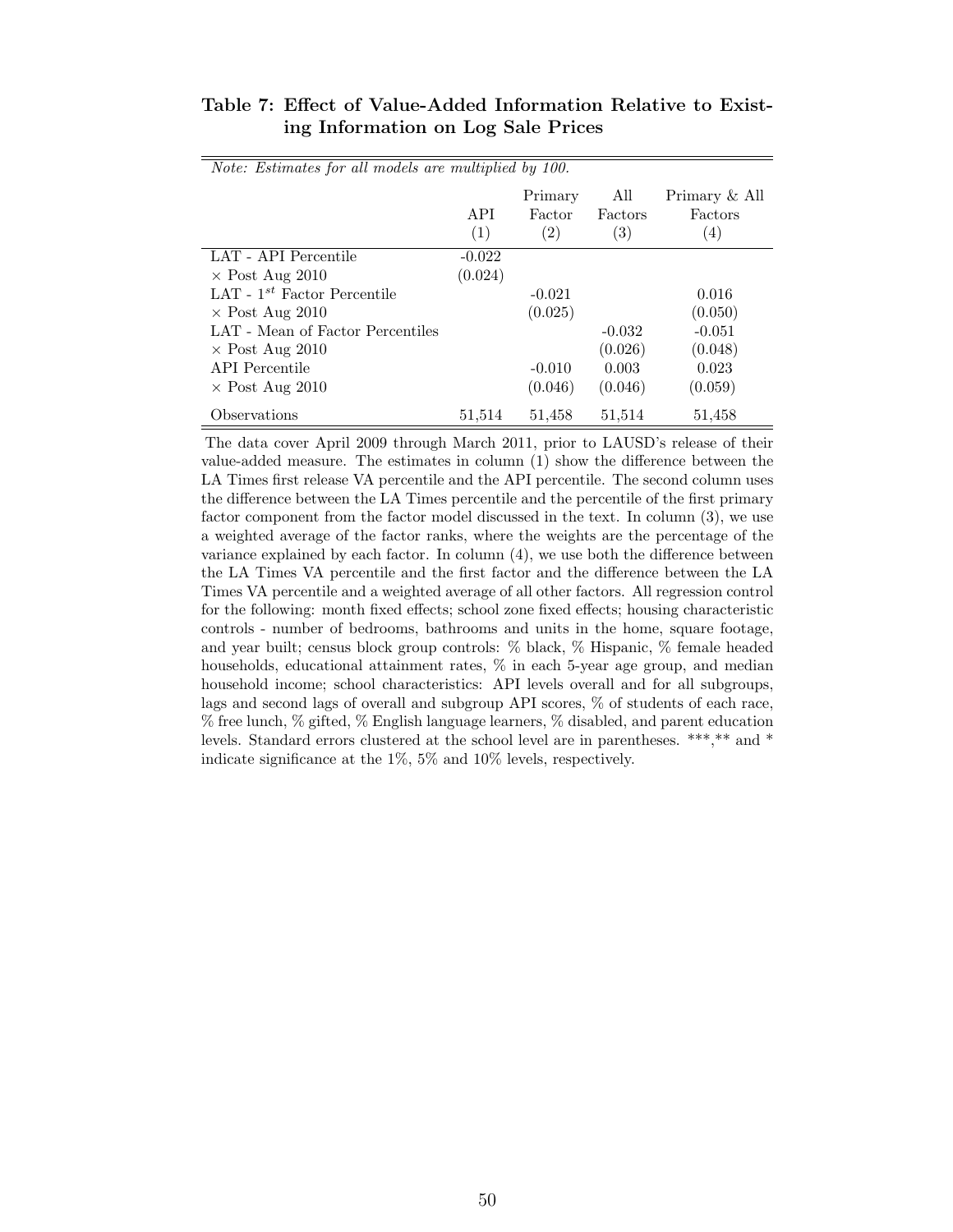| Note: Estimates for all models are multiplied by 100. |            |                                        |                                     |                                               |
|-------------------------------------------------------|------------|----------------------------------------|-------------------------------------|-----------------------------------------------|
|                                                       | API<br>(1) | Primary<br>Factor<br>$\left( 2\right)$ | All<br>Factors<br>$\left( 3\right)$ | Primary & All<br>Factors<br>$\left( 4\right)$ |
| LAT - API Percentile                                  | $-0.022$   |                                        |                                     |                                               |
| $\times$ Post Aug 2010                                | (0.024)    |                                        |                                     |                                               |
| LAT - $1^{st}$ Factor Percentile                      |            | $-0.021$                               |                                     | 0.016                                         |
| $\times$ Post Aug 2010                                |            | (0.025)                                |                                     | (0.050)                                       |
| LAT - Mean of Factor Percentiles                      |            |                                        | $-0.032$                            | $-0.051$                                      |
| $\times$ Post Aug 2010                                |            |                                        | (0.026)                             | (0.048)                                       |
| API Percentile                                        |            | $-0.010$                               | 0.003                               | 0.023                                         |
| $\times$ Post Aug 2010                                |            | (0.046)                                | (0.046)                             | (0.059)                                       |
| Observations                                          | 51,514     | 51,458                                 | 51,514                              | 51,458                                        |

**Table 7: Effect of Value-Added Information Relative to Existing Information on Log Sale Prices**

The data cover April 2009 through March 2011, prior to LAUSD's release of their value-added measure. The estimates in column (1) show the difference between the LA Times first release VA percentile and the API percentile. The second column uses the difference between the LA Times percentile and the percentile of the first primary factor component from the factor model discussed in the text. In column (3), we use a weighted average of the factor ranks, where the weights are the percentage of the variance explained by each factor. In column (4), we use both the difference between the LA Times VA percentile and the first factor and the difference between the LA Times VA percentile and a weighted average of all other factors. All regression control for the following: month fixed effects; school zone fixed effects; housing characteristic controls - number of bedrooms, bathrooms and units in the home, square footage, and year built; census block group controls: % black, % Hispanic, % female headed households, educational attainment rates, % in each 5-year age group, and median household income; school characteristics: API levels overall and for all subgroups, lags and second lags of overall and subgroup API scores, % of students of each race, % free lunch, % gifted, % English language learners, % disabled, and parent education levels. Standard errors clustered at the school level are in parentheses. \*\*\*,\*\* and \* indicate significance at the 1%, 5% and 10% levels, respectively.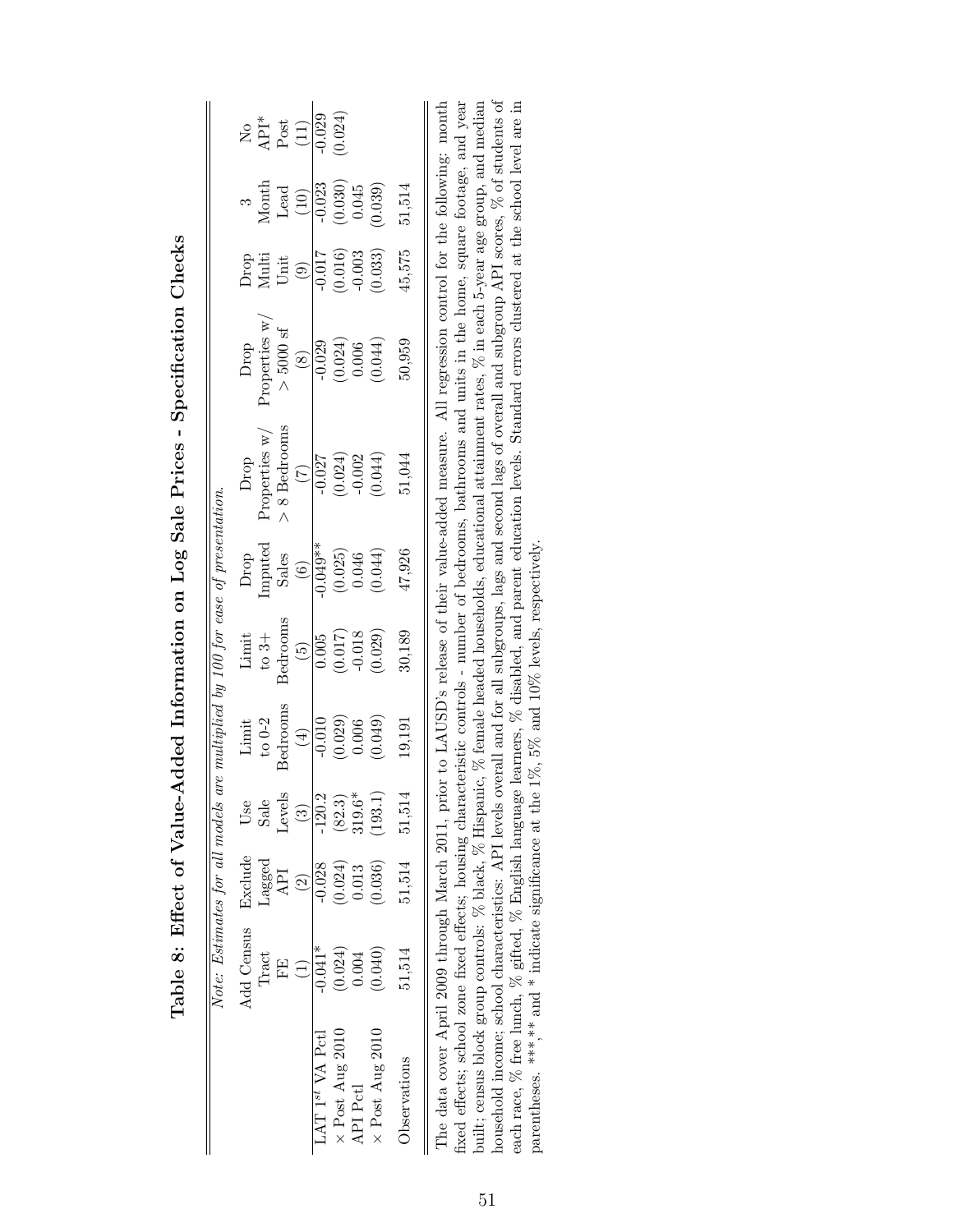|                             | Add Census | Exclude            | Use              | Limit                                                      | Limit                                                                | Drop                                   | Drop                           | Drop                            | Drop                              |                      |                                                                                                        |
|-----------------------------|------------|--------------------|------------------|------------------------------------------------------------|----------------------------------------------------------------------|----------------------------------------|--------------------------------|---------------------------------|-----------------------------------|----------------------|--------------------------------------------------------------------------------------------------------|
|                             | Tract      | Lagged             | Sale             | to $0-2$                                                   | to $3\mathrm{+}$                                                     | Imputed                                | Properties w                   | Properties w                    | Multi                             | Month                | $\begin{array}{c} \mathtt{No} \\ \mathtt{AP}^* \\ \mathtt{Post} \\ \mathtt{D}(\mathtt{I}) \end{array}$ |
|                             | 모          | API                | Levels           | <b>Bedrooms</b>                                            | Bedrooms                                                             | Sales                                  | $> 8$ Bedrooms                 | $>5000$ sf                      | Unit                              |                      |                                                                                                        |
|                             |            | $\widehat{\Omega}$ | $\left(3\right)$ | $\bigoplus$                                                | $\widetilde{G}$                                                      | $\begin{pmatrix} 0 \\ 0 \end{pmatrix}$ | $\widetilde{C}$                | $\circledS$                     | $\begin{pmatrix} 0 \end{pmatrix}$ | Lead $(10)$          |                                                                                                        |
| LAT 1 <sup>st</sup> VA Pctl | $-0.041*$  | $-0.028$           | $-120.2$         | $-0.010$                                                   |                                                                      | $0.049**$                              | $-0.027$                       | $-0.029$                        | $-0.017$                          | $-0.023$             | $\frac{1}{0.029}$                                                                                      |
| $\times$ Post Aug 2010      | (0.024)    | (0.024)            | (82.3)           |                                                            |                                                                      |                                        |                                |                                 | $(0.016)$<br>-0.003               | $(0.030)$<br>$0.045$ | 0.024)                                                                                                 |
| API Petl                    | 0.004      | 0.013              | 319.6*           |                                                            |                                                                      |                                        |                                |                                 |                                   |                      |                                                                                                        |
| $\times$ Post Aug 2010      | (0.040)    | (0.036)            | (193.1)          | $\begin{array}{c} (0.029) \\ 0.006 \\ (0.049) \end{array}$ | $\begin{array}{c} 0.005 \\ (0.017) \\ -0.018 \\ (0.029) \end{array}$ | $(0.025)$<br>0.046<br>$(0.044)$        | $(0.024)$<br>-0.002<br>(0.044) | $(0.024)$<br>0.006<br>$(0.044)$ | (0.033)                           | (0.039)              |                                                                                                        |
| Observations                | 51,514     | 51,514             | 51,514           | 19,191                                                     | 30,189                                                               | 47,926                                 | 51,044                         | 50,959                          | 45,575                            | 51,514               |                                                                                                        |

| ・く・4 とりは こくく<br>l                                          |
|------------------------------------------------------------|
| l<br>ĺ                                                     |
| ( )<br> <br> <br> <br>J<br>ı                               |
| ר בין היא היה והיה ביה ל                                   |
| .<br>.<br>.<br>.<br>l                                      |
| l<br>$\ddot{\phantom{a}}$                                  |
| $\frac{1}{2}$<br>י<br>ו<br>$\ddot{\dot{\delta}}$<br>ו<br>ג |
| $\frac{1}{4}$<br>l<br>l<br>I                               |
| $\frac{2}{3}$<br>l<br>I<br>۱                               |

 $\parallel$   $\pm$   $\parallel$ household income; school characteristics: API levels overall and for all subgroups, lags and second lags of overall and subgroup API scores,  $\%$  of students of built; census block group controls: % black, % Hispanic, % female headed households, educational attainment rates, % in each 5-year age group, and median each race,  $\%$  free lunch,  $\%$  gifted,  $\%$  English language learners,  $\%$  disabled, and parent education levels. Standard errors clustered at the school level are in parentheses. \*\*\*,\*\* and \* indicate significance at The data cover April 2009 through March 2011, prior to LAUSD's release of their value-added measure. All regression control for the following: month household income; school characteristics: API levels overall and for all subgroups, lags and second lags of overall and subgroup API scores, % of students of fixed effects; school zone fixed effects; housing characteristic controls - number of bedrooms, bathrooms and units in the home, square footage, and year built; census block group controls: % black, % Hispanic, % female headed households, educational attainment rates, % in each 5-year age group, and median each race, % free lunch, % gifted, % English language learners, % disabled, and parent education levels. Standard errors clustered at the school level are in parentheses. \*\*\*,\*\* and \* indicate significance at the  $1\%$ ,  $5\%$  and  $10\%$  levels, respectively.  $\parallel$  H  $_{\rm{gg}}$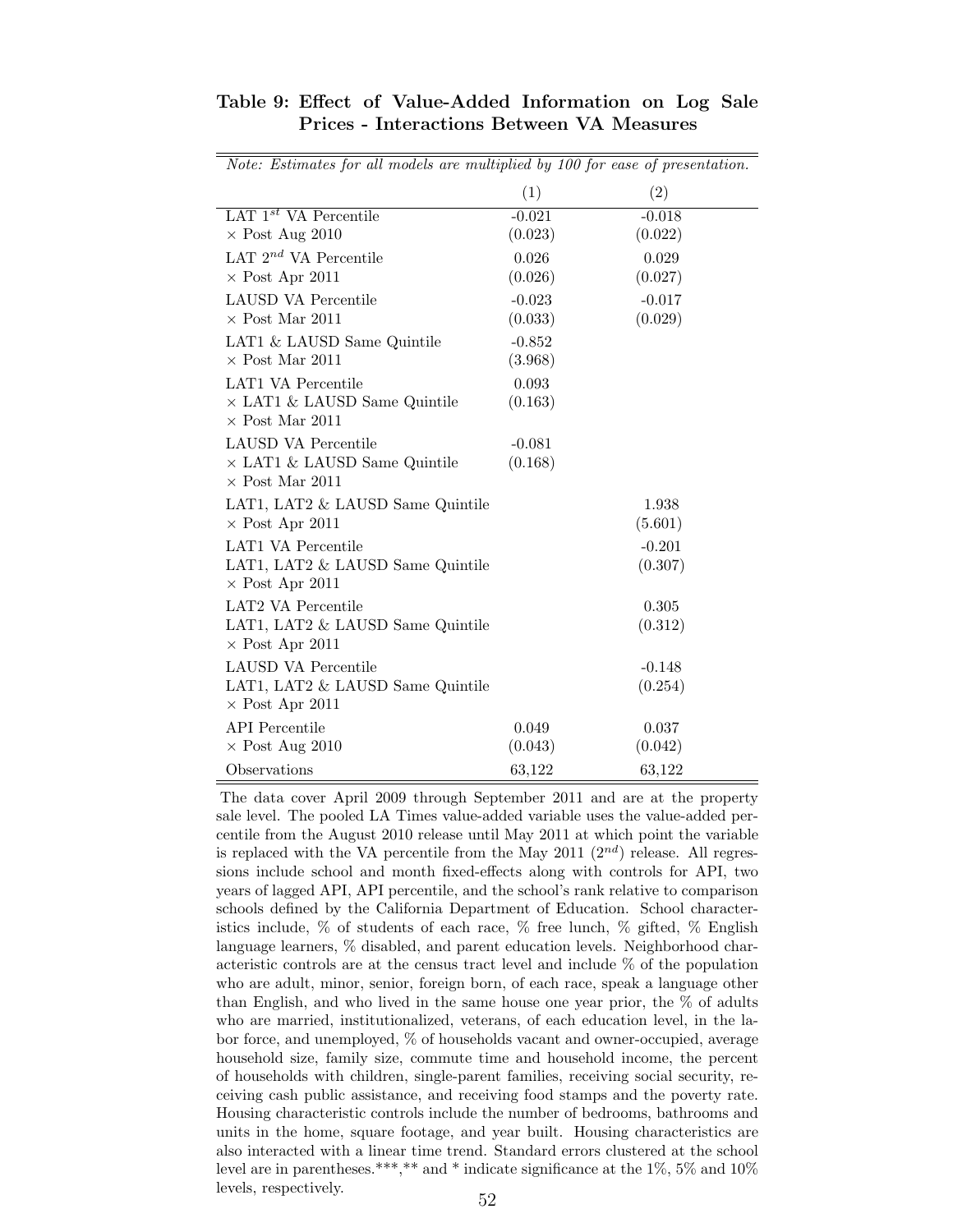| Note: Estimates for all models are multiplied by 100 for ease of presentation. |          |          |
|--------------------------------------------------------------------------------|----------|----------|
|                                                                                | (1)      | (2)      |
| LAT $1^{st}$ VA Percentile                                                     | $-0.021$ | $-0.018$ |
| $\times$ Post Aug 2010                                                         | (0.023)  | (0.022)  |
| LAT $2^{nd}$ VA Percentile                                                     | 0.026    | 0.029    |
| $\times$ Post Apr 2011                                                         | (0.026)  | (0.027)  |
| <b>LAUSD VA Percentile</b>                                                     | $-0.023$ | $-0.017$ |
| $\times$ Post Mar 2011                                                         | (0.033)  | (0.029)  |
| LAT1 & LAUSD Same Quintile                                                     | $-0.852$ |          |
| $\times$ Post Mar 2011                                                         | (3.968)  |          |
| LAT1 VA Percentile                                                             | 0.093    |          |
| $\times$ LAT1 & LAUSD Same Quintile                                            | (0.163)  |          |
| $\times$ Post Mar 2011                                                         |          |          |
| <b>LAUSD VA Percentile</b>                                                     | $-0.081$ |          |
| $\times$ LAT1 & LAUSD Same Quintile                                            | (0.168)  |          |
| $\times$ Post Mar 2011                                                         |          |          |
| LAT1, LAT2 & LAUSD Same Quintile                                               |          | 1.938    |
| $\times$ Post Apr 2011                                                         |          | (5.601)  |
| <b>LAT1 VA Percentile</b>                                                      |          | $-0.201$ |
| LAT1, LAT2 & LAUSD Same Quintile                                               |          | (0.307)  |
| $\times$ Post Apr 2011                                                         |          |          |
| LAT2 VA Percentile                                                             |          | 0.305    |
| LAT1, LAT2 & LAUSD Same Quintile                                               |          | (0.312)  |
| $\times$ Post Apr 2011                                                         |          |          |
| <b>LAUSD VA Percentile</b>                                                     |          | $-0.148$ |
| LAT1, LAT2 & LAUSD Same Quintile                                               |          | (0.254)  |
| $\times$ Post Apr 2011                                                         |          |          |
| <b>API</b> Percentile                                                          | 0.049    | 0.037    |
| $\times$ Post Aug 2010                                                         | (0.043)  | (0.042)  |
| Observations                                                                   | 63,122   | 63,122   |

**Table 9: Effect of Value-Added Information on Log Sale Prices - Interactions Between VA Measures**

The data cover April 2009 through September 2011 and are at the property sale level. The pooled LA Times value-added variable uses the value-added percentile from the August 2010 release until May 2011 at which point the variable is replaced with the VA percentile from the May 2011 (2*nd*) release. All regressions include school and month fixed-effects along with controls for API, two years of lagged API, API percentile, and the school's rank relative to comparison schools defined by the California Department of Education. School characteristics include, % of students of each race, % free lunch, % gifted, % English language learners, % disabled, and parent education levels. Neighborhood characteristic controls are at the census tract level and include % of the population who are adult, minor, senior, foreign born, of each race, speak a language other than English, and who lived in the same house one year prior, the % of adults who are married, institutionalized, veterans, of each education level, in the labor force, and unemployed, % of households vacant and owner-occupied, average household size, family size, commute time and household income, the percent of households with children, single-parent families, receiving social security, receiving cash public assistance, and receiving food stamps and the poverty rate. Housing characteristic controls include the number of bedrooms, bathrooms and units in the home, square footage, and year built. Housing characteristics are also interacted with a linear time trend. Standard errors clustered at the school level are in parentheses.\*\*\*,\*\* and \* indicate significance at the 1%, 5% and 10% levels, respectively.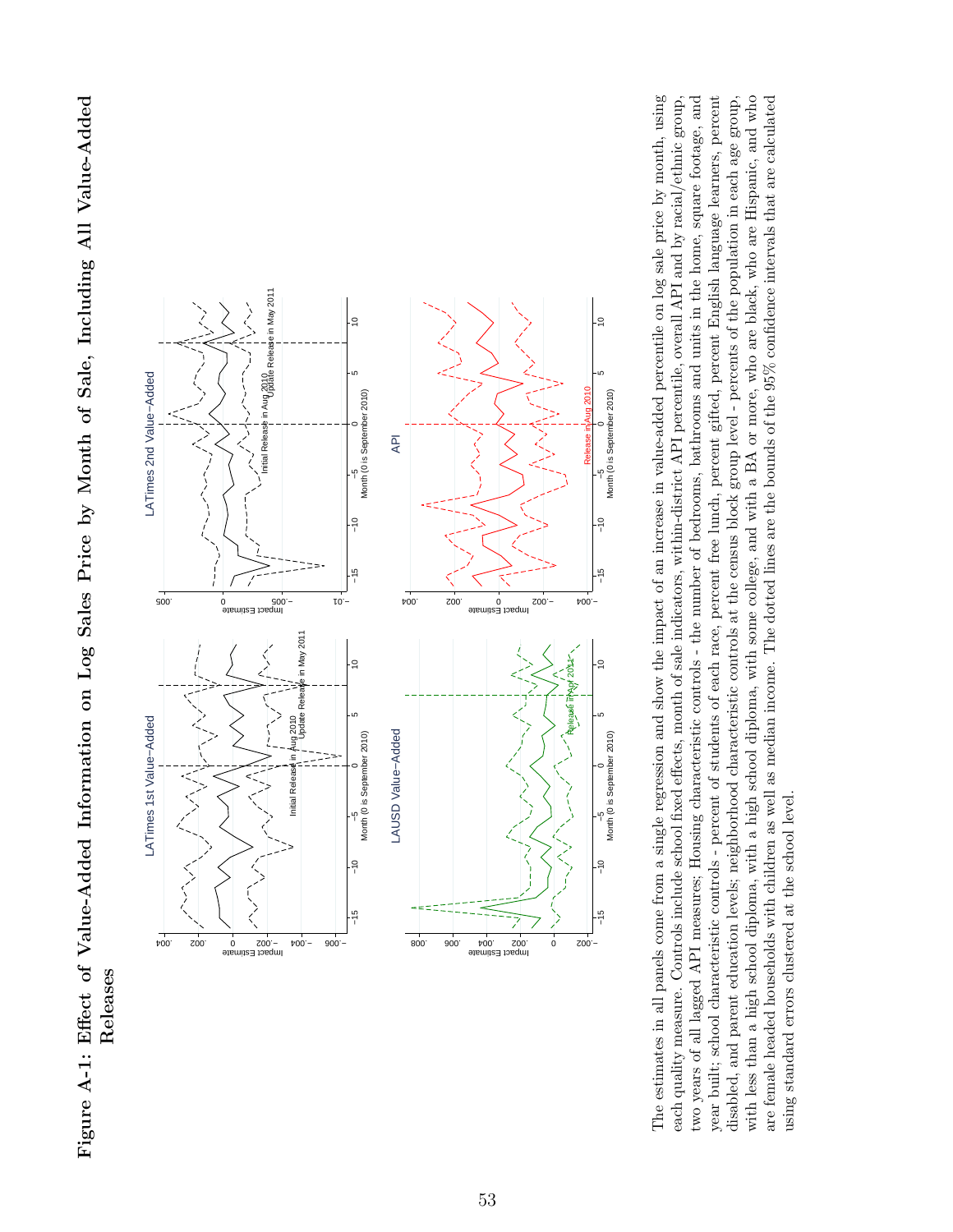Figure A-1: Effect of Value-Added Information on Log Sales Price by Month of Sale, Including All Value-Added Figure A-1: Effect of Value-Added Information on Log Sales Price by Month of Sale, Including All Value-Added **Releases**



The estimates in all panels come from a single regression and show the impact of an increase in value-added percentile on log sale price by month, using with less than a high school diploma, with a high school diploma, with some college, and with a BA or more, who are black, who are Hispanic, and who each quality measure. Controls include school fixed effects, month of sale indicators, within-district API percentile, overall API and by racial/ethnic group, two years of all lagged API measures; Housing characteristic controls - the number of bedrooms, bathrooms and units in the home, square footage, and year built; school characteristic controls - percent of students of each race, percent free lunch, percent gifted, percent English language learners, percent disabled, and parent education levels; neighborhood characteristic controls at the census block group level - percents of the population in each age group, are female headed households with children as well as median income. The dotted lines are the bounds of the  $95\%$  confidence intervals that are calculated The estimates in all panels come from a single regression and show the impact of an increase in value-added percentile on log sale price by month, using each quality measure. Controls include school fixed effects, month of sale indicators, within-district API percentile, overall API and by racial/ethnic group, two years of all lagged API measures; Housing characteristic controls - the number of bedrooms, bathrooms and units in the home, square footage, and year built; school characteristic controls - percent of students of each race, percent free lunch, percent gifted, percent English language learners, percent disabled, and parent education levels; neighborhood characteristic controls at the census block group level - percents of the population in each age group, with less than a high school diploma, with a high school diploma, with some college, and with a BA or more, who are black, who are Hispanic, and who are female headed households with children as well as median income. The dotted lines are the bounds of the 95% confidence intervals that are calculated using standard errors clustered at the school level. using standard errors clustered at the school level.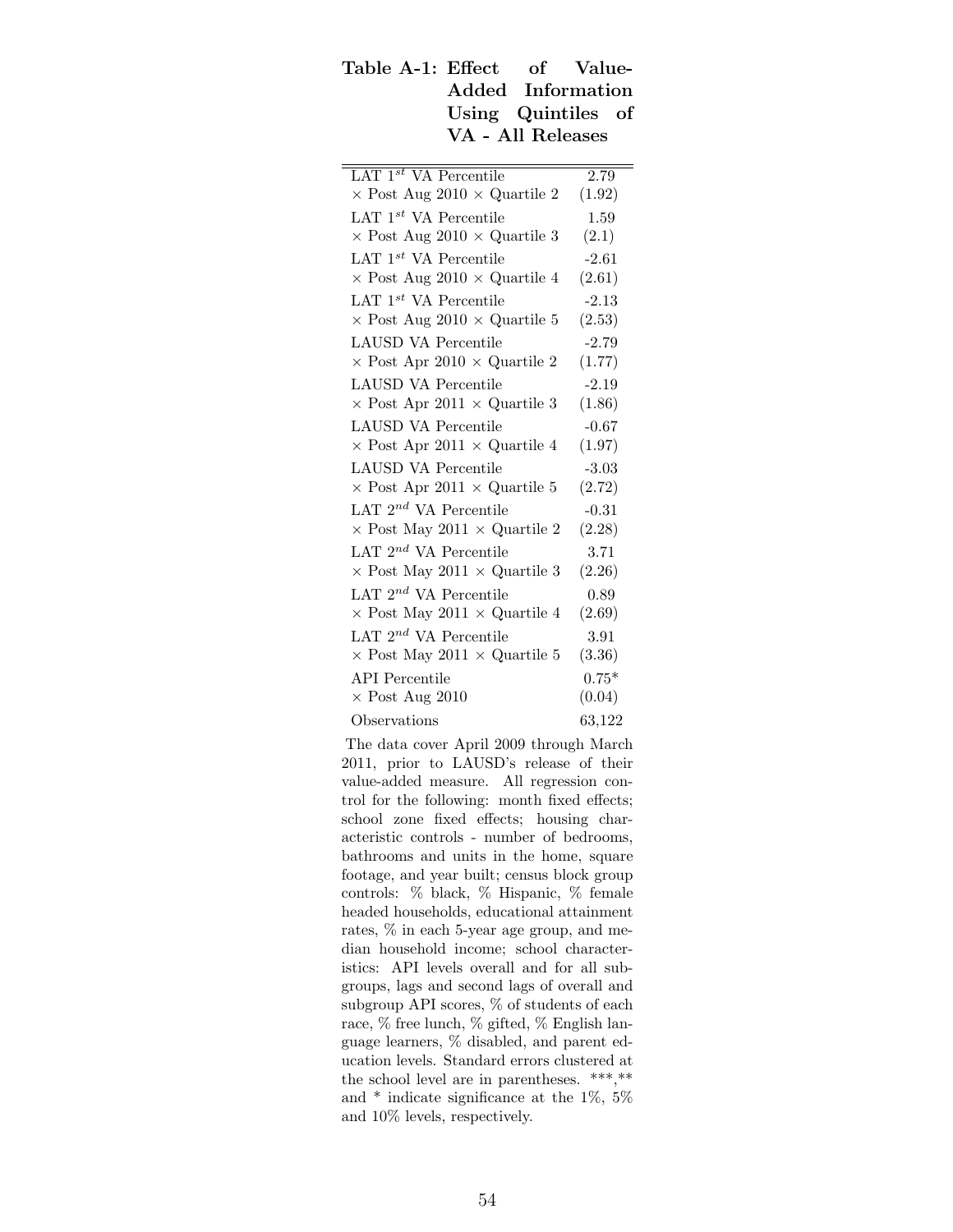| Table A-1: Effect of Value- |                    |  |
|-----------------------------|--------------------|--|
|                             | Added Information  |  |
|                             | Using Quintiles of |  |
|                             | VA - All Releases  |  |

| LAT $1^{st}$ VA Percentile                 | 2.79    |
|--------------------------------------------|---------|
| $\times$ Post Aug 2010 $\times$ Quartile 2 | (1.92)  |
| LAT $1^{st}$ VA Percentile                 | 1.59    |
| $\times$ Post Aug 2010 $\times$ Quartile 3 | (2.1)   |
| LAT $1^{st}$ VA Percentile                 | $-2.61$ |
| $\times$ Post Aug 2010 $\times$ Quartile 4 | (2.61)  |
| LAT $1^{st}$ VA Percentile                 | $-2.13$ |
| $\times$ Post Aug 2010 $\times$ Quartile 5 | (2.53)  |
| <b>LAUSD VA Percentile</b>                 | $-2.79$ |
| $\times$ Post Apr 2010 $\times$ Quartile 2 | (1.77)  |
| LAUSD VA Percentile                        | $-2.19$ |
| $\times$ Post Apr 2011 $\times$ Quartile 3 | (1.86)  |
| <b>LAUSD VA Percentile</b>                 | $-0.67$ |
| $\times$ Post Apr 2011 $\times$ Quartile 4 | (1.97)  |
| <b>LAUSD VA Percentile</b>                 | $-3.03$ |
| $\times$ Post Apr 2011 $\times$ Quartile 5 | (2.72)  |
| LAT $2^{nd}$ VA Percentile                 | $-0.31$ |
| $\times$ Post May 2011 $\times$ Quartile 2 | (2.28)  |
| LAT $2^{nd}$ VA Percentile                 | 3.71    |
| $\times$ Post May 2011 $\times$ Quartile 3 | (2.26)  |
| LAT $2^{nd}$ VA Percentile                 | 0.89    |
| $\times$ Post May 2011 $\times$ Quartile 4 | (2.69)  |
| LAT $2^{nd}$ VA Percentile                 | 3.91    |
| $\times$ Post May 2011 $\times$ Quartile 5 | (3.36)  |
| <b>API</b> Percentile                      | $0.75*$ |
| $\times$ Post Aug 2010                     | (0.04)  |
| Observations                               | 63,122  |

The data cover April 2009 through March 2011, prior to LAUSD's release of their value-added measure. All regression control for the following: month fixed effects; school zone fixed effects; housing characteristic controls - number of bedrooms, bathrooms and units in the home, square footage, and year built; census block group controls: % black, % Hispanic, % female headed households, educational attainment rates, % in each 5-year age group, and median household income; school characteristics: API levels overall and for all subgroups, lags and second lags of overall and subgroup API scores, % of students of each race, % free lunch, % gifted, % English language learners, % disabled, and parent education levels. Standard errors clustered at the school level are in parentheses. \*\*\*,\*\* and  $*$  indicate significance at the  $1\%$ ,  $5\%$ and 10% levels, respectively.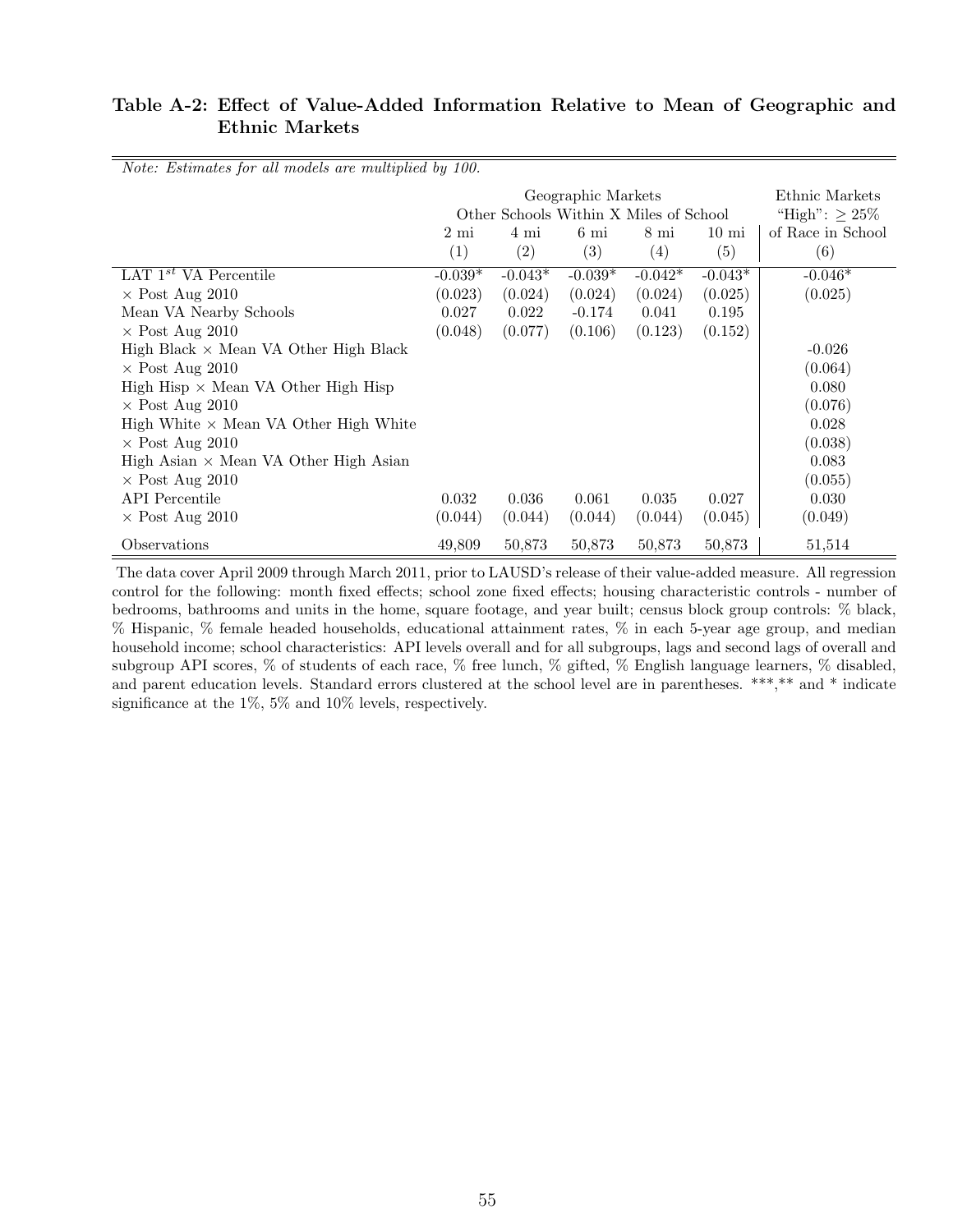#### **Table A-2: Effect of Value-Added Information Relative to Mean of Geographic and Ethnic Markets**

|                                                       |                |           | Geographic Markets |                                        |                 | Ethnic Markets      |
|-------------------------------------------------------|----------------|-----------|--------------------|----------------------------------------|-----------------|---------------------|
|                                                       |                |           |                    | Other Schools Within X Miles of School |                 | "High": $\geq 25\%$ |
|                                                       | $2 \text{ mi}$ | 4 mi      | $6 \text{ mi}$     | 8 mi                                   | $10 \text{ mi}$ | of Race in School   |
|                                                       | (1)            | (2)       | (3)                | (4)                                    | (5)             | (6)                 |
| $\overline{\text{LAT}}$ 1 <sup>st</sup> VA Percentile | $-0.039*$      | $-0.043*$ | $-0.039*$          | $-0.042*$                              | $-0.043*$       | $-0.046*$           |
| $\times$ Post Aug 2010                                | (0.023)        | (0.024)   | (0.024)            | (0.024)                                | (0.025)         | (0.025)             |
| Mean VA Nearby Schools                                | 0.027          | 0.022     | $-0.174$           | 0.041                                  | 0.195           |                     |
| $\times$ Post Aug 2010                                | (0.048)        | (0.077)   | (0.106)            | (0.123)                                | (0.152)         |                     |
| High Black $\times$ Mean VA Other High Black          |                |           |                    |                                        |                 | $-0.026$            |
| $\times$ Post Aug 2010                                |                |           |                    |                                        |                 | (0.064)             |
| High Hisp $\times$ Mean VA Other High Hisp            |                |           |                    |                                        |                 | 0.080               |
| $\times$ Post Aug 2010                                |                |           |                    |                                        |                 | (0.076)             |
| High White $\times$ Mean VA Other High White          |                |           |                    |                                        |                 | 0.028               |
| $\times$ Post Aug 2010                                |                |           |                    |                                        |                 | (0.038)             |
| High Asian $\times$ Mean VA Other High Asian          |                |           |                    |                                        |                 | 0.083               |
| $\times$ Post Aug 2010                                |                |           |                    |                                        |                 | (0.055)             |
| <b>API</b> Percentile                                 | 0.032          | 0.036     | 0.061              | 0.035                                  | 0.027           | 0.030               |
| $\times$ Post Aug 2010                                | (0.044)        | (0.044)   | (0.044)            | (0.044)                                | (0.045)         | (0.049)             |
| Observations                                          | 49,809         | 50,873    | 50,873             | 50,873                                 | 50,873          | 51,514              |

*Note: Estimates for all models are multiplied by 100.*

The data cover April 2009 through March 2011, prior to LAUSD's release of their value-added measure. All regression control for the following: month fixed effects; school zone fixed effects; housing characteristic controls - number of bedrooms, bathrooms and units in the home, square footage, and year built; census block group controls: % black, % Hispanic, % female headed households, educational attainment rates, % in each 5-year age group, and median household income; school characteristics: API levels overall and for all subgroups, lags and second lags of overall and subgroup API scores, % of students of each race, % free lunch, % gifted, % English language learners, % disabled, and parent education levels. Standard errors clustered at the school level are in parentheses. \*\*\*,\*\* and \* indicate significance at the 1%, 5% and 10% levels, respectively.